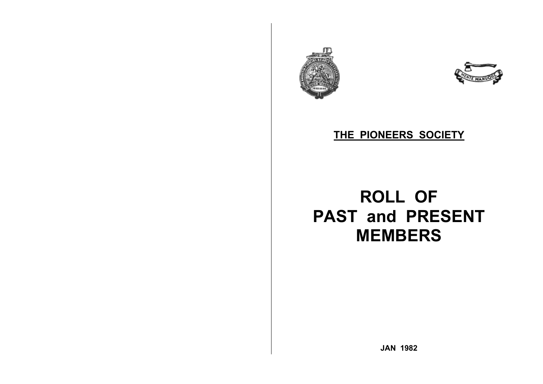



## **THE PIONEERS SOCIETY**

# **ROLL OF PAST and PRESENT MEMBERS**

**JAN 1982**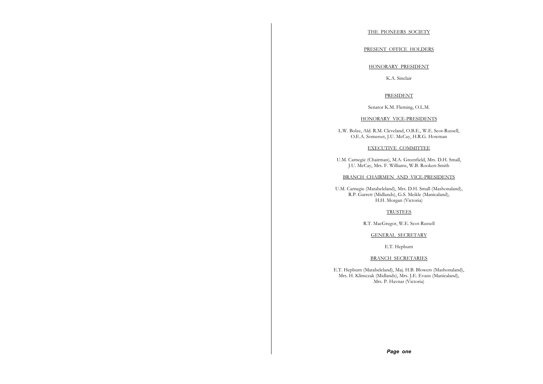#### THE PIONEERS SOCIETY

#### PRESENT OFFICE HOLDERS

#### HONORARY PRESIDENT

K.A. Sinclair

#### PRESIDENT

Senator K.M. Fleming, O.L.M.

#### HONORARY VICE-PRESIDENTS

L.W. Bolze, Ald. R.M. Cleveland, O.B.E., W.E. Scot-Russell, O.E.A. Somerset, J.U. McCay, H.R.G. Howman

#### EXECUTIVE COMMITTEE

U.M. Carnegie (Chairman), M.A. Greenfield, Mrs. D.H. Small, J.U. McCay, Mrs. F. Williams, W.B. Rooken-Smith

#### BRANCH CHAIRMEN AND VICE-PRESIDENTS

U.M. Carnegie (Matabeleland), Mrs. D.H. Small (Mashonaland), R.P. Garrett (Midlands), G.S. Meikle (Manicaland), H.H. Morgan (Victoria)

#### TRUSTEES

R.T. MacGregor, W.E. Scot-Russell

#### GENERAL SECRETARY

E.T. Hepburn

#### BRANCH SECRETARIES

E.T. Hepburn (Matabeleland), Maj. H.B. Blowers (Mashonaland), Mrs. H. Klimczak (Midlands), Mrs. J.E. Evans (Manicaland), Mrs. P. Havnar (Victoria)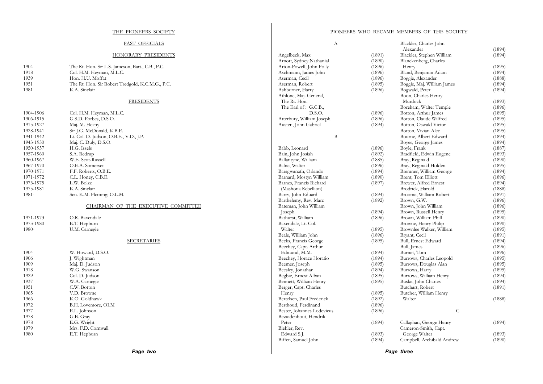#### THE PIONEERS SOCIETY

#### PAST OFFICIALS

#### HONORARY PRESIDENTS

| 1904 | The Rt. Hon. Sir L.S. Jameson, Bart., C.B., P.C. |
|------|--------------------------------------------------|
| 1918 | Col. H.M. Heyman, M.L.C.                         |
| 1939 | Hon. H.U. Moffat                                 |
| 1951 | The Rt. Hon. Sir Robert Tredgold, K.C.M.G., P.C. |
| 1981 | K.A. Sinclair                                    |

#### PRESIDENTS

| 1904-1906 | Col. H.M. Heyman, M.L.C.               |
|-----------|----------------------------------------|
| 1906-1915 | G.S.D. Forbes, D.S.O.                  |
| 1915-1927 | Maj. M. Heany                          |
| 1928-1941 | Sir J.G. McDonald, K.B.E.              |
| 1941-1942 | Lt. Col. D. Judson, O.B.E., V.D., J.P. |
| 1943-1950 | Mai. C. Duly, D.S.O.                   |
| 1950-1957 | H.G. Issels                            |
| 1957-1960 | S.A. Redrup                            |
| 1960-1967 | W.E. Scot-Russell                      |
| 1967-1970 | O.E.A. Somerset                        |
| 1970-1971 | F.F. Roberts, O.B.E.                   |
| 1971-1972 | C.L. Honey, C.B.E.                     |
| 1973-1975 | L.W. Bolze                             |
| 1975-1981 | K.A. Sinclair                          |
| 1981-     | Sen. K.M. Fleming, O.L.M.              |
|           | CHAIRMAN OF THE EXECUTIVE COMMITTEE    |
|           |                                        |
|           |                                        |

1971-1973 O.R. Baxendale 1973-1980 E.T. Hepburn<br>1980- U.M. Carnegie U.M. Carnegie

#### SECRETARIES

| 1904 | W. Howard, D.S.O.  |
|------|--------------------|
| 1906 | J. Wightman        |
| 1909 | Maj. D. Judson     |
| 1918 | W.G. Swanson       |
| 1929 | Col. D. Judson     |
| 1937 | W.A. Carnegie      |
| 1951 | C.W. Botton        |
| 1965 | V.D. Browne        |
| 1966 | K.O. Goldhawk      |
| 1972 | B.H. Lovemore, OLM |
| 1977 | E.L. Johnson       |
| 1978 | G.B. Gray          |
| 1978 | E.G. Wright        |
| 1979 | Mrs. F.D. Cornwall |
| 1980 | E.T. Hepburn       |

|                            | А |        | Blackler, Charles John     |   |        |
|----------------------------|---|--------|----------------------------|---|--------|
|                            |   |        | Alexander                  |   | (1894) |
| Angelbeck, Max             |   | (1891) | Blackler, Stephen William  |   | (1894) |
| Arnott, Sydney Nathanial   |   | (1890) | Blanckenberg, Charles      |   |        |
| Arton-Powell, John Folly   |   | (1896) | Henry                      |   | (1895) |
| Aschmann, James John       |   | (1896) | Bland, Benjamin Adam       |   | (1894) |
| Aserman, Cecil             |   | (1896) | Boggie, Alexander          |   | (1888) |
| Aserman, Robert            |   | (1895) | Boggie, Maj. William James |   | (1894) |
| Ashburner, Harry           |   | (1896) | Bogwald, Peter             |   | (1894) |
| Athlone, Maj. General,     |   |        | Boon, Charles Henry        |   |        |
| The Rt. Hon.               |   |        | Murdock                    |   | (1893) |
| The Earl of : G.C.B.,      |   |        | Boreham, Walter Temple     |   | (1896) |
| D.S.O.                     |   | (1896) | Botton, Arthur James       |   | (1895) |
| Atterbury, William Joseph  |   | (1896) | Botton, Claude Wilfred     |   | (1895) |
| Austen, John Gabriel       |   | (1894) | Botton, Oswald Victor      |   | (1895) |
|                            |   |        | Botton, Vivian Alec        |   | (1895) |
|                            | В |        |                            |   |        |
|                            |   |        | Bourne, Albert Edward      |   | (1894) |
|                            |   |        | Boyes, George James        |   | (1894) |
| Babb, Leonard              |   | (1896) | Boyle, Frank               |   | (1887) |
| Bain, John Josiah          |   | (1892) | Bradfield, Edwin Eugene    |   | (1893) |
| Ballantyne, William        |   | (1885) | Bray, Reginald             |   | (1890) |
| Balne, Walter              |   | (1896) | Bray, Reginald Holden      |   | (1895) |
| Baragwanath, Orlando       |   | (1894) | Bremner, William George    |   | (1894) |
| Barnard, Mostyn William    |   | (1890) | Brent, Tom Elliott         |   | (1896) |
| Barnes, Francis Richard    |   | (1897) | Brewer, Alfred Ernest      |   | (1894) |
| (Mashona Rebellion)        |   |        | Brodrick, Harold           |   | (1888) |
| Barry, John Eduard         |   | (1894) | Broome, William Robert     |   | (1891) |
| Barthelemy, Rev. Marc      |   | (1892) | Brown, G.W.                |   | (1896) |
| Bateman, John William      |   |        | Brown, John William        |   | (1896) |
| Joseph                     |   | (1894) | Brown, Russell Henry       |   | (1895) |
| Bathurst, William          |   | (1896) | Brown, William Phill       |   | (1890) |
| Baxendale, Lt. Col.        |   |        | Browne, Henry Philip       |   | (1890) |
| Walter                     |   | (1895) | Brownlee Walker, William   |   | (1895) |
| Beale, William John        |   | (1896) | Bryant, Cecil              |   | (1891) |
| Becks, Francis George      |   | (1895) | Bull, Ernest Edward        |   | (1894) |
| Beechey, Capt. Arthur      |   |        | Bull, James                |   | (1896) |
| Edmund, M.M.               |   | (1894) | Burnet, Tom                |   | (1896) |
| Beechey, Horace Horatio    |   | (1894) | Burrows, Charles Leopold   |   | (1895) |
| Beemer, Joseph             |   | (1895) | Burrows, Douglas Alan      |   | (1895) |
| Beesley, Jonathan          |   | (1894) | Burrows, Harry             |   | (1895) |
|                            |   | (1895) |                            |   | (1894) |
| Begbie, Ernest Alban       |   |        | Burrows, William Henry     |   |        |
| Bennett, William Henry     |   | (1895) | Buske, John Charles        |   | (1894) |
| Berger, Capt. Charles      |   |        | Butchart, Robert           |   | (1891) |
| Henry                      |   | (1895) | Butcher, William Henry     |   |        |
| Bertelsen, Paul Frederick  |   | (1892) | Walter                     |   | (1888) |
| Berthoud, Ferdinand        |   | (1896) |                            |   |        |
| Bester, Johannes Lodevicus |   | (1896) |                            | C |        |
| Bezuidenhout, Hendrik      |   |        |                            |   |        |
| Peter                      |   | (1894) | Callaghan, George Henry    |   | (1894) |
| Biehler, Rev.              |   |        | Cameron-Smith, Capt.       |   |        |
| Edward S.J.                |   | (1893) | George Walter              |   | (1893) |
| Biffen, Samuel John        |   | (1894) | Campbell, Archibald Andrew |   | (1890) |
|                            |   |        |                            |   |        |

*Page three*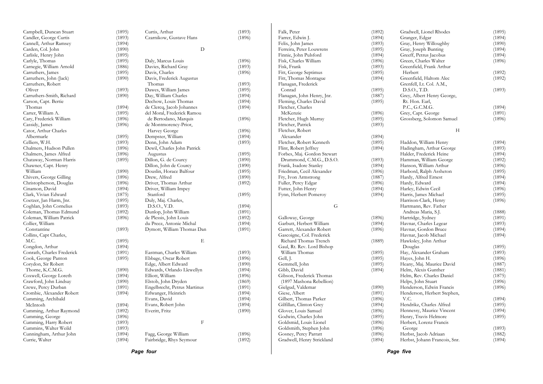| Page four                  |        |                              |        |                             |        | Page five                     |        |
|----------------------------|--------|------------------------------|--------|-----------------------------|--------|-------------------------------|--------|
| Currie, Walter             | (1894) | Fairbridge, Rhys Seymour     | (1892) | Gradwell, Henry Strickland  | (1894) | Herbst, Johann Francois, Snr. | (1894) |
| Cunningham, Arthur John    | (1894) | Fagg, George William         | (1896) | Gosney, Percy Parratt       | (1896) | Herbst, Jacob Adriaan         | (1882) |
| Cummins, Walter Weild      | (1893) |                              |        | Goldsmith, Stephen John     | (1896) | George                        | (1893) |
| Cumming, Harry Robert      | (1893) | $\mathbf F$                  |        | Goldsmid, Louis Lionel      | (1896) | Herbert, Lorenz Francis       |        |
| Cumming, George            | (1896) |                              |        | Godwin, Charles John        | (1895) | Henry, Travis Helmore         | (1895) |
| Cumming, Arthur Raymond    | (1892) | Everitt, Fritz               | (1890) | Glover, Louis Samuel        | (1896) | Hennessy, Maurice Vincent     | (1894) |
| McIntosh                   | (1894) | Evans, Robert John           | (1894) | Gilfillan, Clinton Grey     | (1894) | Hendrikz, Charles Alfred      | (1895) |
| Cumming, Archibald         |        | Evans, David                 | (1894) | Gilbert, Thomas Parker      | (1896) | V.C.                          | (1894) |
| Crombie, Alexander Robert  | (1894) | Erlwanger, Heinrich          | (1894) | Giese, Albert               | (1891) | Henderson, Herbert Stephen,   |        |
| Crewe, Percy Durban        | (1891) | Engelbrecht, Petrus Martinus | (1891) | Gielgud, Valdemar           | (1890) | Henderson, Edwin Francis      | (1896) |
| Crawford, John Lindsay     | (1890) | Elstob, John Dryden          | (1869) | (1897 Mashona Rebellion)    |        | Helps, John Stuart            | (1896) |
| Coxwell, George Loreth     | (1894) | Elliott, William             | (1896) | Gibson, Frederick Thomas    |        | Helm, Rev. Charles Daniel     | (1875) |
| Thorne, K.C.M.G.           | (1890) | Edwards, Orlando Llewellyn   | (1894) | Gibb, David                 | (1894) | Helm, Alexis Gunther          | (1881) |
| Corydon, Sir Robert        |        | Edge, Albert Edward          | (1890) | Gemmell, John               | (1895) | Heany, Maj. Maurice David     | (1887) |
| Cook, George Panton        | (1895) | Ebbage, Oscar Robert         | (1896) | Gell, J.                    | (1895) | Hayes, John H.                | (1896) |
| Conrath, Charles Frederick | (1891) | Eastman, Charles William     | (1893) | William Thomas              | (1895) | Hay, Alexander Graham         | (1893) |
| Congdon, Arthur            | (1894) |                              |        | Gaul, Rt. Rev. Lord Bishop  |        | Douglas                       | (1895) |
| M.C.                       | (1895) | E                            |        | Richard Thomas Trench       | (1889) | Hawksley, John Arthur         |        |
| Collins, Capt Charles,     |        |                              |        | Gascoigne, Col. Frederick   |        | Havnar, Jacob Michael         | (1894) |
| Constantine                | (1893) | Dymott, William Thomas Dan   | (1891) | Garrett, Alexander Robert   | (1896) | Havnar, Gordon Bruce          | (1894) |
| Collier, William           |        | du Preez, Antonie Michal     | (1894) | Garbutt, Herbert William    | (1894) | Havnar, Charles Legear        | (1893) |
| Coleman, William Patrick   | (1896) | de Plessis, John Louis       | (1892) | Galloway, George            | (1896) | Hartridge, Sydney             | (1891) |
| Coleman, Thomas Edmund     | (1892) | Dunlop, John William         | (1891) |                             |        | Andreas Maria, S.J.           | (1888) |
| Coghlan, John Cornelius    | (1893) | D.S.O., V.D.                 | (1894) | G                           |        | Hartmann, Rev. Father         |        |
|                            | (1895) | Duly, Maj. Charles,          |        |                             |        |                               |        |
| Coetzer, Jan Harm, Jnr.    |        |                              |        |                             |        | Harrison-Clark, Henry         | (1896) |
| Clark, Vivian Edward       | (1875) | Stanford                     | (1895) | Fynn, Herbert Pomeroy       | (1894) | Harris, James Michael         | (1895) |
| Cinamon, David             | (1894) | Driver, William Impey        |        | Futter, John Henry          | (1894) | Harley, Edwin Cecil           | (1896) |
| Christopherson, Douglas    | (1896) | Driver, Thomas Arthur        | (1892) | Fuller, Percy Edgar         | (1896) | Hardy, Edward                 | (1894) |
| Chivers, George Gilling    | (1896) | Drew, Alfred                 | (1890) | Fry, Ivon Armstrong         | (1887) | Hardy, Alfred Ernest          | (1894) |
| William                    | (1890) | Douslin, Horace Balfour      | (1895) | Friedman, Cecil Alexander   | (1896) | Harbord, Ralph Assheton       | (1895) |
| Chawner, Capt. Henry       |        | Dillon, John de Courcy       | (1890) | Frank, Isadore Stanley      | (1894) | Hanson, William Arthur        | (1896) |
| Chataway, Norman Harris    | (1895) | Dillon, G. de Courcy         | (1890) | Drummond, C.M.G., D.S.O.    | (1893) | Hamman, William George        | (1892) |
| Chalmers, James Alfred     | (1896) | Augustus                     | (1895) | Forbes, Maj. Gordon Stewart |        | Halder, Frederick Heine       | (1894) |
| Chalmers, Hudson Pullen    | (1896) | Dewil, Charles John Patrick  |        | Flint, Robert Jeffrey       | (1894) | Hadingham, Arthur George      | (1893) |
| Celliers, W.H.             | (1893) | Denn, John Adam              | (1893) | Fletcher, Robert Kenneth    | (1895) | Haddon, William Henry         | (1894) |
| Albermarle                 | (1895) | Dempster, William            | (1894) | Alexander                   | (1894) |                               |        |
| Cator, Arthur Charles      |        | Harvey George                | (1896) | Fletcher, Robert            |        | H                             |        |
| Cassidy, James             | (1896) | de Montmorency-Prior,        |        | Fletcher, Patrick           | (1893) |                               |        |
| Cary, Frederick William    | (1896) | de Bertodano, Marquis        | (1896) | Fletcher, Hugh Murray       | (1895) | Grossberg, Solomon Samuel     | (1896) |
| Carter, William A.         | (1895) | del Moral, Frederick Ramou   |        | McKenzie                    | (1896) | Grey, Capt. George            | (1891) |
| Thomas                     | (1894) | de Clercq, Jacob Johannes    | (1894) | Fletcher, Charles           |        | P.C., G.C.M.G.                | (1894) |
| Carson, Capt. Bertie       |        | Dechow, Louis Thomas         | (1894) | Fleming, Charles David      | (1895) | Rt. Hon. Earl,                |        |
| Carruthers-Smith, Richard  | (1890) | Day, William Charles         | (1894) | Flanagan, John Henry, Jnr.  | (1887) | Grey, Albert Henry George,    |        |
| Oliver                     | (1893) | Dawes, William James         | (1895) | Conrad                      | (1895) | D.S.O., T.D.                  | (1893) |
| Carruthers, Robert         |        | Thomas                       | (1893) | Flanagan, Frederick         |        | Grenfell, Lt. Col. A.M.,      |        |
| Carruthers, John (Jack)    | (1890) | Davis, Frederick Augustus    |        | Fitt, Thomas Montague       | (1894) | Greenfield, Haltom Alec       | (1892) |
| Carruthers, James          | (1895) | Davis, Charles               | (1896) | Fitt, George Septimus       | (1895) | Herbert                       | (1892) |
| Carnegie, William Arnold   | (1886) | Davies, Richard Gray         | (1893) | Fisk, Frank                 | (1893) | Greenfield, Frank Arthur      |        |
| Carlyle, Thomas            | (1895) | Daly, Marcus Louis           | (1896) | Fisk, Charles William       | (1896) | Green, Charles Walter         | (1896) |
| Carlisle, Henry John       | (1895) |                              |        | Finnie, John Pulsford       | (1894) | Greeff, Petrus Jacobus        | (1894) |
| Carden, Col. John          | (1890) | ${\rm D}$                    |        | Ferreira, Peter Louwrens    | (1895) | Gray, Joseph Bunting          | (1894) |
| Cannell, Arthur Ramsey     | (1894) |                              |        | Felix, John James           | (1893) | Gray, Henry Willoughby        | (1890) |
|                            |        | Czarnikow, Gustave Hans      | (1896) | Farrer, Edwin J.            | (1894) | Granger, Edgar                | (1894) |
| Candler, George Curtis     | (1893) |                              |        | Falk, Peter                 |        |                               |        |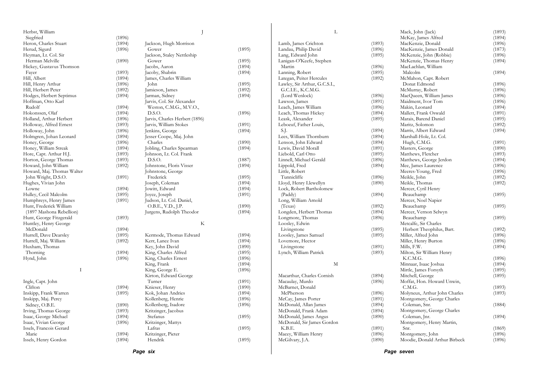| Herbst, William            |        |                                |        | L                             |        | Mack, John (Jack)             | (1893) |
|----------------------------|--------|--------------------------------|--------|-------------------------------|--------|-------------------------------|--------|
| Siegfried                  | (1896) |                                |        |                               |        | McKay, James Alfred           | (1894) |
| Heron, Charles Stuart      | (1894) | Jackson, Hugh Morrison         |        | Lamb, James Crichton          | (1893) | MacKenzie, Donald             | (1896) |
| Herud, Sigurd              | (1896) | Gower                          | (1895) | Landau, Philip David          | (1896) | MacKenzie, James Donald       | (1873) |
| Heyman, Lt. Col. Sir       |        | Jackson, Staley Nettleship     |        | Lang, Edward John             | (1895) | McKenzie, John (Robbie)       | (1896) |
| Herman Melville            | (1890) | Gower                          | (1895) | Lanigan-O'Keefe, Stephen      |        | McKenzie, Thomas Henry        | (1894) |
| Hickey, Gustavus Thomson   |        | Jacobs, Aaron                  | (1894) | Martin                        | (1896) | MacLachlan, William           |        |
| Fayer                      | (1893) | Jacoby, Shabrin                | (1894) | Lanning, Robert               | (1895) | Malcolm                       | (1894) |
| Hill, Albert               | (1894) | James, Charles William         |        | Lategan, Peiter Hercules      | (1892) | McMahon, Capt. Robert         |        |
| Hill, Henry Arthur         | (1896) | John                           | (1895) | Lawley, Sir Arthur, G.C.S.I., |        | Donat Edmond                  | (1896) |
| Hill, Herbert Peter        | (1892) | Jamieson, James                | (1892) | G.C.I.E., K.C.M.G.            |        | McMurray, Robert              | (1896) |
| Hodges, Herbert Septimus   | (1894) | Jarman, Sidney                 | (1894) | (Lord Wenlock)                | (1896) | MacQueen, William James       | (1896) |
| Hoffman, Otto Karl         |        | Jarvis, Col. Sir Alexander     |        | Lawson, James                 | (1891) | Maidment, Ivor Tom            | (1896) |
| Rudolf                     | (1894) | Weston, C.M.G., M.V.O.,        |        | Leach, James William          | (1896) | Makin, Leonard                | (1894) |
| Hokonssen, Olaf            | (1894) | D.S.O.                         | (1896) | Leach, Thomas Hickey          | (1894) | Mallett, Frank Oswald         | (1891) |
| Holland, Arthur Herbert    | (1896) | Jarvis, Charles Herbert (1896) |        | Leask, Alexander              | (1895) | Marais, Barend Daniel         | (1895) |
| Holloway, Alfred Ernest    | (1893) | Jarvis, William Stokes         | (1891) | Leboeuf, Father Louis,        |        | Maritz, Solomon               | (1892) |
| Holloway, John             | (1896) | Jenkins, George                | (1894) | S.J.                          | (1894) | Marris, Albert Edward         | (1894) |
|                            |        | Jesser Coope, Maj. John        |        | Lees, William Thornburn       | (1894) | Marshall-Hole, Lt. Col.       |        |
| Holmgren, Johan Leonard    | (1894) | Charles                        | (1890) | Lenson, John Edward           | (1894) | Hugh, C.M.G.                  | (1891) |
| Honey, George              | (1896) |                                |        |                               |        |                               |        |
| Honey, William Streak      | (1894) | Jobling, Charles Spearman      | (1894) | Lewis, David Morall           | (1891) | Masters, George               | (1890) |
| Hore, Capt. Arthur H.J.    | (1893) | Johnson, Lt. Col. Frank        |        | Liebold, Carl Otto            | (1895) | Matthews, Fletcher            | (1893) |
| Horton, George Thomas      | (1893) | D.S.O.                         | (1887) | Linnell, Michael Gerald       | (1896) | Matthews, George Jerdon       | (1894) |
| Howard, John William       | (1892) | Johnstone, Floris Visser       | (1894) | Lippold, Fred                 | (1894) | Mee, James Laurence           | (1896) |
| Howard, Maj. Thomas Walter |        | Johnstone, George              |        | Little, Robert                |        | Meeres-Young, Fred            | (1896) |
| John Wright, D.S.O.        | (1891) | Frederick                      | (1895) | Tunnicliffe                   | (1896) | Meikle, John                  | (1892) |
| Hughes, Vivian John        |        | Joseph, Coleman                | (1894) | Lloyd, Henry Llewellyn        | (1890) | Meikle, Thomas                | (1892) |
| Lowne                      | (1894) | Jowitt, Edward                 | (1894) | Lock, Robert Bartholomew      |        | Mercer, Cyril Henry           |        |
| Hulley, Cecil Malcolm      | (1895) | Joyce, Joseph                  | (1891) | (Paddy)                       | (1894) | Beauchamp                     | (1895) |
| Humphreys, Henry James     | (1891) | Judson, Lt. Col. Daniel,       |        | Long, William Arnold          |        | Mercer, Noel Napier           |        |
| Hunt, Frederick William    |        | O.B.E., V.D., J.P.             | (1890) | (Texas)                       | (1892) | Beauchamp                     | (1895) |
| (1897 Mashona Rebellion)   |        | Jurgens, Rudolph Theodor       | (1894) | Longden, Herbert Thomas       | (1894) | Mercer, Vernon Selwyn         |        |
| Hunt, George Fitzgerald    | (1893) |                                |        | Longmore, Thomas              | (1896) | Beauchamp                     | (1895) |
| Huntley, Henry George      |        | K                              |        | Loosley, Edwin                |        | Metcalfe, Sir Charles         |        |
| McDonald                   | (1894) |                                |        | Livingstone                   | (1895) | Herbert Theophilus, Bart.     | (1892) |
| Hurrell, Dave Dearsley     | (1895) | Kermode, Thomas Edward         | (1894) | Loosley, James Samuel         | (1895) | Miller, Alfred John           | (1896) |
| Hurrell, Maj. William      | (1892) | Kerr, Lance Ivan               | (1894) | Lovemore, Hector              |        | Miller, Henry Burton          | (1896) |
| Huxham, Thomas             |        | Key, John David                | (1890) | Livingstone                   | (1891) | Mills, F.W.                   | (1894) |
| Thorning                   | (1894) | King, Charles Alfred           | (1895) | Lynch, William Patrick        | (1893) | Milton, Sir William Henry     |        |
| Hynd, John                 | (1896) | King, Charles Ernest           | (1896) |                               |        | K.C.M.G.                      | (1896) |
|                            |        | King, Frank                    | (1894) | M                             |        | Minnaar, Isaac Joshua         | (1894) |
| $\mathbf{I}$               |        | King, George E.                | (1896) |                               |        | Mirtle, James Forsyth         | (1895) |
|                            |        | Kirton, Edward George          |        | Macarthur, Charles Cornish    | (1894) | Mitchell, George              | (1895) |
| Ingle, Capt. John          |        | Turner                         | (1891) | Macaulay, Murdo               | (1896) | Moffat, Hon. Howard Unwin,    |        |
| Clifton                    | (1894) | Knieser, Henry                 | (1890) | McBarnet, Donald              |        | C.M.G.                        | (1893) |
| Inskipp, Frank Warren      | (1895) | Kok, Johan Andries             | (1894) | McPherson                     | (1896) | Molyneux, Arthur John Charles | (1893) |
| Inskipp, Maj. Percy        |        | Kollenberg, Henrie             | (1896) | McCay, James Porter           | (1891) | Montgomery, George Charles    |        |
| Sidney, O.B.E.             | (1890) | Kollenberg, Isadore            | (1896) | McDonald, Allan James         | (1894) | Coleman, Snr.                 | (1884) |
| Irving, Thomas George      | (1893) | Kritzinger, Jacobus            |        | McDonald, Frank Adam          | (1894) | Montgomery, George Charles    |        |
| Isaac, George Michael      | (1894) | Stefanus                       | (1895) | McDonald, James Angus         | (1890) | Coleman, Jnr.                 | (1894) |
| Isaac, Vivian George       | (1896) | Kritzinger, Mattys             |        | McDonald, Sir James Gordon    |        | Montgomery, Henry Martin,     |        |
| Issels, Francois Gerard    |        | Lafras                         | (1895) | K.B.E.                        | (1891) | Snr.                          | (1869) |
| Marie                      | (1894) | Kritzinger, Pieter             |        | Macey, William Henry          | (1896) | Montgomery, John              | (1896) |
| Issels, Henry Gordon       | (1894) | Hendrik                        | (1895) | McGilvary, J.A.               | (1890) | Moodie, Donald Arthur Birbeck | (1896) |
|                            |        |                                |        |                               |        |                               |        |
|                            |        | Page six                       |        |                               |        | Page seven                    |        |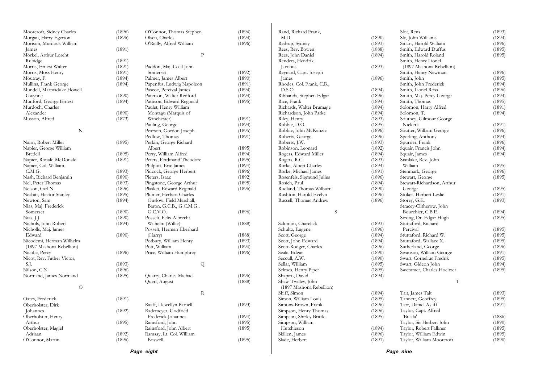| Page eight                        |                  |                                  |                  |                                       |        | Page nine                          |                  |
|-----------------------------------|------------------|----------------------------------|------------------|---------------------------------------|--------|------------------------------------|------------------|
|                                   |                  |                                  |                  |                                       |        |                                    |                  |
| O'Connor, Martin                  | (1896)           | Boswell                          | (1895)           | Slade, Herbert                        | (1891) | Taylor, William Moorcroft          | (1890)           |
| Adriaan                           | (1892)           | Ramsay, Lt. Col. William         |                  | Skillen, James                        | (1896) | Taylor, William Edwin              | (1895)           |
| Oberholster, Magiel               |                  | Rainsford, John Albert           | (1895)           | Hutchieson                            | (1894) | Taylor, Robert Falkner             | (1895)           |
| Arthur                            | (1895)           | Rainsford, John                  | (1895)           | Simpson, William                      |        | Taylor, Sir Herbert John           | (1890)           |
| Oberholster, Henry                |                  | Frederick Johannes               | (1894)           | Simpson, Shirley Brittle              | (1895) | 'Bulala'                           | (1886)           |
| Johannes                          | (1892)           | Rademeyer, Godfried              |                  | Simpson, Henry Thomas                 | (1896) | Taylor, Capt. Alfred               |                  |
| Oberholster, Dirk                 |                  | Raaff, Llewellyn Parnell         | (1893)           | Simons-Brown, Frank                   | (1896) | Tarr, Daniel Ayliff                | (1891)           |
| Oates, Frederick                  | (1891)           |                                  |                  | Simon, William Louis                  | (1895) | Tannett, Geoffrey                  | (1895)           |
|                                   |                  | $\mathbf R$                      |                  | Shiff, Simon                          | (1894) | Tait, James Tait                   | (1893)           |
| $\Omega$                          |                  |                                  |                  | (1897 Mashona Rebellion)              |        |                                    |                  |
|                                   |                  | Querl, August                    | (1888)           | Shaw-Twilley, John                    |        | $\mathbf T$                        |                  |
| Normand, James Normand            | (1895)           | Quarry, Charles Michael          | (1896)           | Shapiro, David                        | (1894) |                                    |                  |
| Nilson, C.N.                      | (1896)           |                                  |                  | Selmes, Henry Piper                   | (1895) | Swemmer, Charles Hoeltzer          | (1895)           |
| S.J.                              | (1893)           | Q                                |                  | Sellar, William                       | (1895) | Swart, Gideon John                 | (1894)           |
| Nicot, Rev. Father Victor,        |                  |                                  |                  | Seccull, A.W.                         | (1890) | Swart, Cornelius Fredrik           | (1895)           |
| Nicolle, Percy                    | (1896)           | Price, William Humphrey          | (1896)           | Seale, Edgar                          | (1890) | Swanson, William George            | (1891)           |
| (1897 Mashona Rebellion)          |                  | Pott, William                    | (1894)           | Scott-Rodger, Charles                 | (1896) | Sutherland, George                 | (1896)           |
| Nicodemi, Herman Wilhelm          |                  | Potbury, William Henry           | (1893)           | Scott, John Edward                    | (1894) | Stuttaford, Wallace X.             | (1895)           |
| Edward                            | (1890)           | (Harry)                          | (1888)           | Scott, George                         | (1894) | Stuttaford, Richard W.             | (1895)           |
| Nicholls, Maj. James              |                  | Posselt, Herman Eberhard         |                  | Schultz, Eugene                       | (1896) | Percival                           | (1895)           |
| Nichols, John Robert              | (1894)           | Wilhelm (Willie)                 | (1888)           | Salomon, Charelick                    | (1893) | Stuttaford, Richard                |                  |
| Nias, J.J.                        | (1890)           | Posselt, Felix Albrecht          |                  |                                       |        | Strong, Dr. Edgar Hugh             | (1895)           |
| Somerset                          | (1890)           |                                  | (1896)           |                                       |        |                                    | (1894)           |
|                                   |                  | G.C.V.O.                         |                  | S                                     |        | Bourchier, C.B.E.                  |                  |
| Nias, Maj. Frederick              |                  | Baron, G.C.B., G.C.M.G.,         |                  |                                       |        | Stracey-Clitherow, John            |                  |
| Newton, Sam                       | (1894)           | Onslow, Field Marshall,          |                  | Russell, Thomas Andrew                | (1896) | Storey, G.E.                       | (1893)           |
| Nesbitt, Hector Stanley           | (1895)           | Plumer, Herbert Charles          |                  | Rushton, Harold Evelyn                | (1896) | Stokes, Herbert Leslie             | (1891)           |
| Nelson, Carl N.                   | (1896)           | Plasket, Edward Reginald         | (1896)           | Rudland, Thomas Wilburn               | (1890) | George                             | (1895)           |
| Nel, Peter Thomas                 | (1893)           | Pingstone, George Arthur         | (1895)           | Rosich, Paul                          | (1894) | Stewart-Richardson, Arthur         |                  |
| Nash, Richard Benjamin            | (1890)           | Pieters, Isaac                   | (1892)           | Rosenfels, Sigmund Julius             | (1896) | Stewart, George                    | (1895)           |
| C.M.G.                            | (1893)           | Pidcock, George Herbert          | (1896)           | Rorke, Michael James                  | (1891) | Stenmark, George                   | (1896)           |
| Napier, Col. William,             |                  | Philpott, Eric James             | (1894)           | Rorke, Albert Charles                 | (1894) | William                            | (1895)           |
| Napier, Ronald McDonald           | (1891)           | Peters, Ferdinand Theodore       | (1895)           | Rogers, R.C.                          | (1893) | Stanlake, Rev. John                |                  |
| Bredell                           | (1895)           | Perry, William Alfred            | (1894)           | Rogers, Edward Miller                 | (1894) | Squair, James                      | (1894)           |
| Napier, George William            |                  | Albert                           | (1895)           | Robinson, Leonard                     | (1892) | Squair, Francis John               | (1894)           |
| Nairn, Robert Miller              | (1895)           | Perkin, George Richard           |                  | Roberts, J.W.                         | (1893) | Spurrier, Frank                    | (1896)           |
|                                   |                  | Pedlow, Thomas                   | (1891)           | Roberts, George                       | (1896) | Sperling, Anthony                  | (1894)           |
| N                                 |                  | Pearson, Gordon Joseph           | (1896)           | Robbie, John McKenzie                 | (1896) | Soutter, William George            | (1896)           |
|                                   |                  | Pauling, George                  | (1894)           | Robbie, D.O.                          | (1895) | Niekerk                            | (1891)           |
| Musson, Alfred                    | (1873)           | Winchester)                      | (1891)           | Riley, Henry                          | (1893) | Southey, Gilmour George            |                  |
| Alexander                         | (1890)           | Montagu (Marquis of              |                  | Richardson, John Parke                | (1894) | Solomon, T.                        | (1894)           |
| Murdoch, Charles                  |                  | Paulet, Henry William            |                  | Richards, Walter Brumage              | (1894) | Solomon, Harry Alfred              | (1891)           |
| Munford, George Ernest            | (1894)           | Pattison, Edward Reginald        | (1895)           | Rice, Frank                           | (1894) | Smith, Thomas                      | (1895)           |
| Gwynne                            | (1890)           | Paterson, Walter Redford         | (1894)           | Ribbands, Stephen Edgar               | (1896) | Smith, Maj. Percy George           | (1894)           |
| Mundell, Marmaduke Howell         |                  | Pascoe, Percival James           | (1894)           |                                       | (1894) | Smith, Lionel Ross                 | (1896)           |
| Mullins, Frank George             | (1894)           | Papenfus, Ludwig Napoleon        | (1891)           | Rhodes, Col. Frank, C.B.,<br>D.S.O.   |        | Smith, John Frederick              | (1894)           |
|                                   |                  |                                  |                  |                                       | (1896) |                                    |                  |
| Morris, Moss Henry<br>Moutray, F. | (1891)<br>(1894) | Somerset<br>Palmer, James Albert | (1892)<br>(1890) | Reynard, Capt. Joseph<br><b>James</b> |        | Smith, Henry Newman<br>Smith, John | (1896)<br>(1895) |
| Morris, Ernest Walter             | (1891)           | Paddon, Maj. Cecil John          |                  | Jacobus                               | (1893) | (1897 Mashona Rebellion)           |                  |
|                                   | (1891)           |                                  |                  | Renders, Hendrik                      |        | Smith, Henry Lionel                |                  |
| Rubidge                           |                  |                                  |                  |                                       |        |                                    |                  |
| Morkel, Arthur Loreht             |                  | $\mathbf{P}$                     |                  | Rees, John Daniel                     | (1894) | Smith, Harold Roland               | (1895)           |
| James                             | (1891)           |                                  |                  | Rees, Rev. Bowen                      | (1888) | Smith, Edward Duffus               | (1895)           |
| Morison, Murdock William          |                  | O'Reilly, Alfred William         | (1896)           | Redrup, Sydney                        | (1893) | Smart, Harold William              | (1896)           |
| Morgan, Harry Egerton             | (1896)           | Olsen, Charles                   | (1894)           | M.D.                                  | (1890) | Sly, John Williams                 | (1894)           |
|                                   |                  |                                  |                  |                                       |        |                                    |                  |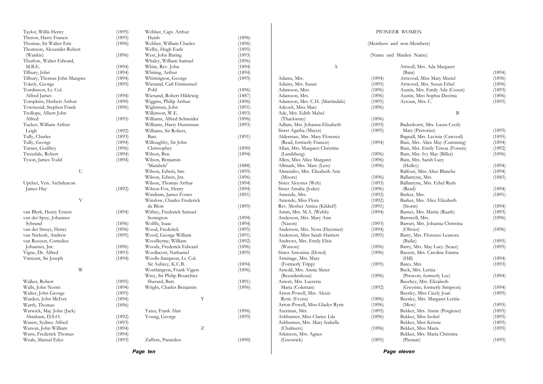| Taylor, Willis Henry        | (1895) | Webber, Capt. Arthur       |        |
|-----------------------------|--------|----------------------------|--------|
| Theron, Harry Francis       | (1895) | Huish                      | (1896) |
| Thomas, Sir Walter Eric     | (1896) | Webber, William Charles    | (1896) |
| Thomson, Alexander Rubert   |        | Welby, Hugh Earle          | (1895) |
| (Wankie)                    | (1896) | West, John Baring          | (1893) |
| Thurlow, Walter Edward,     |        | Whaley, William Samuel     | (1896) |
| M.B.E.                      | (1894) | White, Rev. John           | (1894) |
| Tilbury, John               | (1894) | Whiting, Arthur            | (1894) |
| Tilbury, Thomas John Mangwe | (1894) | Whittington, George        | (1895) |
| Tokely, George              | (1895) | Wienand, Carl Emmanuel     |        |
| Tomlinson, Lt. Col.         |        | Pohl                       | (1896) |
| Alfred James                | (1894) | Wienand, Robert Hildewig   | (1887) |
| Tompkins, Herbert Arthur    | (1890) | Wiggins, Philip Arthur     | (1896) |
| Townsend, Stephen Frank     | (1896) | Wightman, John             | (1891) |
| Trollope, Albert John       |        | Wilkinson, W.E.            | (1893) |
| Alfred                      | (1895) | Williams, Alfred Schneider | (1896) |
|                             |        |                            |        |
| Tucker, William Arthur      |        | Williams, Harry Huntsman   | (1893) |
| Leigh                       | (1892) | Williams, Sir Robert,      |        |
| Tully, Charles              | (1893) | Bart.                      | (1891) |
| Tully, George               | (1894) | Willoughby, Sir John       |        |
| Turner, Godfrey             | (1896) | Christopher                | (1890) |
| Tweedale, Robert            | (1894) | Wilson, Ben                | (1894) |
| Tyson, James Todd           | (1894) | Wilson, Benjamin           |        |
|                             |        | 'Matabele'                 | (1888) |
| U                           |        | Wilson, Edwin, Snr.        | (1895) |
|                             |        | Wilson, Edwin, Jnr.        | (1896) |
| Upcher, Ven. Archdeacon     |        | Wilson, Thomas Arthur      | (1894) |
| James Hay                   | (1892) | Wilson-Fox, Henry          | (1894) |
|                             |        | Windram, James Foster      | (1891) |
| V                           |        | Winslow, Charles Frederick |        |
|                             |        | de Blois                   | (1895) |
| van Blerk, Henry Ernest     | (1894) | Withey, Frederick Samuel   |        |
| van der Spuy, Johannes      |        | Senington                  | (1894) |
| Sybrand                     | (1896) | Wolffe, Isaac              | (1894) |
| van der Struys, Henry       | (1896) | Wood, Frederick            | (1895) |
| van Niekerk, Andrew         | (1895) | Wood, George William       | (1891) |
| van Rooyen, Cornelius       |        | Woodbyrne, William         | (1892) |
| Johannes, Jnr.              | (1896) | Woods, Frederick Edward    | (1896) |
| Vigne, Dr. Alfred           | (1893) | Woollacott, Nathaniel      | (1895) |
| Vintcent, Sir Joseph        | (1894) | Woolls-Sampson, Lt. Col.   |        |
|                             |        | Sir Aubrey, K.C.B.         | (1894) |
| W                           |        | Worthington, Frank Vigers  | (1896) |
|                             |        | Wrey, Sir Philip Bourchier |        |
| Walker, Robert              | (1895) | Sherard, Bart.             | (1891) |
| Walls, John Norris          | (1894) | Wright, Charles Benjamin   | (1896) |
| Walter, John George         | (1895) |                            |        |
| Warden, John McIver         | (1894) | Υ                          |        |
| Warth, Thomas               | (1896) |                            |        |
| Warwick, Maj. John (Jack)   |        | Yates, Frank Alan          | (1896) |
| Abraham, D.S.O.             | (1892) | Young, George              | (1895) |
| Waters, Sydney Alfred       | (1893) |                            |        |
|                             |        | Ζ                          |        |
| Watson, John William        | (1894) |                            |        |
| Watts, Frederick Thomas     | (1894) |                            | (1890) |
| Weale, Mansel Edye          | (1893) | Zaffere, Panardos          |        |

|                                 |        | (Members and non-Members)             |        |
|---------------------------------|--------|---------------------------------------|--------|
|                                 |        | (Name and Maiden Name)                |        |
| А                               |        | Attwell, Mrs. Ada Margaret            |        |
|                                 |        | (Bain)                                | (1894) |
| Adams, Mrs.                     | (1894) | Attwood, Miss Mary Muriel             | (1896) |
| Adams, Mrs. Susan               | (1895) | Attwood, Mrs. Susan Ethel             | (1896) |
| Adamson, Miss                   | (1896) | Austin, Mrs. Emily Ada (Coxen)        | (1893) |
| Adamson, Mrs.                   | (1896) | Austin, Miss Sophia Decima            | (1896) |
| Adamson, Mrs. C.H. (Martindale) | (1895) | Aytoun, Mrs. C.                       | (1895) |
| Adcock, Miss Mary               | (1896) |                                       |        |
| Ade, Mrs. Edith Mabel           |        | B                                     |        |
| (Thackwray)                     | (1896) |                                       |        |
| Adlam, Mrs. Johanna Elizabeth   | (1893) | Badenhorst, Mrs. Laura Cecily         |        |
| Sister Agatha (Mayer)           | (1895) | Mary (Pretorius)                      | (1895) |
| Alderman, Mrs. Mary Florence    |        | Bagnall, Mrs. Lavinia (Cawood)        | (1895) |
| (Read, formerly Francis)        | (1894) | Bain, Mrs. Alice May (Cumming)        | (1894) |
| Allan, Mrs. Margaret Christine  |        | Bain, Mrs. Emily Teresa (Forsen)      | (1892) |
| (Landsberg)                     | (1896) | Bain, Mrs. Ivy May (Biller)           | (1896) |
| Allen, Miss Alice Margaret      | (1896) | Bain, Mrs. Sarah Lucy                 |        |
| Allmark, Mrs. Mary (Less)       | (1896) | (Hulley)                              | (1894) |
| Almendro, Mrs. Elizabeth Ann    |        | Balfour, Miss Alice Blanche           | (1894) |
| (Moore)                         | (1896) | Ballantyne, Mrs.                      | (1885) |
| Sister Aloysius (Weh)           | (1893) | Ballantyne, Mrs. Ethel Ruth           |        |
| Sister Amalia (Joder)           | (1896) | (Read)                                | (1894) |
| Amende, Mrs.                    | (1892) | Barker, Mrs.                          | (1891) |
| Amende, Miss Flora              | (1892) | Barker, Mrs. Alice Elizabeth          |        |
| Rev. Mother Amica (Kilduff)     | (1891) | (Storm)                               | (1894) |
| Amm, Mrs. M.A. (Webb)           | (1894) | Barnet, Mrs. Mattie (Raath)           | (1893) |
| Anderson, Mrs. Mary Ann         |        | Barnwell, Mrs.                        | (1896) |
| (Nason)                         | (1893) | Barratt, Mrs. Johanna Christina       |        |
| Anderson, Mrs. Nora (Haysmer)   | (1894) | (Olivier)                             | (1896) |
| Anderson, Miss Sarah Harriett   | (1895) | Barry, Mrs. Florence Leanora          |        |
| Andrews, Mrs. Emily Elsie       |        | (Bailie)                              | (1895) |
| (Watson)                        | (1896) | Barry, Mrs. May Lucy (Scaer)          | (1895) |
|                                 |        |                                       |        |
| Sister Antonina (Dowd)          | (1896) | Bassett, Mrs. Caroline Emma<br>(Hill) | (1894) |
| Armitage, Mrs. Mary             |        |                                       |        |
| (Formerly Tripp)                | (1895) | Bates, Mrs.                           | (1893) |
| Arnold, Mrs. Annie Slater       |        | Beck, Mrs. Letitia                    |        |
| (Bezuidenhout)                  | (1896) | (Prescott, formerly Lee)              | (1894) |
| Arnott, Mrs. Lucretia           |        | Beechey, Mrs. Elizabeth               |        |
| Maria (Coleman)                 | (1892) | (Gwynne, formerly Simpson)            | (1894) |
| Arton-Powell, Mrs. Alexis       |        | Beesley, Miss Cicely Joan             | (1895) |
| Ryrie (Evens)                   | (1896) | Beesley, Mrs. Margaret Letitia        |        |
| Arton-Powell, Miss Gladys Ryrie | (1896) | (Mew)                                 | (1895) |
| Aserman, Mrs.                   | (1895) | Bekker, Mrs. Annie (Potgieter)        | (1895) |
| Ashburner, Miss Clarice Lila    | (1896) | Bekker, Miss Isobel                   | (1895) |
| Ashburner, Mrs. Mary Isabella   |        | Bekker, Miss Krissie                  | (1895) |
| (Chalmers)                      | (1896) | Bekker, Miss Maria                    | (1895) |
| Atkinson, Mrs. Agnes            |        | Bekker, Mrs. Maria Christina          |        |
| (Greswick)                      | (1895) | (Pienaar)                             | (1895) |

PIONEER WOMEN

*Page eleven*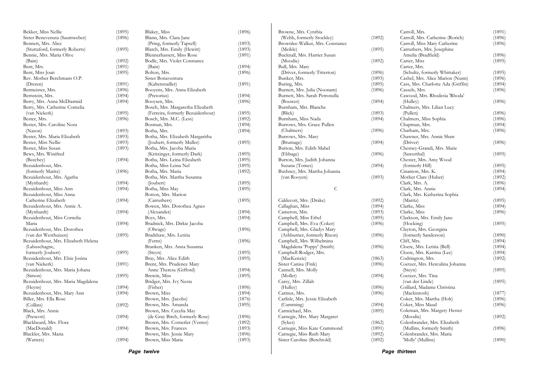| Bekker, Miss Nellie                 | (1895) | Blakey, Miss                                                     | (1896)           |
|-------------------------------------|--------|------------------------------------------------------------------|------------------|
| Sister Benevenuta (Saumweber)       | (1896) | Blann, Mrs. Clara Jane                                           |                  |
| Bennett, Mrs. Alice                 |        | (Pring, formerly Tapsell)                                        | (1893)           |
| (Stuttaford, formerly Roberts)      | (1895) | Blatch, Mrs. Emily (Hewitt)                                      | (1893)           |
| Bennie, Mrs. Maria Olive            |        | Blennerhassett, Miss Rose                                        | (1891)           |
| (Bain)                              | (1892) | Bodle, Mrs. Violet Constance                                     |                  |
| Bent, Mrs.                          | (1891) | (Bain)                                                           | (1894)           |
| Bent, Miss Joan                     | (1895) | Bolton, Mrs.                                                     | (1896)           |
| Rev. Mother Berchmans O.P.          |        | Sister Bonaventura                                               |                  |
| (Dreren)                            | (1891) | (Kaltenstadler)                                                  | (1891)           |
| Bermeister, Mrs.                    | (1896) | Booyens, Mrs. Anna Elizabeth                                     |                  |
| Bernstein, Mrs.                     | (1894) | (Pretorius)                                                      | (1894)           |
| Berry, Mrs. Anna McDiarmid          | (1894) | Booysen, Mrs.                                                    | (1896)           |
| Berry, Mrs. Catherine Cornelia      |        | Bosch, Mrs. Margaretha Elizabeth                                 |                  |
| (van Niekerk)                       | (1895) | (Ferreira, formerly Bezuidenhout)                                | (1895)           |
| Bester, Mrs.                        | (1896) | Bosch, Mrs. M.C. (Less)                                          | (1892)           |
| Bester, Mrs. Caroline Nora          |        | Bosman, Mrs.                                                     | (1894)           |
| (Nason)                             | (1893) | Botha, Mrs.                                                      | (1894)           |
| Bester, Mrs. Maria Elizabeth        | (1893) | Botha, Mrs. Elizabeth Margaritha                                 |                  |
| Bester, Miss Nellie                 | (1893) | (Joubert, formerly Muller)                                       | (1895)           |
| Bester, Miss Susan                  | (1893) | Botha, Mrs. Jacoba Maria                                         |                  |
| Bews, Mrs. Winifred                 |        | (Kritzinger, formerly Dark)                                      | (1895)           |
| (Beechey)                           | (1894) | Botha, Mrs. Leina Elizabeth                                      | (1895)           |
| Bezuidenhout, Mrs.                  |        | Botha, Miss Leina Nel                                            | (1895)           |
| (formerly Maritz)                   | (1896) | Botha, Mrs. Maria                                                | (1892)           |
| Bezuidenhout, Mrs. Agatha           |        | Botha, Mrs. Martha Susanna                                       |                  |
| (Mynhardt)                          | (1894) | (Joubert)                                                        | (1895)           |
| Bezuidenhout, Miss Ann              | (1894) | Botha, Miss May                                                  | (1895)           |
| Bezuidenhout, Miss Anna             |        | Botton, Mrs. Marion                                              |                  |
| Catherine Elizabeth                 | (1894) | (Carruthers)                                                     | (1895)           |
| Bezuidenhout, Mrs. Annie A.         |        | Bowen, Mrs. Dorothea Agnes                                       |                  |
| (Mynhardt)                          | (1894) | (Alexander)                                                      | (1894)           |
| Bezuidenhout, Miss Cornelia         |        | Boys, Mrs.                                                       | (1894)           |
| Maria                               | (1894) | Bradnick, Mrs. Dirkie Jacoba                                     |                  |
| Bezuidenhout, Mrs. Dorothea         |        | (Olwage)                                                         | (1896)           |
| (van der Westhuizen)                | (1895) | Bradshaw, Mrs. Letitia                                           |                  |
| Bezuidenhout, Mrs. Elizabeth Helena |        | (Ferns)                                                          | (1896)           |
| (Labuschagne,                       |        | Branken, Mrs. Anna Susanna                                       |                  |
| formerly Joubert)                   | (1895) | (Steyn)                                                          | (1895)           |
| Bezuidenhout, Mrs. Elsie Josina     |        | Bray, Mrs. Alice Edith                                           | (1895)           |
| (van Niekerk)                       | (1891) | Brent, Mrs. Prudence Mary                                        |                  |
| Bezuidenhout, Mrs. Maria Johana     |        | Anne Theresa (Gifford)                                           | (1894)           |
| (Simon)                             | (1895) | Brewin, Miss                                                     | (1895)           |
| Bezuidenhout, Mrs. Maria Magdalena  |        | Bridger, Mrs. Ivy Nesta                                          |                  |
| (Heyns)                             | (1894) | (Fisher)                                                         | (1896)           |
| Bezuidenhout, Mrs. Mary Ann         | (1894) | Brown, Miss                                                      | (1894)           |
| Biller, Mrs. Ella Rose              |        | Brown, Mrs. (Jacobs)                                             | (1876)           |
| (Collins)                           | (1892) | Brown, Mrs. Amanda                                               | (1895)           |
| Black, Mrs. Annie                   |        | Brown, Mrs. Cecelia May                                          |                  |
| (Prescott)                          |        |                                                                  |                  |
| Blackbeard, Mrs. Flora              | (1894) | (de Gray Birch, formerly Rose)<br>Brown, Mrs. Cornerler (Venter) | (1896)<br>(1892) |
| (MacDonald)                         | (1894) | Brown, Mrs. Frances                                              | (1893)           |
| Blackler, Mrs. Maria                |        | Brown, Mrs. Jessie Mary                                          | (1896)           |
|                                     |        |                                                                  | (1893)           |
| (Watters)                           | (1894) | Brown, Miss Maria                                                |                  |

| Browne, Mrs. Cynthia                                    |                  |
|---------------------------------------------------------|------------------|
| (Webb, formerly Stockley)                               | (1892)           |
| Brownlee-Walker, Mrs. Constance                         |                  |
| (Meikle)                                                | (1895)           |
| Bucknall, Mrs. Harriet Susan                            |                  |
| (Moodie)                                                | (1892)           |
| Bull, Mrs. Mary                                         |                  |
| (Driver, formerly Titterton)                            | (1896)           |
| Bunker, Mrs.                                            | (1893)           |
| Buring, Mrs.                                            | (1895)           |
| Burnett, Mrs. Julia (Noonam)                            | (1896)           |
| Burnett, Mrs. Sarah Petronella                          |                  |
| (Bouwer)                                                | (1894)           |
| Burnham, Mrs. Blanche                                   |                  |
| (Blick)                                                 | (1893)           |
| Burnham, Miss Nada                                      | (1894)           |
| Burrows, Mrs. Grace Pullen                              |                  |
| (Chalmers)                                              | (1896)           |
| Burrows, Mrs. Mary                                      |                  |
| (Brumage)                                               | (1894)           |
| Burton, Mrs. Edith Mabel                                |                  |
| (Ebbage)                                                | (1896)           |
| Burton, Mrs. Judith Johanna                             |                  |
| Suzana (Tomes)                                          | (1894)           |
| Bushney, Mrs. Martha Johanna                            |                  |
| (van Rooyen)                                            | (1893)           |
|                                                         |                  |
|                                                         |                  |
| C                                                       |                  |
|                                                         |                  |
| Caldecott, Mrs. (Drake)                                 | (1892)           |
| Callaghan, Miss                                         | (1894)           |
| Cameron, Mrs.                                           | (1893)           |
| Campbell, Miss Ethel                                    | (1895)           |
| Campbell, Mrs. Eva (Coker)                              | (1896)           |
| Campbell, Mrs. Gladys Mary                              |                  |
| (Ashburner, formerly Rixon)                             | (1896)           |
| Campbell, Mrs. Wilhelmina                               |                  |
| Magdalena 'Poppy' (Smith)                               | (1896)           |
| Campbell-Rodger, Mrs.                                   |                  |
| (MacKenzie)                                             | (1863)           |
| Sister Canisa (Fink)                                    | (1896)           |
| Cannell, Mrs. Molly                                     |                  |
| (Mollet)                                                | (1894)           |
| Carey, Mrs. Zillah                                      |                  |
| (Hulley)                                                | (1896)           |
| Carinus, Mrs.                                           | (1896)           |
| Carlisle, Mrs. Jessie Elizabeth                         |                  |
| (Cumming)                                               | (1894)           |
| Carmichael, Mrs.                                        | (1895)           |
| Carnegie, Mrs. Mary Margaret                            |                  |
| (Sykes)                                                 | (1862)           |
| Carnegie, Miss Kate Crammond                            | (1891)           |
| Carnegie, Miss Ruth Mary<br>Sister Caroline (Berchtold) | (1892)<br>(1892) |

|      | Carroll, Mrs.                      | (1891) |
|------|------------------------------------|--------|
| (92) | Carroll, Mrs. Catherine (Rorich)   | (1896) |
|      | Carroll, Miss Mary Catherine       | (1896) |
| 95)  | Carruthers, Mrs. Josephine         |        |
|      | Amelia (Bradfield)                 | (1896) |
| 92)  | Carter, Miss                       | (1895) |
|      | Carter, Mrs.                       |        |
| 96)  | (Schultz, formerly Whittaker)      | (1895) |
| :93) | Cashel, Mrs. Alice Marion (Nunn)   | (1896) |
| :95) | Cass, Mrs. Charlotte Ada (Griffin) | (1894) |
| 96)  | Cassels, Mrs.                      | (1896) |
|      | Cawood, Mrs. Rhodesia 'Rhoda'      |        |
| 94)  | (Hulley)                           | (1896) |
|      | Chalmers, Mrs. Lilian Lucy         |        |
| 93)  | (Pullen)                           | (1896) |
| 94)  | Chalmers, Miss Sophia              | (1896) |
|      | Chapman, Mrs.                      | (1894) |
| 96)  | Chatham, Mrs.                      | (1896) |
|      | Chawner, Mrs. Annie Shaw           |        |
| :94) | (Driver)                           | (1896) |
|      | Chesney-Grandi, Mrs. Marie         |        |
| 96)  | (Sawerthal)                        | (1895) |
|      | Chester, Mrs. Amy Wood             |        |
| (94) | (formerly Hill)                    | (1895) |
|      | Cinamon, Mrs. K.                   | (1894) |
| :93) | Mother Clare (Huber)               | (1892) |
|      | Clark, Mrs. A.                     | (1896) |
|      | Clark, Mrs. Annie                  | (1894) |
|      | Clark, Mrs. Katherina Sophia       |        |
| 392) | (Maritz)                           | (1895) |
| :94) | Clarke, Miss                       | (1894) |
| :93) | Clarke, Miss                       | (1896) |
| :95) | Clarkson, Mrs. Emily Jane          |        |
| 96)  | (Hocking)                          | (1895) |
|      | Clayton, Mrs. Georgina             |        |
| 396) | (formerly Sanderson)               | (1890) |
|      | Cliff, Mrs.                        | (1894) |
| 96)  | Cloete, Mrs. Letitia (Bell)        | (1894) |
|      | Cloete, Mrs. Katrina (Lee)         | (1894) |
| 63)  | Codrington, Mrs.                   | (1892) |
| 96)  | Coetzer, Mrs. Herculina Johanna    |        |
|      | (Steyn)                            | (1895) |
| 94)  | Coetzer, Mrs. Tina                 |        |
|      | (van der Linde)                    | (1895) |
| 96)  | Coillard, Madame Christina         |        |
| 96)  | (Mackintosh)                       | (1877) |
|      | Coker, Mrs. Martha (Holt)          | (1896) |
| (94) | Coker, Miss Maud                   | (1896) |
| 395) | Coleman, Mrs. Margery Hester       |        |
|      | (Moodie)                           | (1892) |
| (62) | Colenbrander, Mrs. Elizabeth       |        |
| 91)  | (Mullins, formerly Smith)          | (1896) |
| :92) | Colenbrander, Mrs. Maria           |        |
| :92) | 'Molly' (Mullins)                  | (1890) |

*Page twelve* 

*Page thirteen*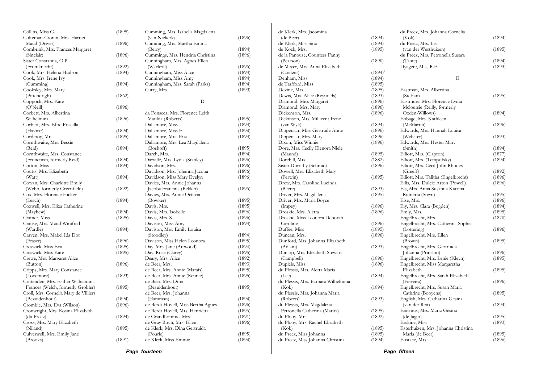| Cornthwaite, Mrs. Bessie<br>Cornthwaite, Mrs. Constance<br>(Froneman, formerly Reid)<br>Coutts, Mrs. Elizabeth<br>Cowan, Mrs. Charlotte Emily<br>(Webb, formerly Greenfield)<br>Cox, Mrs. Florence Hickey<br>Coxwell, Mrs. Eliza Catherine<br>Crause, Mrs. Maud Winifred<br>Craven, Mrs. Mabel Ida Dot<br>Creswick, Miss Eva<br>Creswick, Miss Kate<br>Crewe, Mrs. Margaret Alice<br>Cripps, Mrs. Mary Constance<br>Crittenden, Mrs. Esther Wilhelmina<br>Frances (Welch, formerly Grobler)<br>Croll, Mrs. Cornelia Mary de Villiers<br>Crombie, Mrs. Eva (Wilson)<br>Cronwright, Mrs. Rosina Elizabeth<br>Cross, Mrs. Mary Elizabeth<br>Culverwell, Mrs. Emily Jane | (1895)<br>(1894)<br>(1894)<br>(1894)<br>(1894)<br>(1892)<br>(1894)<br>(1894)<br>(1895)<br>(1894)<br>(1896)<br>(1895)<br>(1895)<br>(1896)<br>(1893)<br>(1895)<br>(1894)<br>(1896)<br>(1894)<br>(1895)<br>(1891) | Dallamore, Mrs. Ena<br>Dallamore, Mrs. Lea Magdalena<br>(Boshoff)<br>Darch, Mrs.<br>Darville, Mrs. Lydia (Stanley)<br>Davidson, Mrs.<br>Davidson, Mrs. Johanna Jacoba<br>Davidson, Miss Mary Evelyn<br>Davies, Mrs. Annie Johanna<br>Jacoba Francina (Bekker)<br>Davies, Mrs. Annie Octavia<br>(Bowker)<br>Davis, Mrs.<br>Davis, Mrs. Isobelle<br>Davis, Mrs. S<br>Davison, Miss Amy<br>Davison, Mrs. Emily Louisa<br>(Stoodley)<br>Davison, Miss Helen Leonora<br>Day, Mrs. Jane (Attwood)<br>Day, Rose (Clarey)<br>Deary, Mrs. Alice<br>de Beer, Mrs.<br>de Beer, Mrs. Annie (Marais)<br>de Beer, Mrs. Annie (Rennie)<br>de Beer, Mrs. Dora<br>(Bezuidenhout)<br>de Beer, Mrs. Johanna<br>(Hamman)<br>de Berdt Hovell, Miss Bertha Agnes<br>de Berdt Hovell, Mrs. Henrietta<br>de Grandhomme, Mrs.<br>de Gray Birch, Mrs. Ellen<br>de Klerk, Mrs. Dina Gertruida<br>(Fourie)<br>de Klerk, Miss Emmie | (1894)<br>(1895)<br>(1894)<br>(1896)<br>(1896)<br>(1896)<br>(1896)<br>(1896)<br>(1895)<br>(1895)<br>(1896)<br>(1896)<br>(1894)<br>(1894)<br>(1895)<br>(1894)<br>(1895)<br>(1892)<br>(1893)<br>(1895)<br>(1895)<br>(1895)<br>(1894)<br>(1896)<br>(1896)<br>(1891)<br>(1896)<br>(1895)<br>(1894)                         | Dixon, Miss Winnie<br>Dore, Mrs. Cecily Elenora Niele<br>(Maund)<br>Dorehill, Mrs.<br>Sister Dorothy (Schmid)<br>Dowell, Mrs. Elizabeth Mary<br>(Ferwin)<br>Drew, Mrs. Caroline Lucinda<br>(Beere)<br>Driver, Mrs. Magdalena<br>Driver, Mrs. Maria Boyce<br>(Impey)<br>Droskie, Mrs. Aletta<br>Droskie, Miss Leonora Deborah<br>Caroline<br>Duffee, Miss<br>Duncan, Mrs.<br>Dunford, Mrs. Johanna Elizabeth<br>(Adlam)<br>Dunlop, Mrs. Elizabeth Stewart<br>(Campbell)<br>Dupleis, Miss<br>du Plessis, Mrs. Aletta Maria<br>(Lee)<br>du Plessis, Mrs. Barbara Wilhelmina<br>(Kok)<br>du Plessis, Mrs. Johanna Maria<br>(Roberts)<br>du Plessis, Mrs. Magdalena<br>Petronella Catherina (Maritz)<br>du Plooy, Mrs.<br>du Plooy, Mrs. Rachel Elizabeth<br>(Kok)<br>du Preez, Miss Johanna<br>du Preez, Miss Johanna Christina | (1896)<br>(1896)<br>(1895)<br>(1882)<br>(1896)<br>(1895)<br>(1893)<br>(1895)<br>(1896)<br>(1896)<br>(1896)<br>(1895)<br>(1896)<br>(1893)<br>(1896)<br>(1896)<br>(1894)<br>(1894)<br>(1893)<br>(1895)<br>(1892)<br>(1895)<br>(1895)<br>(1894)                                                          | (Webster)<br>Edwards, Mrs. Hester Mary<br>(Smith)<br>Elliott, Mrs. (Clapton)<br>Elliott, Mrs. (Tempofsky)<br>Elliott, Mrs. Cecil John Rhodes<br>(Greeff)<br>Elliott, Mrs. Talitha (Engelbrecht)<br>Ellis, Mrs. Dulcie Arton (Powell)<br>Els, Mrs. Anna Susanna Katrina<br>Rumerta (Steyn)<br>Else, Mrs.<br>Ely, Mrs. Clara (Bugden)<br>Emly, Mrs.<br>Engelbrecht, Mrs.<br>Engelbrecht, Mrs. Catherina Sophia<br>(Lottering)<br>Engelbrecht, Mrs. Ellen<br>(Brown)<br>Engelbrecht, Mrs. Gertruida<br>Johanna (Prinsloo)<br>Engelbrecht, Mrs. Lenie (Kleyn)<br>Engelbrecht, Miss Margaretha<br>Elizabeth<br>Engelbrecht, Mrs. Sarah Elizabeth<br>(Ferreira)<br>Engelbrecht, Mrs. Susan Maria<br>Cathrine (Booyens)<br>English, Mrs. Catharina Gesina<br>(van der Reit)<br>Erasmus, Mrs. Maria Gesina<br>(de Jager)<br>Erskine, Miss<br>Esterhuizen, Mrs. Johanna Christina<br>Maria (de Beer)<br>Eustace, Mrs. | (1893)<br>(1894)<br>(1877)<br>(1894)<br>(1892)<br>(1896)<br>(1896)<br>(1895)<br>(1896)<br>(1894)<br>(1895)<br>(1870)<br>(1896)<br>(1895)<br>(1896)<br>(1895)<br>(1895)<br>(1896)<br>(1895)<br>(1894)<br>(1895)<br>(1893)<br>(1895)<br>(1896)                      |
|----------------------------------------------------------------------------------------------------------------------------------------------------------------------------------------------------------------------------------------------------------------------------------------------------------------------------------------------------------------------------------------------------------------------------------------------------------------------------------------------------------------------------------------------------------------------------------------------------------------------------------------------------------------------|----------------------------------------------------------------------------------------------------------------------------------------------------------------------------------------------------------------|--------------------------------------------------------------------------------------------------------------------------------------------------------------------------------------------------------------------------------------------------------------------------------------------------------------------------------------------------------------------------------------------------------------------------------------------------------------------------------------------------------------------------------------------------------------------------------------------------------------------------------------------------------------------------------------------------------------------------------------------------------------------------------------------------------------------------------------------------------------------------------------------------------|------------------------------------------------------------------------------------------------------------------------------------------------------------------------------------------------------------------------------------------------------------------------------------------------------------------------|-----------------------------------------------------------------------------------------------------------------------------------------------------------------------------------------------------------------------------------------------------------------------------------------------------------------------------------------------------------------------------------------------------------------------------------------------------------------------------------------------------------------------------------------------------------------------------------------------------------------------------------------------------------------------------------------------------------------------------------------------------------------------------------------------------------------------------|-------------------------------------------------------------------------------------------------------------------------------------------------------------------------------------------------------------------------------------------------------------------------------------------------------|--------------------------------------------------------------------------------------------------------------------------------------------------------------------------------------------------------------------------------------------------------------------------------------------------------------------------------------------------------------------------------------------------------------------------------------------------------------------------------------------------------------------------------------------------------------------------------------------------------------------------------------------------------------------------------------------------------------------------------------------------------------------------------------------------------------------------------------------------------------------------------------------------------------|-------------------------------------------------------------------------------------------------------------------------------------------------------------------------------------------------------------------------------------------------------------------|
|                                                                                                                                                                                                                                                                                                                                                                                                                                                                                                                                                                                                                                                                      |                                                                                                                                                                                                                |                                                                                                                                                                                                                                                                                                                                                                                                                                                                                                                                                                                                                                                                                                                                                                                                                                                                                                        |                                                                                                                                                                                                                                                                                                                        |                                                                                                                                                                                                                                                                                                                                                                                                                                                                                                                                                                                                                                                                                                                                                                                                                             |                                                                                                                                                                                                                                                                                                       |                                                                                                                                                                                                                                                                                                                                                                                                                                                                                                                                                                                                                                                                                                                                                                                                                                                                                                              |                                                                                                                                                                                                                                                                   |
|                                                                                                                                                                                                                                                                                                                                                                                                                                                                                                                                                                                                                                                                      |                                                                                                                                                                                                                |                                                                                                                                                                                                                                                                                                                                                                                                                                                                                                                                                                                                                                                                                                                                                                                                                                                                                                        |                                                                                                                                                                                                                                                                                                                        |                                                                                                                                                                                                                                                                                                                                                                                                                                                                                                                                                                                                                                                                                                                                                                                                                             |                                                                                                                                                                                                                                                                                                       |                                                                                                                                                                                                                                                                                                                                                                                                                                                                                                                                                                                                                                                                                                                                                                                                                                                                                                              |                                                                                                                                                                                                                                                                   |
|                                                                                                                                                                                                                                                                                                                                                                                                                                                                                                                                                                                                                                                                      |                                                                                                                                                                                                                |                                                                                                                                                                                                                                                                                                                                                                                                                                                                                                                                                                                                                                                                                                                                                                                                                                                                                                        |                                                                                                                                                                                                                                                                                                                        |                                                                                                                                                                                                                                                                                                                                                                                                                                                                                                                                                                                                                                                                                                                                                                                                                             |                                                                                                                                                                                                                                                                                                       |                                                                                                                                                                                                                                                                                                                                                                                                                                                                                                                                                                                                                                                                                                                                                                                                                                                                                                              |                                                                                                                                                                                                                                                                   |
|                                                                                                                                                                                                                                                                                                                                                                                                                                                                                                                                                                                                                                                                      |                                                                                                                                                                                                                |                                                                                                                                                                                                                                                                                                                                                                                                                                                                                                                                                                                                                                                                                                                                                                                                                                                                                                        |                                                                                                                                                                                                                                                                                                                        |                                                                                                                                                                                                                                                                                                                                                                                                                                                                                                                                                                                                                                                                                                                                                                                                                             |                                                                                                                                                                                                                                                                                                       |                                                                                                                                                                                                                                                                                                                                                                                                                                                                                                                                                                                                                                                                                                                                                                                                                                                                                                              |                                                                                                                                                                                                                                                                   |
|                                                                                                                                                                                                                                                                                                                                                                                                                                                                                                                                                                                                                                                                      |                                                                                                                                                                                                                |                                                                                                                                                                                                                                                                                                                                                                                                                                                                                                                                                                                                                                                                                                                                                                                                                                                                                                        |                                                                                                                                                                                                                                                                                                                        |                                                                                                                                                                                                                                                                                                                                                                                                                                                                                                                                                                                                                                                                                                                                                                                                                             |                                                                                                                                                                                                                                                                                                       |                                                                                                                                                                                                                                                                                                                                                                                                                                                                                                                                                                                                                                                                                                                                                                                                                                                                                                              |                                                                                                                                                                                                                                                                   |
|                                                                                                                                                                                                                                                                                                                                                                                                                                                                                                                                                                                                                                                                      |                                                                                                                                                                                                                |                                                                                                                                                                                                                                                                                                                                                                                                                                                                                                                                                                                                                                                                                                                                                                                                                                                                                                        |                                                                                                                                                                                                                                                                                                                        |                                                                                                                                                                                                                                                                                                                                                                                                                                                                                                                                                                                                                                                                                                                                                                                                                             |                                                                                                                                                                                                                                                                                                       |                                                                                                                                                                                                                                                                                                                                                                                                                                                                                                                                                                                                                                                                                                                                                                                                                                                                                                              |                                                                                                                                                                                                                                                                   |
|                                                                                                                                                                                                                                                                                                                                                                                                                                                                                                                                                                                                                                                                      |                                                                                                                                                                                                                |                                                                                                                                                                                                                                                                                                                                                                                                                                                                                                                                                                                                                                                                                                                                                                                                                                                                                                        |                                                                                                                                                                                                                                                                                                                        |                                                                                                                                                                                                                                                                                                                                                                                                                                                                                                                                                                                                                                                                                                                                                                                                                             |                                                                                                                                                                                                                                                                                                       |                                                                                                                                                                                                                                                                                                                                                                                                                                                                                                                                                                                                                                                                                                                                                                                                                                                                                                              |                                                                                                                                                                                                                                                                   |
|                                                                                                                                                                                                                                                                                                                                                                                                                                                                                                                                                                                                                                                                      |                                                                                                                                                                                                                |                                                                                                                                                                                                                                                                                                                                                                                                                                                                                                                                                                                                                                                                                                                                                                                                                                                                                                        |                                                                                                                                                                                                                                                                                                                        |                                                                                                                                                                                                                                                                                                                                                                                                                                                                                                                                                                                                                                                                                                                                                                                                                             |                                                                                                                                                                                                                                                                                                       |                                                                                                                                                                                                                                                                                                                                                                                                                                                                                                                                                                                                                                                                                                                                                                                                                                                                                                              |                                                                                                                                                                                                                                                                   |
|                                                                                                                                                                                                                                                                                                                                                                                                                                                                                                                                                                                                                                                                      |                                                                                                                                                                                                                |                                                                                                                                                                                                                                                                                                                                                                                                                                                                                                                                                                                                                                                                                                                                                                                                                                                                                                        |                                                                                                                                                                                                                                                                                                                        |                                                                                                                                                                                                                                                                                                                                                                                                                                                                                                                                                                                                                                                                                                                                                                                                                             |                                                                                                                                                                                                                                                                                                       |                                                                                                                                                                                                                                                                                                                                                                                                                                                                                                                                                                                                                                                                                                                                                                                                                                                                                                              |                                                                                                                                                                                                                                                                   |
|                                                                                                                                                                                                                                                                                                                                                                                                                                                                                                                                                                                                                                                                      |                                                                                                                                                                                                                |                                                                                                                                                                                                                                                                                                                                                                                                                                                                                                                                                                                                                                                                                                                                                                                                                                                                                                        |                                                                                                                                                                                                                                                                                                                        |                                                                                                                                                                                                                                                                                                                                                                                                                                                                                                                                                                                                                                                                                                                                                                                                                             |                                                                                                                                                                                                                                                                                                       |                                                                                                                                                                                                                                                                                                                                                                                                                                                                                                                                                                                                                                                                                                                                                                                                                                                                                                              |                                                                                                                                                                                                                                                                   |
|                                                                                                                                                                                                                                                                                                                                                                                                                                                                                                                                                                                                                                                                      |                                                                                                                                                                                                                |                                                                                                                                                                                                                                                                                                                                                                                                                                                                                                                                                                                                                                                                                                                                                                                                                                                                                                        |                                                                                                                                                                                                                                                                                                                        |                                                                                                                                                                                                                                                                                                                                                                                                                                                                                                                                                                                                                                                                                                                                                                                                                             |                                                                                                                                                                                                                                                                                                       |                                                                                                                                                                                                                                                                                                                                                                                                                                                                                                                                                                                                                                                                                                                                                                                                                                                                                                              |                                                                                                                                                                                                                                                                   |
|                                                                                                                                                                                                                                                                                                                                                                                                                                                                                                                                                                                                                                                                      |                                                                                                                                                                                                                |                                                                                                                                                                                                                                                                                                                                                                                                                                                                                                                                                                                                                                                                                                                                                                                                                                                                                                        |                                                                                                                                                                                                                                                                                                                        |                                                                                                                                                                                                                                                                                                                                                                                                                                                                                                                                                                                                                                                                                                                                                                                                                             |                                                                                                                                                                                                                                                                                                       |                                                                                                                                                                                                                                                                                                                                                                                                                                                                                                                                                                                                                                                                                                                                                                                                                                                                                                              |                                                                                                                                                                                                                                                                   |
|                                                                                                                                                                                                                                                                                                                                                                                                                                                                                                                                                                                                                                                                      |                                                                                                                                                                                                                |                                                                                                                                                                                                                                                                                                                                                                                                                                                                                                                                                                                                                                                                                                                                                                                                                                                                                                        |                                                                                                                                                                                                                                                                                                                        |                                                                                                                                                                                                                                                                                                                                                                                                                                                                                                                                                                                                                                                                                                                                                                                                                             |                                                                                                                                                                                                                                                                                                       |                                                                                                                                                                                                                                                                                                                                                                                                                                                                                                                                                                                                                                                                                                                                                                                                                                                                                                              |                                                                                                                                                                                                                                                                   |
|                                                                                                                                                                                                                                                                                                                                                                                                                                                                                                                                                                                                                                                                      |                                                                                                                                                                                                                |                                                                                                                                                                                                                                                                                                                                                                                                                                                                                                                                                                                                                                                                                                                                                                                                                                                                                                        |                                                                                                                                                                                                                                                                                                                        |                                                                                                                                                                                                                                                                                                                                                                                                                                                                                                                                                                                                                                                                                                                                                                                                                             |                                                                                                                                                                                                                                                                                                       |                                                                                                                                                                                                                                                                                                                                                                                                                                                                                                                                                                                                                                                                                                                                                                                                                                                                                                              |                                                                                                                                                                                                                                                                   |
|                                                                                                                                                                                                                                                                                                                                                                                                                                                                                                                                                                                                                                                                      |                                                                                                                                                                                                                |                                                                                                                                                                                                                                                                                                                                                                                                                                                                                                                                                                                                                                                                                                                                                                                                                                                                                                        |                                                                                                                                                                                                                                                                                                                        |                                                                                                                                                                                                                                                                                                                                                                                                                                                                                                                                                                                                                                                                                                                                                                                                                             |                                                                                                                                                                                                                                                                                                       |                                                                                                                                                                                                                                                                                                                                                                                                                                                                                                                                                                                                                                                                                                                                                                                                                                                                                                              |                                                                                                                                                                                                                                                                   |
|                                                                                                                                                                                                                                                                                                                                                                                                                                                                                                                                                                                                                                                                      |                                                                                                                                                                                                                |                                                                                                                                                                                                                                                                                                                                                                                                                                                                                                                                                                                                                                                                                                                                                                                                                                                                                                        |                                                                                                                                                                                                                                                                                                                        |                                                                                                                                                                                                                                                                                                                                                                                                                                                                                                                                                                                                                                                                                                                                                                                                                             |                                                                                                                                                                                                                                                                                                       |                                                                                                                                                                                                                                                                                                                                                                                                                                                                                                                                                                                                                                                                                                                                                                                                                                                                                                              |                                                                                                                                                                                                                                                                   |
|                                                                                                                                                                                                                                                                                                                                                                                                                                                                                                                                                                                                                                                                      |                                                                                                                                                                                                                |                                                                                                                                                                                                                                                                                                                                                                                                                                                                                                                                                                                                                                                                                                                                                                                                                                                                                                        |                                                                                                                                                                                                                                                                                                                        |                                                                                                                                                                                                                                                                                                                                                                                                                                                                                                                                                                                                                                                                                                                                                                                                                             |                                                                                                                                                                                                                                                                                                       |                                                                                                                                                                                                                                                                                                                                                                                                                                                                                                                                                                                                                                                                                                                                                                                                                                                                                                              |                                                                                                                                                                                                                                                                   |
|                                                                                                                                                                                                                                                                                                                                                                                                                                                                                                                                                                                                                                                                      |                                                                                                                                                                                                                |                                                                                                                                                                                                                                                                                                                                                                                                                                                                                                                                                                                                                                                                                                                                                                                                                                                                                                        |                                                                                                                                                                                                                                                                                                                        |                                                                                                                                                                                                                                                                                                                                                                                                                                                                                                                                                                                                                                                                                                                                                                                                                             |                                                                                                                                                                                                                                                                                                       |                                                                                                                                                                                                                                                                                                                                                                                                                                                                                                                                                                                                                                                                                                                                                                                                                                                                                                              |                                                                                                                                                                                                                                                                   |
|                                                                                                                                                                                                                                                                                                                                                                                                                                                                                                                                                                                                                                                                      |                                                                                                                                                                                                                |                                                                                                                                                                                                                                                                                                                                                                                                                                                                                                                                                                                                                                                                                                                                                                                                                                                                                                        |                                                                                                                                                                                                                                                                                                                        |                                                                                                                                                                                                                                                                                                                                                                                                                                                                                                                                                                                                                                                                                                                                                                                                                             |                                                                                                                                                                                                                                                                                                       |                                                                                                                                                                                                                                                                                                                                                                                                                                                                                                                                                                                                                                                                                                                                                                                                                                                                                                              |                                                                                                                                                                                                                                                                   |
|                                                                                                                                                                                                                                                                                                                                                                                                                                                                                                                                                                                                                                                                      |                                                                                                                                                                                                                |                                                                                                                                                                                                                                                                                                                                                                                                                                                                                                                                                                                                                                                                                                                                                                                                                                                                                                        |                                                                                                                                                                                                                                                                                                                        |                                                                                                                                                                                                                                                                                                                                                                                                                                                                                                                                                                                                                                                                                                                                                                                                                             |                                                                                                                                                                                                                                                                                                       |                                                                                                                                                                                                                                                                                                                                                                                                                                                                                                                                                                                                                                                                                                                                                                                                                                                                                                              |                                                                                                                                                                                                                                                                   |
|                                                                                                                                                                                                                                                                                                                                                                                                                                                                                                                                                                                                                                                                      |                                                                                                                                                                                                                |                                                                                                                                                                                                                                                                                                                                                                                                                                                                                                                                                                                                                                                                                                                                                                                                                                                                                                        |                                                                                                                                                                                                                                                                                                                        |                                                                                                                                                                                                                                                                                                                                                                                                                                                                                                                                                                                                                                                                                                                                                                                                                             |                                                                                                                                                                                                                                                                                                       |                                                                                                                                                                                                                                                                                                                                                                                                                                                                                                                                                                                                                                                                                                                                                                                                                                                                                                              |                                                                                                                                                                                                                                                                   |
|                                                                                                                                                                                                                                                                                                                                                                                                                                                                                                                                                                                                                                                                      |                                                                                                                                                                                                                |                                                                                                                                                                                                                                                                                                                                                                                                                                                                                                                                                                                                                                                                                                                                                                                                                                                                                                        |                                                                                                                                                                                                                                                                                                                        |                                                                                                                                                                                                                                                                                                                                                                                                                                                                                                                                                                                                                                                                                                                                                                                                                             |                                                                                                                                                                                                                                                                                                       |                                                                                                                                                                                                                                                                                                                                                                                                                                                                                                                                                                                                                                                                                                                                                                                                                                                                                                              |                                                                                                                                                                                                                                                                   |
|                                                                                                                                                                                                                                                                                                                                                                                                                                                                                                                                                                                                                                                                      |                                                                                                                                                                                                                |                                                                                                                                                                                                                                                                                                                                                                                                                                                                                                                                                                                                                                                                                                                                                                                                                                                                                                        |                                                                                                                                                                                                                                                                                                                        |                                                                                                                                                                                                                                                                                                                                                                                                                                                                                                                                                                                                                                                                                                                                                                                                                             |                                                                                                                                                                                                                                                                                                       |                                                                                                                                                                                                                                                                                                                                                                                                                                                                                                                                                                                                                                                                                                                                                                                                                                                                                                              |                                                                                                                                                                                                                                                                   |
|                                                                                                                                                                                                                                                                                                                                                                                                                                                                                                                                                                                                                                                                      |                                                                                                                                                                                                                |                                                                                                                                                                                                                                                                                                                                                                                                                                                                                                                                                                                                                                                                                                                                                                                                                                                                                                        |                                                                                                                                                                                                                                                                                                                        |                                                                                                                                                                                                                                                                                                                                                                                                                                                                                                                                                                                                                                                                                                                                                                                                                             |                                                                                                                                                                                                                                                                                                       |                                                                                                                                                                                                                                                                                                                                                                                                                                                                                                                                                                                                                                                                                                                                                                                                                                                                                                              |                                                                                                                                                                                                                                                                   |
|                                                                                                                                                                                                                                                                                                                                                                                                                                                                                                                                                                                                                                                                      |                                                                                                                                                                                                                |                                                                                                                                                                                                                                                                                                                                                                                                                                                                                                                                                                                                                                                                                                                                                                                                                                                                                                        |                                                                                                                                                                                                                                                                                                                        |                                                                                                                                                                                                                                                                                                                                                                                                                                                                                                                                                                                                                                                                                                                                                                                                                             |                                                                                                                                                                                                                                                                                                       |                                                                                                                                                                                                                                                                                                                                                                                                                                                                                                                                                                                                                                                                                                                                                                                                                                                                                                              |                                                                                                                                                                                                                                                                   |
|                                                                                                                                                                                                                                                                                                                                                                                                                                                                                                                                                                                                                                                                      |                                                                                                                                                                                                                |                                                                                                                                                                                                                                                                                                                                                                                                                                                                                                                                                                                                                                                                                                                                                                                                                                                                                                        |                                                                                                                                                                                                                                                                                                                        |                                                                                                                                                                                                                                                                                                                                                                                                                                                                                                                                                                                                                                                                                                                                                                                                                             |                                                                                                                                                                                                                                                                                                       |                                                                                                                                                                                                                                                                                                                                                                                                                                                                                                                                                                                                                                                                                                                                                                                                                                                                                                              |                                                                                                                                                                                                                                                                   |
|                                                                                                                                                                                                                                                                                                                                                                                                                                                                                                                                                                                                                                                                      |                                                                                                                                                                                                                |                                                                                                                                                                                                                                                                                                                                                                                                                                                                                                                                                                                                                                                                                                                                                                                                                                                                                                        |                                                                                                                                                                                                                                                                                                                        |                                                                                                                                                                                                                                                                                                                                                                                                                                                                                                                                                                                                                                                                                                                                                                                                                             |                                                                                                                                                                                                                                                                                                       |                                                                                                                                                                                                                                                                                                                                                                                                                                                                                                                                                                                                                                                                                                                                                                                                                                                                                                              |                                                                                                                                                                                                                                                                   |
|                                                                                                                                                                                                                                                                                                                                                                                                                                                                                                                                                                                                                                                                      |                                                                                                                                                                                                                |                                                                                                                                                                                                                                                                                                                                                                                                                                                                                                                                                                                                                                                                                                                                                                                                                                                                                                        |                                                                                                                                                                                                                                                                                                                        |                                                                                                                                                                                                                                                                                                                                                                                                                                                                                                                                                                                                                                                                                                                                                                                                                             |                                                                                                                                                                                                                                                                                                       |                                                                                                                                                                                                                                                                                                                                                                                                                                                                                                                                                                                                                                                                                                                                                                                                                                                                                                              |                                                                                                                                                                                                                                                                   |
|                                                                                                                                                                                                                                                                                                                                                                                                                                                                                                                                                                                                                                                                      |                                                                                                                                                                                                                |                                                                                                                                                                                                                                                                                                                                                                                                                                                                                                                                                                                                                                                                                                                                                                                                                                                                                                        |                                                                                                                                                                                                                                                                                                                        |                                                                                                                                                                                                                                                                                                                                                                                                                                                                                                                                                                                                                                                                                                                                                                                                                             |                                                                                                                                                                                                                                                                                                       |                                                                                                                                                                                                                                                                                                                                                                                                                                                                                                                                                                                                                                                                                                                                                                                                                                                                                                              |                                                                                                                                                                                                                                                                   |
|                                                                                                                                                                                                                                                                                                                                                                                                                                                                                                                                                                                                                                                                      |                                                                                                                                                                                                                |                                                                                                                                                                                                                                                                                                                                                                                                                                                                                                                                                                                                                                                                                                                                                                                                                                                                                                        |                                                                                                                                                                                                                                                                                                                        |                                                                                                                                                                                                                                                                                                                                                                                                                                                                                                                                                                                                                                                                                                                                                                                                                             |                                                                                                                                                                                                                                                                                                       |                                                                                                                                                                                                                                                                                                                                                                                                                                                                                                                                                                                                                                                                                                                                                                                                                                                                                                              |                                                                                                                                                                                                                                                                   |
|                                                                                                                                                                                                                                                                                                                                                                                                                                                                                                                                                                                                                                                                      |                                                                                                                                                                                                                |                                                                                                                                                                                                                                                                                                                                                                                                                                                                                                                                                                                                                                                                                                                                                                                                                                                                                                        |                                                                                                                                                                                                                                                                                                                        |                                                                                                                                                                                                                                                                                                                                                                                                                                                                                                                                                                                                                                                                                                                                                                                                                             |                                                                                                                                                                                                                                                                                                       |                                                                                                                                                                                                                                                                                                                                                                                                                                                                                                                                                                                                                                                                                                                                                                                                                                                                                                              |                                                                                                                                                                                                                                                                   |
|                                                                                                                                                                                                                                                                                                                                                                                                                                                                                                                                                                                                                                                                      |                                                                                                                                                                                                                |                                                                                                                                                                                                                                                                                                                                                                                                                                                                                                                                                                                                                                                                                                                                                                                                                                                                                                        |                                                                                                                                                                                                                                                                                                                        |                                                                                                                                                                                                                                                                                                                                                                                                                                                                                                                                                                                                                                                                                                                                                                                                                             |                                                                                                                                                                                                                                                                                                       |                                                                                                                                                                                                                                                                                                                                                                                                                                                                                                                                                                                                                                                                                                                                                                                                                                                                                                              |                                                                                                                                                                                                                                                                   |
|                                                                                                                                                                                                                                                                                                                                                                                                                                                                                                                                                                                                                                                                      |                                                                                                                                                                                                                |                                                                                                                                                                                                                                                                                                                                                                                                                                                                                                                                                                                                                                                                                                                                                                                                                                                                                                        |                                                                                                                                                                                                                                                                                                                        |                                                                                                                                                                                                                                                                                                                                                                                                                                                                                                                                                                                                                                                                                                                                                                                                                             |                                                                                                                                                                                                                                                                                                       |                                                                                                                                                                                                                                                                                                                                                                                                                                                                                                                                                                                                                                                                                                                                                                                                                                                                                                              |                                                                                                                                                                                                                                                                   |
|                                                                                                                                                                                                                                                                                                                                                                                                                                                                                                                                                                                                                                                                      |                                                                                                                                                                                                                |                                                                                                                                                                                                                                                                                                                                                                                                                                                                                                                                                                                                                                                                                                                                                                                                                                                                                                        |                                                                                                                                                                                                                                                                                                                        |                                                                                                                                                                                                                                                                                                                                                                                                                                                                                                                                                                                                                                                                                                                                                                                                                             |                                                                                                                                                                                                                                                                                                       |                                                                                                                                                                                                                                                                                                                                                                                                                                                                                                                                                                                                                                                                                                                                                                                                                                                                                                              |                                                                                                                                                                                                                                                                   |
|                                                                                                                                                                                                                                                                                                                                                                                                                                                                                                                                                                                                                                                                      |                                                                                                                                                                                                                |                                                                                                                                                                                                                                                                                                                                                                                                                                                                                                                                                                                                                                                                                                                                                                                                                                                                                                        |                                                                                                                                                                                                                                                                                                                        |                                                                                                                                                                                                                                                                                                                                                                                                                                                                                                                                                                                                                                                                                                                                                                                                                             |                                                                                                                                                                                                                                                                                                       |                                                                                                                                                                                                                                                                                                                                                                                                                                                                                                                                                                                                                                                                                                                                                                                                                                                                                                              |                                                                                                                                                                                                                                                                   |
|                                                                                                                                                                                                                                                                                                                                                                                                                                                                                                                                                                                                                                                                      |                                                                                                                                                                                                                |                                                                                                                                                                                                                                                                                                                                                                                                                                                                                                                                                                                                                                                                                                                                                                                                                                                                                                        |                                                                                                                                                                                                                                                                                                                        |                                                                                                                                                                                                                                                                                                                                                                                                                                                                                                                                                                                                                                                                                                                                                                                                                             |                                                                                                                                                                                                                                                                                                       |                                                                                                                                                                                                                                                                                                                                                                                                                                                                                                                                                                                                                                                                                                                                                                                                                                                                                                              |                                                                                                                                                                                                                                                                   |
|                                                                                                                                                                                                                                                                                                                                                                                                                                                                                                                                                                                                                                                                      |                                                                                                                                                                                                                |                                                                                                                                                                                                                                                                                                                                                                                                                                                                                                                                                                                                                                                                                                                                                                                                                                                                                                        |                                                                                                                                                                                                                                                                                                                        |                                                                                                                                                                                                                                                                                                                                                                                                                                                                                                                                                                                                                                                                                                                                                                                                                             |                                                                                                                                                                                                                                                                                                       |                                                                                                                                                                                                                                                                                                                                                                                                                                                                                                                                                                                                                                                                                                                                                                                                                                                                                                              |                                                                                                                                                                                                                                                                   |
|                                                                                                                                                                                                                                                                                                                                                                                                                                                                                                                                                                                                                                                                      |                                                                                                                                                                                                                |                                                                                                                                                                                                                                                                                                                                                                                                                                                                                                                                                                                                                                                                                                                                                                                                                                                                                                        |                                                                                                                                                                                                                                                                                                                        | Dippenaar, Mrs. Mary                                                                                                                                                                                                                                                                                                                                                                                                                                                                                                                                                                                                                                                                                                                                                                                                        |                                                                                                                                                                                                                                                                                                       |                                                                                                                                                                                                                                                                                                                                                                                                                                                                                                                                                                                                                                                                                                                                                                                                                                                                                                              |                                                                                                                                                                                                                                                                   |
|                                                                                                                                                                                                                                                                                                                                                                                                                                                                                                                                                                                                                                                                      | (1894)                                                                                                                                                                                                         | Dallamore, Miss E.                                                                                                                                                                                                                                                                                                                                                                                                                                                                                                                                                                                                                                                                                                                                                                                                                                                                                     | (1894)                                                                                                                                                                                                                                                                                                                 | Dippenaar, Miss Gertrude Anne                                                                                                                                                                                                                                                                                                                                                                                                                                                                                                                                                                                                                                                                                                                                                                                               | (1896)                                                                                                                                                                                                                                                                                                | Edwards, Mrs. Hannah Louisa                                                                                                                                                                                                                                                                                                                                                                                                                                                                                                                                                                                                                                                                                                                                                                                                                                                                                  |                                                                                                                                                                                                                                                                   |
| Corbett, Mrs. Effie Priscilla                                                                                                                                                                                                                                                                                                                                                                                                                                                                                                                                                                                                                                        |                                                                                                                                                                                                                | Dallamore, Miss                                                                                                                                                                                                                                                                                                                                                                                                                                                                                                                                                                                                                                                                                                                                                                                                                                                                                        | (1894)                                                                                                                                                                                                                                                                                                                 | (van Wyk)                                                                                                                                                                                                                                                                                                                                                                                                                                                                                                                                                                                                                                                                                                                                                                                                                   | (1894)                                                                                                                                                                                                                                                                                                | (McMartin)                                                                                                                                                                                                                                                                                                                                                                                                                                                                                                                                                                                                                                                                                                                                                                                                                                                                                                   | (1896)                                                                                                                                                                                                                                                            |
|                                                                                                                                                                                                                                                                                                                                                                                                                                                                                                                                                                                                                                                                      | (1896)                                                                                                                                                                                                         | Matilda (Roberts)                                                                                                                                                                                                                                                                                                                                                                                                                                                                                                                                                                                                                                                                                                                                                                                                                                                                                      | (1895)                                                                                                                                                                                                                                                                                                                 | Dickinson, Mrs. Millicent Irene                                                                                                                                                                                                                                                                                                                                                                                                                                                                                                                                                                                                                                                                                                                                                                                             |                                                                                                                                                                                                                                                                                                       | Ebbage, Mrs. Kathleen                                                                                                                                                                                                                                                                                                                                                                                                                                                                                                                                                                                                                                                                                                                                                                                                                                                                                        |                                                                                                                                                                                                                                                                   |
| Corbett, Mrs. Albertina                                                                                                                                                                                                                                                                                                                                                                                                                                                                                                                                                                                                                                              |                                                                                                                                                                                                                |                                                                                                                                                                                                                                                                                                                                                                                                                                                                                                                                                                                                                                                                                                                                                                                                                                                                                                        |                                                                                                                                                                                                                                                                                                                        |                                                                                                                                                                                                                                                                                                                                                                                                                                                                                                                                                                                                                                                                                                                                                                                                                             |                                                                                                                                                                                                                                                                                                       |                                                                                                                                                                                                                                                                                                                                                                                                                                                                                                                                                                                                                                                                                                                                                                                                                                                                                                              | (1894)                                                                                                                                                                                                                                                            |
|                                                                                                                                                                                                                                                                                                                                                                                                                                                                                                                                                                                                                                                                      |                                                                                                                                                                                                                |                                                                                                                                                                                                                                                                                                                                                                                                                                                                                                                                                                                                                                                                                                                                                                                                                                                                                                        |                                                                                                                                                                                                                                                                                                                        |                                                                                                                                                                                                                                                                                                                                                                                                                                                                                                                                                                                                                                                                                                                                                                                                                             |                                                                                                                                                                                                                                                                                                       |                                                                                                                                                                                                                                                                                                                                                                                                                                                                                                                                                                                                                                                                                                                                                                                                                                                                                                              |                                                                                                                                                                                                                                                                   |
|                                                                                                                                                                                                                                                                                                                                                                                                                                                                                                                                                                                                                                                                      |                                                                                                                                                                                                                |                                                                                                                                                                                                                                                                                                                                                                                                                                                                                                                                                                                                                                                                                                                                                                                                                                                                                                        |                                                                                                                                                                                                                                                                                                                        |                                                                                                                                                                                                                                                                                                                                                                                                                                                                                                                                                                                                                                                                                                                                                                                                                             |                                                                                                                                                                                                                                                                                                       |                                                                                                                                                                                                                                                                                                                                                                                                                                                                                                                                                                                                                                                                                                                                                                                                                                                                                                              |                                                                                                                                                                                                                                                                   |
|                                                                                                                                                                                                                                                                                                                                                                                                                                                                                                                                                                                                                                                                      |                                                                                                                                                                                                                |                                                                                                                                                                                                                                                                                                                                                                                                                                                                                                                                                                                                                                                                                                                                                                                                                                                                                                        |                                                                                                                                                                                                                                                                                                                        |                                                                                                                                                                                                                                                                                                                                                                                                                                                                                                                                                                                                                                                                                                                                                                                                                             |                                                                                                                                                                                                                                                                                                       |                                                                                                                                                                                                                                                                                                                                                                                                                                                                                                                                                                                                                                                                                                                                                                                                                                                                                                              | (1895)                                                                                                                                                                                                                                                            |
|                                                                                                                                                                                                                                                                                                                                                                                                                                                                                                                                                                                                                                                                      |                                                                                                                                                                                                                |                                                                                                                                                                                                                                                                                                                                                                                                                                                                                                                                                                                                                                                                                                                                                                                                                                                                                                        |                                                                                                                                                                                                                                                                                                                        |                                                                                                                                                                                                                                                                                                                                                                                                                                                                                                                                                                                                                                                                                                                                                                                                                             |                                                                                                                                                                                                                                                                                                       |                                                                                                                                                                                                                                                                                                                                                                                                                                                                                                                                                                                                                                                                                                                                                                                                                                                                                                              |                                                                                                                                                                                                                                                                   |
|                                                                                                                                                                                                                                                                                                                                                                                                                                                                                                                                                                                                                                                                      |                                                                                                                                                                                                                |                                                                                                                                                                                                                                                                                                                                                                                                                                                                                                                                                                                                                                                                                                                                                                                                                                                                                                        |                                                                                                                                                                                                                                                                                                                        |                                                                                                                                                                                                                                                                                                                                                                                                                                                                                                                                                                                                                                                                                                                                                                                                                             |                                                                                                                                                                                                                                                                                                       |                                                                                                                                                                                                                                                                                                                                                                                                                                                                                                                                                                                                                                                                                                                                                                                                                                                                                                              |                                                                                                                                                                                                                                                                   |
|                                                                                                                                                                                                                                                                                                                                                                                                                                                                                                                                                                                                                                                                      |                                                                                                                                                                                                                |                                                                                                                                                                                                                                                                                                                                                                                                                                                                                                                                                                                                                                                                                                                                                                                                                                                                                                        |                                                                                                                                                                                                                                                                                                                        |                                                                                                                                                                                                                                                                                                                                                                                                                                                                                                                                                                                                                                                                                                                                                                                                                             |                                                                                                                                                                                                                                                                                                       |                                                                                                                                                                                                                                                                                                                                                                                                                                                                                                                                                                                                                                                                                                                                                                                                                                                                                                              |                                                                                                                                                                                                                                                                   |
|                                                                                                                                                                                                                                                                                                                                                                                                                                                                                                                                                                                                                                                                      |                                                                                                                                                                                                                |                                                                                                                                                                                                                                                                                                                                                                                                                                                                                                                                                                                                                                                                                                                                                                                                                                                                                                        |                                                                                                                                                                                                                                                                                                                        |                                                                                                                                                                                                                                                                                                                                                                                                                                                                                                                                                                                                                                                                                                                                                                                                                             |                                                                                                                                                                                                                                                                                                       |                                                                                                                                                                                                                                                                                                                                                                                                                                                                                                                                                                                                                                                                                                                                                                                                                                                                                                              |                                                                                                                                                                                                                                                                   |
|                                                                                                                                                                                                                                                                                                                                                                                                                                                                                                                                                                                                                                                                      |                                                                                                                                                                                                                |                                                                                                                                                                                                                                                                                                                                                                                                                                                                                                                                                                                                                                                                                                                                                                                                                                                                                                        |                                                                                                                                                                                                                                                                                                                        |                                                                                                                                                                                                                                                                                                                                                                                                                                                                                                                                                                                                                                                                                                                                                                                                                             |                                                                                                                                                                                                                                                                                                       |                                                                                                                                                                                                                                                                                                                                                                                                                                                                                                                                                                                                                                                                                                                                                                                                                                                                                                              |                                                                                                                                                                                                                                                                   |
|                                                                                                                                                                                                                                                                                                                                                                                                                                                                                                                                                                                                                                                                      |                                                                                                                                                                                                                |                                                                                                                                                                                                                                                                                                                                                                                                                                                                                                                                                                                                                                                                                                                                                                                                                                                                                                        |                                                                                                                                                                                                                                                                                                                        |                                                                                                                                                                                                                                                                                                                                                                                                                                                                                                                                                                                                                                                                                                                                                                                                                             |                                                                                                                                                                                                                                                                                                       |                                                                                                                                                                                                                                                                                                                                                                                                                                                                                                                                                                                                                                                                                                                                                                                                                                                                                                              | (1893)                                                                                                                                                                                                                                                            |
| Sister Constantia, O.P.                                                                                                                                                                                                                                                                                                                                                                                                                                                                                                                                                                                                                                              |                                                                                                                                                                                                                |                                                                                                                                                                                                                                                                                                                                                                                                                                                                                                                                                                                                                                                                                                                                                                                                                                                                                                        |                                                                                                                                                                                                                                                                                                                        |                                                                                                                                                                                                                                                                                                                                                                                                                                                                                                                                                                                                                                                                                                                                                                                                                             |                                                                                                                                                                                                                                                                                                       |                                                                                                                                                                                                                                                                                                                                                                                                                                                                                                                                                                                                                                                                                                                                                                                                                                                                                                              | (1894)                                                                                                                                                                                                                                                            |
|                                                                                                                                                                                                                                                                                                                                                                                                                                                                                                                                                                                                                                                                      |                                                                                                                                                                                                                |                                                                                                                                                                                                                                                                                                                                                                                                                                                                                                                                                                                                                                                                                                                                                                                                                                                                                                        |                                                                                                                                                                                                                                                                                                                        |                                                                                                                                                                                                                                                                                                                                                                                                                                                                                                                                                                                                                                                                                                                                                                                                                             |                                                                                                                                                                                                                                                                                                       |                                                                                                                                                                                                                                                                                                                                                                                                                                                                                                                                                                                                                                                                                                                                                                                                                                                                                                              |                                                                                                                                                                                                                                                                   |
|                                                                                                                                                                                                                                                                                                                                                                                                                                                                                                                                                                                                                                                                      |                                                                                                                                                                                                                |                                                                                                                                                                                                                                                                                                                                                                                                                                                                                                                                                                                                                                                                                                                                                                                                                                                                                                        |                                                                                                                                                                                                                                                                                                                        |                                                                                                                                                                                                                                                                                                                                                                                                                                                                                                                                                                                                                                                                                                                                                                                                                             |                                                                                                                                                                                                                                                                                                       |                                                                                                                                                                                                                                                                                                                                                                                                                                                                                                                                                                                                                                                                                                                                                                                                                                                                                                              | (1895)                                                                                                                                                                                                                                                            |
|                                                                                                                                                                                                                                                                                                                                                                                                                                                                                                                                                                                                                                                                      |                                                                                                                                                                                                                |                                                                                                                                                                                                                                                                                                                                                                                                                                                                                                                                                                                                                                                                                                                                                                                                                                                                                                        |                                                                                                                                                                                                                                                                                                                        |                                                                                                                                                                                                                                                                                                                                                                                                                                                                                                                                                                                                                                                                                                                                                                                                                             |                                                                                                                                                                                                                                                                                                       |                                                                                                                                                                                                                                                                                                                                                                                                                                                                                                                                                                                                                                                                                                                                                                                                                                                                                                              |                                                                                                                                                                                                                                                                   |
|                                                                                                                                                                                                                                                                                                                                                                                                                                                                                                                                                                                                                                                                      |                                                                                                                                                                                                                |                                                                                                                                                                                                                                                                                                                                                                                                                                                                                                                                                                                                                                                                                                                                                                                                                                                                                                        |                                                                                                                                                                                                                                                                                                                        |                                                                                                                                                                                                                                                                                                                                                                                                                                                                                                                                                                                                                                                                                                                                                                                                                             |                                                                                                                                                                                                                                                                                                       |                                                                                                                                                                                                                                                                                                                                                                                                                                                                                                                                                                                                                                                                                                                                                                                                                                                                                                              | (1894)                                                                                                                                                                                                                                                            |
|                                                                                                                                                                                                                                                                                                                                                                                                                                                                                                                                                                                                                                                                      |                                                                                                                                                                                                                |                                                                                                                                                                                                                                                                                                                                                                                                                                                                                                                                                                                                                                                                                                                                                                                                                                                                                                        |                                                                                                                                                                                                                                                                                                                        |                                                                                                                                                                                                                                                                                                                                                                                                                                                                                                                                                                                                                                                                                                                                                                                                                             |                                                                                                                                                                                                                                                                                                       | du Preez, Mrs. Johanna Cornelia                                                                                                                                                                                                                                                                                                                                                                                                                                                                                                                                                                                                                                                                                                                                                                                                                                                                              |                                                                                                                                                                                                                                                                   |
| Cook, Mrs. Irene Ivy<br>Cooksley, Mrs. Mary<br>Coppock, Mrs. Kate                                                                                                                                                                                                                                                                                                                                                                                                                                                                                                                                                                                                    | Colteman-Cronin, Mrs. Harriet<br>Combrink, Mrs. Frances Margaret<br>Cook, Mrs. Helena Hudson                                                                                                                   | (1895)<br>(1896)<br>(1896)<br>(1892)<br>(1894)<br>(1894)<br>(1862)<br>(1896)                                                                                                                                                                                                                                                                                                                                                                                                                                                                                                                                                                                                                                                                                                                                                                                                                           | Cumming, Mrs. Isabella Magdalena<br>(van Niekerk)<br>Cumming, Mrs. Martha Emma<br>(Berry)<br>Cummings, Mrs. Hendria Christina<br>Cunningham, Mrs. Agnes Ellen<br>(Wackrill)<br>Cunningham, Miss Alice<br>Cunningham, Miss Amy<br>Cunningham, Mrs. Sarah (Parks)<br>Curry, Mrs.<br>D<br>da Fonseca, Mrs. Florence Leith | (1896)<br>(1894)<br>(1896)<br>(1896)<br>(1894)<br>(1894)<br>(1894)<br>(1893)                                                                                                                                                                                                                                                                                                                                                                                                                                                                                                                                                                                                                                                                                                                                                | (de Beer)<br>de Klerk, Miss Sina<br>de Kock, Mrs.<br>de la Panouse, Countess Fanny<br>(Pearson)<br>de Meyer, Mrs. Anna Elizabeth<br>(Coetzer)<br>Denham, Miss<br>de Trafford, Miss<br>Devine, Mrs.<br>Dewis, Mrs. Alice (Reynolds)<br>Diamond, Miss Margaret<br>Diamond, Mrs. Mary<br>Dickenson, Mrs. | de Klerk, Mrs. Jacomina<br>(1894)<br>(1894)<br>(1895)<br>(1890)<br>(1894)'<br>(1894)<br>(1895)<br>(1895)<br>(1893)<br>(1896)<br>(1896)<br>(1896)                                                                                                                                                                                                                                                                                                                                                                                                                                                                                                                                                                                                                                                                                                                                                             | (Kok)<br>du Preez, Mrs. Lea<br>(van der Westhuizen)<br>du Preez, Mrs. Petronella Susara<br>(Taute)<br>Dyagere, Miss R.E.<br>$\mathbf E$<br>Eastman, Mrs. Albertina<br>(Steffan)<br>Eastmure, Mrs. Florence Lydia<br>Mcloutsie (Reilly, formerly<br>Oxden-Willows) |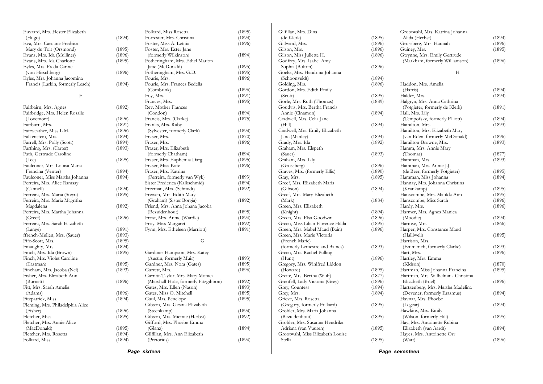| Euvrard, Mrs. Hester Elizabeth   |        | Folkard, Miss Rosetta                | (1895) |
|----------------------------------|--------|--------------------------------------|--------|
| (Hugo)                           | (1894) | Forrester, Mrs. Christina            | (1894) |
| Eva, Mrs. Caroline Fredrica      |        | Foster, Miss A. Letitia              | (1896) |
| Mary du Toit (Orsmond)           | (1895) | Foster, Mrs. Ester Jane              |        |
| Evans, Mrs. Ida (Mulliner)       | (1896) | (formerly Wilkinson)                 | (1894) |
| Evans, Mrs. Ida Charlotte        | (1895) | Fotheringham, Mrs. Ethel Marion      |        |
| Eyles, Mrs. Freda Carine         |        | Jane (McDonald)                      | (1895) |
| (von Hirschberg)                 | (1896) | Fotheringham, Mrs. G.D.              | (1895) |
| Eyles, Mrs. Johanna Jacomina     |        | Fourie, Mrs.                         | (1896) |
| Francis (Larkin, formerly Leach) | (1894) | Fourie, Mrs. Frances Bedelia         |        |
|                                  |        | (Combrink)                           | (1896) |
| F                                |        | Foy, Mrs.                            | (1891) |
|                                  |        | Frances, Mrs.                        | (1895) |
| Fairbairn, Mrs. Agnes            | (1892) | Rev. Mother Frances                  |        |
| Fairbridge, Mrs. Helen Rosalie   |        | (Condon)                             | (1894) |
| (Lovemore)                       | (1896) | Francis, Mrs. (Clarke)               | (1875) |
| Fairburn, Mrs.                   | (1891) | Franks, Mrs. Ruby                    |        |
| Fairweather, Miss L.M.           | (1896) | (Sylvester, formerly Clark)          | (1894) |
| Falkenstein, Mrs.                | (1894) | Fraser, Mrs.                         | (1870) |
| Farrell, Mrs. Polly (Scott)      | (1894) | Fraser, Mrs.                         | (1896) |
| Farthing, Mrs. (Carter)          | (1893) | Fraser, Mrs. Elizabeth               |        |
| Fath, Gertrude Caroline          |        | (formerly Chatham)                   | (1894) |
| (Lee)                            | (1895) | Fraser, Mrs. Euphemia Darg           | (1895) |
| Faulconer, Mrs. Louisa Maria     |        | Fraser, Miss Kate                    |        |
| Francina (Venter)                | (1894) | Fraser, Mrs. Katrina                 | (1896) |
| Faulconer, Miss Martha Johanna   |        | (Ferreira, formerly van Wyk)         |        |
| Ferreira, Mrs. Alice Ramsay      | (1894) |                                      | (1893) |
|                                  |        | Sister Frederica (Kalkschmid)        | (1894) |
| (Cannell)                        | (1894) | Freeman, Mrs. (Schmidt)              | (1892) |
| Ferreira, Mrs. Maria (Steyn)     | (1895) | Frewen, Mrs. Edith Mary              |        |
| Ferreira, Mrs. Maria Magritha    |        | (Graham) (Sister Borgia)             | (1892) |
| Magdalena                        | (1892) | Friend, Mrs. Anna Johana Jacoba      |        |
| Ferreira, Mrs. Martha Johanna    |        | (Bezuidenhout)                       | (1895) |
| (Greef)                          | (1896) | Frost, Mrs. Annie (Wardle)           | (1894) |
| Ferreira, Mrs. Sarah Elizabeth   |        | Froy, Miss Margaret                  | (1892) |
| (Lange)                          | (1891) | Fynn, Mrs. Etheleen (Marriott)       | (1891) |
| ffrench-Mullen, Mrs. (Sauer)     | (1893) |                                      |        |
| Fife-Scott, Mrs.                 | (1895) | G                                    |        |
| Finaughty, Mrs.                  | (1894) |                                      |        |
| Finch, Mrs. Ida (Brown)          | (1895) | Gardiner-Hampson, Mrs. Katey         |        |
| Finch, Mrs. Violet Caroline      |        | (Austin, formerly Muir)              | (1893) |
| (Eastman)                        | (1895) | Gardner, Mrs. Nora (Gates)           | (1895) |
| Fincham, Mrs. Jacoba (Nel)       | (1893) | Garrett, Mrs.                        | (1896) |
| Fisher, Mrs. Elizabeth Ann       |        | Garrett-Taylor, Mrs. Mary Monica     |        |
| (Burnett)                        | (1896) | (Marshall-Hole, formerly Fitzgibbon) | (1892) |
| Fitt, Mrs. Sarah Amelia          |        | Gates, Mrs. Ellen (Nason)            | (1893) |
| (Adams)                          | (1896) | Gates, Miss O. Mitchell              | (1895) |
| Fitzpatrick, Miss                | (1894) | Gaul, Mrs. Penelope                  | (1895) |
| Fleming, Mrs. Philadelphia Alice |        | Gibson, Mrs. Gesina Elizabeth        |        |
| (Fisher)                         | (1896) | (Steenkamp)                          | (1894) |
| Fletcher, Miss                   | (1895) | Gibson, Mrs. Miemie (Herbst)         | (1892) |
| Fletcher, Mrs. Annie Alice       |        | Gifford, Mrs. Phoebe Emma            |        |
| (MacDonald)                      | (1895) | (Glanz)                              | (1894) |
| Fletcher, Mrs. Rosetta           | (1894) | Gilfillan, Mrs. Ann Elizabeth        |        |
| Folkard, Miss                    | (1894) | (Pretorius)                          | (1894) |
|                                  |        |                                      |        |

| Gilfillan, Mrs. Dina              |        |
|-----------------------------------|--------|
| (de Klerk)                        | (1895) |
| Gillward, Mrs.                    | (1896) |
| Gilson, Mrs.                      | (1896) |
| Gilson, Miss Juliette H.          | (1896) |
| Godfrey, Mrs. Isabel Amy          |        |
| Sophia (Bolton)                   | (1896) |
| Goelst, Mrs. Hendrina Johanna     |        |
| (Schoonveldt)                     | (1894) |
| Golding, Mrs.                     | (1896) |
| Gordon, Mrs. Edith Emily          |        |
| (Scott)                           | (1895) |
| Gorle, Mrs. Ruth (Thomas)         | (1889) |
| Goudvis, Mrs. Bertha Francis      |        |
| Annie (Cinamon)                   | (1894) |
| Cradwell, Mrs. Celia Jane         |        |
| (Hill)                            | (1894) |
| Cradwell, Mrs. Emily Elizabeth    |        |
| Jane (Manley)                     | (1894) |
| Grady, Mrs. Ida                   | (1892) |
| Graham, Mrs. Elspeth              |        |
| (Sauer)                           | (1893) |
| Graham, Mrs. Lily                 |        |
| (Grossberg)                       | (1896) |
| Graves, Mrs. (formerly Ellis)     | (1890) |
| Gray, Mrs.                        | (1895) |
| Greef, Mrs. Elizabeth Maria       |        |
| (Gibson)                          |        |
|                                   | (1894) |
| Greef, Mrs. Mary Elizabeth        |        |
| (Mark)                            | (1884) |
| Green, Mrs. Elizabeth             |        |
| (Knight)                          | (1894) |
| Green, Mrs. Elsa Goodwin          | (1896) |
| Green, Miss Lilian Florence Hilda | (1895) |
| Green, Mrs. Mabel Maud (Bain)     | (1896) |
| Green, Mrs. Marie Victoria        |        |
| (French Marie)                    |        |
| (formerly Lemestre and Baines)    | (1893) |
| Green, Mrs. Rachel Pulling        |        |
| (Hunt)                            | (1896) |
| Gregory, Mrs. Winifred Liddon     |        |
| (Howard)                          | (1895) |
| Greite, Mrs. Bertha (Wulf)        | (1877) |
| Grenfell, Lady Victoria (Grey)    | (1896) |
| Grey, Countess                    | (1894) |
| Grey, Mrs.                        | (1894) |
| Grieve, Mrs. Rosetta              |        |
| (Gregory, formerly Folkard)       | (1895) |
| Grobler, Mrs. Maria Johanna       |        |
| (Bezuidenhout)                    | (1895) |
| Grobler, Mrs. Susanna Hendrika    |        |
| Adriana (van Vuuren)              | (1895) |
| Grootwahl, Miss Elizabeth Louise  |        |
| Stella                            |        |
|                                   | (1895) |

|        | Grootwahl, Mrs. Katrina Johanna    |        |
|--------|------------------------------------|--------|
| (1895) | Alida (Herbst)                     | (1894) |
| (1896) | Grossberg, Mrs. Hannah             | (1896) |
| (1896) | Guiney, Mrs.                       | (1895) |
| (1896) | Gwynne, Mrs. Emily Gertrude        |        |
|        | (Markham, formerly Williamson)     | (1896) |
| (1896) |                                    |        |
|        | Н                                  |        |
| (1894) |                                    |        |
| (1896) | Haddon, Mrs. Amelia                |        |
|        | (Harris)                           | (1894) |
| (1895) | Halder, Mrs.                       | (1894) |
| (1889) | Halgryn, Mrs. Anna Cathrina        |        |
|        | (Potgieter, formerly de Klerk)     | (1891) |
| (1894) | Hall, Mrs. Lily                    |        |
|        | (Tempofsky, formerly Elliott)      | (1894) |
| (1894) | Hamilton, Mrs.                     | (1893) |
|        | Hamilton, Mrs. Elizabeth Mary      |        |
| (1894) | (van Eden, formerly McDonald)      | (1896) |
| (1892) | Hamilton-Browne, Mrs.              | (1893) |
|        | Hamm, Mrs. Annie Mary              |        |
| (1893) | (Thomas)                           | (1877) |
|        | Hamman, Mrs.                       | (1893) |
| (1896) | Hamman, Mrs. Annie J.J.            |        |
| (1890) | (de Beer, formerly Potgieter)      | (1895) |
| (1895) | Hamman, Miss Johanna               | (1894) |
|        | Hannay, Mrs. Johanna Christina     |        |
| (1894) | (Krankamp)                         | (1895) |
|        | Hanscombe, Mrs. Matilda Ann        | (1895) |
| (1884) | Hanscombe, Miss Sarah              | (1896) |
|        | Hardy, Mrs.                        | (1896) |
| (1894) | Harmer, Mrs. Agnes Manica          |        |
| (1896) | (Moodie)                           | (1894) |
| (1895) | Harmse, Mrs.                       | (1866) |
| (1896) | Harper, Mrs. Constance Maud        |        |
|        | (Halliwell)                        | (1895) |
|        | Harrison, Mrs.                     |        |
| (1893) | (Emmerich, formerly Clarke)        | (1893) |
|        | Hart, Mrs.                         | (1896) |
| (1896) | Hartley, Mrs. Emma                 |        |
|        | (Kidson)                           | (1870) |
| (1895) | Hartman, Miss Johanna Francina     | (1895) |
| (1877) | Hartman, Mrs. Wilhelmina Christina |        |
| (1896) | Elizabeth (Briel)                  | (1896) |
| (1894) | Hartzenberg, Mrs. Martha Madelina  |        |
| (1894) | (Devener, formerly Erasmus)        | (1894) |
|        | Havnar, Mrs. Phoebe                |        |
| (1895) | (Legear)                           | (1894) |
|        | Hawkins, Mrs. Emily                |        |
| (1895) | (Wilson, formerly Hill)            | (1895) |
|        | Hay, Mrs. Antoinette Rubina        |        |
| (1895) | Elizabeth (van Aardt)              | (1894) |
|        | Hayes, Mrs. Antoinette Orr         |        |
| (1895) | (Watt)                             | (1896) |

*Page sixteen* 

*Page seventeen*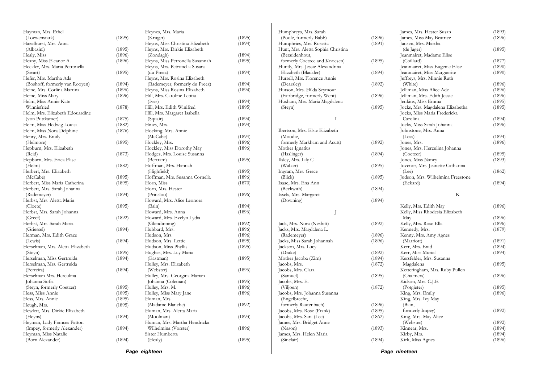| Page eighteen                       |        |                                 |        |                                    |        | Page nineteen                     |        |
|-------------------------------------|--------|---------------------------------|--------|------------------------------------|--------|-----------------------------------|--------|
| (Born Alexander)                    | (1894) | (Healy)                         | (1895) | (Sinclair)                         | (1894) | Kirk, Miss Agnes                  | (1896) |
| Heyman, Miss Natalie                |        | Sister Humberta                 |        | James, Mrs. Helen Maria            |        | Kirby, Mrs.                       | (1894) |
| (Impey, formerly Alexander)         | (1894) | Wilhelmina (Vorster)            | (1896) | (Nason)                            | (1893) | Kinnear, Mrs.                     | (1894) |
| Heyman, Lady Frances Patton         |        | Human, Mrs. Martha Hendricka    |        | James, Mrs. Bridget Anne           |        | (Webster)                         | (1892) |
| (Heyns)                             | (1894) | (Moolman)                       | (1893) | Jacobs, Mrs. Sara (Lee)            | (1862) | King, Mrs. May Alice              |        |
| Hewlett, Mrs. Dirkie Elizabeth      |        | Human, Mrs. Aletta Maria        |        | Jacobs, Mrs. Rose (Frank)          | (1895) | formerly Impey)                   | (1892) |
| Heugh, Mrs.                         | (1895) | (Madame Blanche)                | (1892) | formerly Rautenbach)               | (1896) | (Bain,                            |        |
| Hess, Mrs. Annie                    | (1895) | Human, Mrs.                     |        | (Engelbrecht,                      |        | King, Mrs. Ivy May                |        |
| Hess, Miss Annie                    | (1895) | Hulley, Miss Mary Jane          | (1896) | Jacobs, Mrs. Johanna Susanna       |        | King, Mrs. Emily                  | (1896) |
| (Steyn, formerly Coetzer)           | (1895) | Hulley, Mrs. M.                 | (1896) | (Viljoen)                          | (1872) | (Potgieter)                       | (1895) |
| Johanna Sofia                       |        | Johanna (Coleman)               | (1895) | Jacobs, Mrs. E.                    |        | Kidson, Mrs. C.J.E.               |        |
| Herselman Mrs. Herculina            |        | Hulley, Mrs. Georgina Marian    |        | (Samuel)                           | (1895) | (Chalmers)                        | (1896) |
| (Ferreira)                          | (1894) | (Webster)                       | (1896) | Jacobs, Mrs. Clara                 |        | Ketteringham, Mrs. Ruby Pullen    |        |
| Herselman, Mrs. Gertruida           |        | Hulley, Mrs. Elizabeth          |        | Jacobs, Mrs.                       | (1872) | Magdalena                         | (1895) |
| Herselman, Miss Gertruida           | (1894) | (Eastman)                       | (1895) | Mother Jacoba (Zirn)               | (1894) | Kersfelder, Mrs. Susanna          |        |
| (Steyn)                             | (1895) |                                 |        | (Drake)                            | (1892) | Kerr, Miss Muriel                 | (1894) |
|                                     |        | Hughes, Mrs. Lily Maria         |        |                                    |        |                                   |        |
| Herselman, Mrs. Aletta Elizabeth    |        | Hudson, Miss Phyllis            | (1895) | Jackson, Mrs. Lucy                 |        | Kerr, Mrs. Enid                   | (1894) |
| (Lewis)                             | (1894) | Hudson, Mrs. Lettie             | (1895) | Jacks, Miss Sarah Johannah         | (1896) | (Marriott)                        | (1891) |
| Herman, Mrs. Edith Grace            |        | Hudson, Mrs.                    | (1896) | (Rademeyer)                        | (1896) | Kenny, Mrs. Amy Agnes             |        |
| (Griessel)                          | (1894) | Hubbard, Mrs.                   | (1896) | Jacks, Mrs. Magdalena L.           |        | Kennedy, Mrs.                     | (1879) |
| Herbst, Mrs. Sarah Maria            |        | (Glendinning)                   | (1892) | Jack, Mrs. Nora (Nesbitt)          | (1892) | Kelly, Mrs. Rose Ella             | (1896) |
| (Greef)                             | (1892) | Howard, Mrs. Evelyn Lydia       |        |                                    |        | May                               | (1896) |
| Herbst, Mrs. Sarah Johanna          |        | Howard, Mrs. Anna               | (1896) |                                    |        | Kelly, Miss Rhodesia Elizabeth    |        |
| (Cloete)                            | (1895) | (Bain)                          | (1894) |                                    |        | Kelly, Mrs. Edith May             | (1896) |
| Herbst, Mrs. Aletta Maria           |        | Howard, Mrs. Alice Leonora      |        | (Downing)                          | (1894) |                                   |        |
| (Rademeyer)                         | (1894) | (Prinsloo)                      | (1896) | Issels, Mrs. Margaret              |        | K                                 |        |
| Herbert, Mrs. Sarah Johanna         |        | Horn, Mrs. Hester               |        | (Beckwith)                         | (1894) |                                   |        |
| Herbert, Miss Maria Catherina       | (1895) | Horn, Miss                      | (1870) | Isaac, Mrs. Ena Ann                |        | (Eckard)                          | (1894) |
| (McCabe)                            | (1895) | Hoffman, Mrs. Susanna Cornelia  | (1896) | (Blick)                            | (1895) | Judson, Mrs. Wilhelmina Freestone |        |
| Herbert, Mrs. Elizabeth             |        | (Highfield)                     | (1895) | Ingram, Mrs. Grace                 |        | (Lee)                             | (1862) |
| (Helm)                              | (1882) | Hoffman, Mrs. Hannah            |        | (Walker)                           | (1895) | Jovenor, Mrs. Jeanette Catharina  |        |
| Hepburn, Mrs. Erica Elise           |        | (Bertram)                       | (1895) | Ilsley, Mrs. Lily C.               |        | Jones, Miss Nancy                 | (1893) |
| (Reid)                              | (1873) | Hodges, Mrs. Louise Susanna     |        | (Haslinger)                        | (1894) | (Coetzer)                         | (1895) |
| Hepburn, Mrs. Elizabeth             |        | Hockley, Miss Dorothy May       | (1896) | Mother Ignatius                    |        | Jones, Mrs. Herculina Johanna     |        |
| (Helmore)                           | (1895) | Hockley, Mrs.                   | (1896) | formerly Markham and Acutt)        | (1892) | Jones, Mrs.                       | (1896) |
| Henry, Mrs. Emily                   |        | (McCabe)                        | (1894) | (Moodie,                           |        | (Less)                            | (1894) |
| Helm, Miss Nora Delphine            | (1876) | Hocking, Mrs. Annie             |        | Ibertson, Mrs. Elsie Elizabeth     |        | Johnstone, Mrs. Anna              |        |
| Helm, Miss Hedwig Louisa            | (1882) | Hines, Mrs.                     | (1894) |                                    |        | Jocks, Miss Sarah Johanna         | (1896) |
|                                     |        | (Squair)                        |        |                                    |        |                                   |        |
| (von Puttkamer)                     | (1875) |                                 | (1894) | $\mathbf{I}$                       |        | Carolina                          | (1894) |
| Helm, Mrs. Elizabeth Edouardine     |        | Hill, Mrs. Margaret Isabella    |        |                                    |        | Jocks, Miss Maria Fredericka      |        |
| Winniefried                         | (1878) | Hill, Mrs. Edith Winifred       | (1895) | (Steyn)                            | (1895) | Jocks, Mrs. Magdalena Elizabetha  | (1895) |
| Helm, Miss Annie Kate               |        | (Ives)                          | (1894) | Huxham, Mrs. Maria Magdalena       |        | Jenkins, Miss Emma                | (1895) |
| Heine, Miss Mary                    | (1896) | Hill, Mrs. Caroline Letitia     |        | (Fairbridge, formerly Went)        | (1896) | Jelliman, Mrs. Edith Jessie       | (1896) |
| Heine, Mrs. Corlina Martina         | (1896) | Heyns, Miss Rosina Elizabeth    | (1894) | Hutson, Mrs. Hilda Seymour         |        | Jelliman, Miss Alice Ade          | (1896) |
| (Boshoff, formerly van Rooyen)      | (1894) | (Rademeyer, formerly du Preez)  | (1894) | (Dearsley)                         | (1892) | (White)                           | (1896) |
| Hefer, Mrs. Martha Ada              |        | Heyns, Mrs. Rosina Elizabeth    |        | Hurrell, Mrs. Florence Annie       |        | Jeffreys, Mrs. Minnie Ruth        |        |
| (Swart)                             | (1895) | (du Preez)                      | (1894) | Elizabeth (Blackler)               | (1894) | Jeanmairet, Miss Marguerite       | (1890) |
| Heckler, Mrs. Maria Petronella      |        | Heyns, Mrs. Petronella Susara   |        | Huntly, Mrs. Jessie Alexandrina    |        | Jeanmairet, Miss Eugenie Elise    | (1890) |
| Heany, Miss Eleanor A.              | (1896) | Heyns, Miss Petronella Susannah | (1895) | formerly Coetzee and Knoesen)      | (1895) | (Coillard)                        | (1877) |
| Healy, Miss                         | (1896) | (Zondagh)                       | (1894) | (Bezuidenhout,                     |        | Jeanmairet, Madame Elise          |        |
| (Albasini)                          | (1895) | Heyns, Mrs. Dirkie Elizabeth    |        | Hunt, Mrs. Aletta Sophia Christina |        | (de Jager)                        | (1895) |
| Hazelhurst, Mrs. Anna               |        | Heyns, Miss Christina Elizabeth | (1894) | Humphries, Mrs. Rosetta            | (1891) | Jansen, Mrs. Martha               |        |
|                                     |        | (Kruger)                        | (1895) | (Poole, formerly Babb)             | (1896) | James, Miss May Beatrice          | (1896) |
| Hayman, Mrs. Ethel<br>(Loewenstark) | (1895) | Heynes, Mrs. Maria              |        | Humphreys, Mrs. Sarah              |        | James, Mrs. Hester Susan          | (1893) |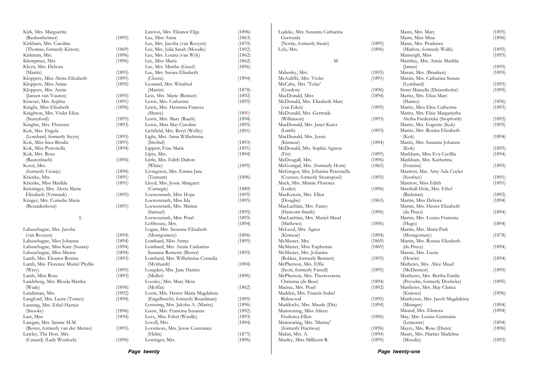| (1896) | Lowinger, Mrs.                                                                                                                                                                                                                                                                                 | (1896)                                                                                                                                                                                                                                                                                                                                                                                                                                                                                                                                                                                                                                                                                                                                                                                                                                                                                                                                                                                                                                                                                                                                                                | Manley, Miss Millicent R.                                                                                                                                                                                                                                                                                         | (1895)                                                                                                                                                                                                                                                                                                                                                                                                                                                                                                                                                                                                                                                                                                                                                                                                                                                                                                                                                                    | (Moodie)                                                                                                                                                                                                                                                         | (1892)                                                                                                                                                                                                                                                                                                                                                                                                                                                                                                                                                                                                                                                                                                                                                                                                                                                                                                                                                                                                                                                                            |
|--------|------------------------------------------------------------------------------------------------------------------------------------------------------------------------------------------------------------------------------------------------------------------------------------------------|-----------------------------------------------------------------------------------------------------------------------------------------------------------------------------------------------------------------------------------------------------------------------------------------------------------------------------------------------------------------------------------------------------------------------------------------------------------------------------------------------------------------------------------------------------------------------------------------------------------------------------------------------------------------------------------------------------------------------------------------------------------------------------------------------------------------------------------------------------------------------------------------------------------------------------------------------------------------------------------------------------------------------------------------------------------------------------------------------------------------------------------------------------------------------|-------------------------------------------------------------------------------------------------------------------------------------------------------------------------------------------------------------------------------------------------------------------------------------------------------------------|---------------------------------------------------------------------------------------------------------------------------------------------------------------------------------------------------------------------------------------------------------------------------------------------------------------------------------------------------------------------------------------------------------------------------------------------------------------------------------------------------------------------------------------------------------------------------------------------------------------------------------------------------------------------------------------------------------------------------------------------------------------------------------------------------------------------------------------------------------------------------------------------------------------------------------------------------------------------------|------------------------------------------------------------------------------------------------------------------------------------------------------------------------------------------------------------------------------------------------------------------|-----------------------------------------------------------------------------------------------------------------------------------------------------------------------------------------------------------------------------------------------------------------------------------------------------------------------------------------------------------------------------------------------------------------------------------------------------------------------------------------------------------------------------------------------------------------------------------------------------------------------------------------------------------------------------------------------------------------------------------------------------------------------------------------------------------------------------------------------------------------------------------------------------------------------------------------------------------------------------------------------------------------------------------------------------------------------------------|
|        |                                                                                                                                                                                                                                                                                                |                                                                                                                                                                                                                                                                                                                                                                                                                                                                                                                                                                                                                                                                                                                                                                                                                                                                                                                                                                                                                                                                                                                                                                       |                                                                                                                                                                                                                                                                                                                   |                                                                                                                                                                                                                                                                                                                                                                                                                                                                                                                                                                                                                                                                                                                                                                                                                                                                                                                                                                           |                                                                                                                                                                                                                                                                  |                                                                                                                                                                                                                                                                                                                                                                                                                                                                                                                                                                                                                                                                                                                                                                                                                                                                                                                                                                                                                                                                                   |
|        |                                                                                                                                                                                                                                                                                                | (1875)                                                                                                                                                                                                                                                                                                                                                                                                                                                                                                                                                                                                                                                                                                                                                                                                                                                                                                                                                                                                                                                                                                                                                                |                                                                                                                                                                                                                                                                                                                   | (1894)                                                                                                                                                                                                                                                                                                                                                                                                                                                                                                                                                                                                                                                                                                                                                                                                                                                                                                                                                                    |                                                                                                                                                                                                                                                                  |                                                                                                                                                                                                                                                                                                                                                                                                                                                                                                                                                                                                                                                                                                                                                                                                                                                                                                                                                                                                                                                                                   |
|        |                                                                                                                                                                                                                                                                                                |                                                                                                                                                                                                                                                                                                                                                                                                                                                                                                                                                                                                                                                                                                                                                                                                                                                                                                                                                                                                                                                                                                                                                                       |                                                                                                                                                                                                                                                                                                                   |                                                                                                                                                                                                                                                                                                                                                                                                                                                                                                                                                                                                                                                                                                                                                                                                                                                                                                                                                                           |                                                                                                                                                                                                                                                                  | (1896)                                                                                                                                                                                                                                                                                                                                                                                                                                                                                                                                                                                                                                                                                                                                                                                                                                                                                                                                                                                                                                                                            |
|        |                                                                                                                                                                                                                                                                                                |                                                                                                                                                                                                                                                                                                                                                                                                                                                                                                                                                                                                                                                                                                                                                                                                                                                                                                                                                                                                                                                                                                                                                                       |                                                                                                                                                                                                                                                                                                                   |                                                                                                                                                                                                                                                                                                                                                                                                                                                                                                                                                                                                                                                                                                                                                                                                                                                                                                                                                                           |                                                                                                                                                                                                                                                                  | (1894)                                                                                                                                                                                                                                                                                                                                                                                                                                                                                                                                                                                                                                                                                                                                                                                                                                                                                                                                                                                                                                                                            |
|        |                                                                                                                                                                                                                                                                                                |                                                                                                                                                                                                                                                                                                                                                                                                                                                                                                                                                                                                                                                                                                                                                                                                                                                                                                                                                                                                                                                                                                                                                                       |                                                                                                                                                                                                                                                                                                                   |                                                                                                                                                                                                                                                                                                                                                                                                                                                                                                                                                                                                                                                                                                                                                                                                                                                                                                                                                                           |                                                                                                                                                                                                                                                                  |                                                                                                                                                                                                                                                                                                                                                                                                                                                                                                                                                                                                                                                                                                                                                                                                                                                                                                                                                                                                                                                                                   |
|        |                                                                                                                                                                                                                                                                                                |                                                                                                                                                                                                                                                                                                                                                                                                                                                                                                                                                                                                                                                                                                                                                                                                                                                                                                                                                                                                                                                                                                                                                                       |                                                                                                                                                                                                                                                                                                                   |                                                                                                                                                                                                                                                                                                                                                                                                                                                                                                                                                                                                                                                                                                                                                                                                                                                                                                                                                                           |                                                                                                                                                                                                                                                                  | (1894)                                                                                                                                                                                                                                                                                                                                                                                                                                                                                                                                                                                                                                                                                                                                                                                                                                                                                                                                                                                                                                                                            |
|        |                                                                                                                                                                                                                                                                                                |                                                                                                                                                                                                                                                                                                                                                                                                                                                                                                                                                                                                                                                                                                                                                                                                                                                                                                                                                                                                                                                                                                                                                                       |                                                                                                                                                                                                                                                                                                                   |                                                                                                                                                                                                                                                                                                                                                                                                                                                                                                                                                                                                                                                                                                                                                                                                                                                                                                                                                                           |                                                                                                                                                                                                                                                                  | (1894)                                                                                                                                                                                                                                                                                                                                                                                                                                                                                                                                                                                                                                                                                                                                                                                                                                                                                                                                                                                                                                                                            |
|        |                                                                                                                                                                                                                                                                                                |                                                                                                                                                                                                                                                                                                                                                                                                                                                                                                                                                                                                                                                                                                                                                                                                                                                                                                                                                                                                                                                                                                                                                                       |                                                                                                                                                                                                                                                                                                                   |                                                                                                                                                                                                                                                                                                                                                                                                                                                                                                                                                                                                                                                                                                                                                                                                                                                                                                                                                                           |                                                                                                                                                                                                                                                                  |                                                                                                                                                                                                                                                                                                                                                                                                                                                                                                                                                                                                                                                                                                                                                                                                                                                                                                                                                                                                                                                                                   |
|        |                                                                                                                                                                                                                                                                                                |                                                                                                                                                                                                                                                                                                                                                                                                                                                                                                                                                                                                                                                                                                                                                                                                                                                                                                                                                                                                                                                                                                                                                                       |                                                                                                                                                                                                                                                                                                                   |                                                                                                                                                                                                                                                                                                                                                                                                                                                                                                                                                                                                                                                                                                                                                                                                                                                                                                                                                                           |                                                                                                                                                                                                                                                                  | (1896)                                                                                                                                                                                                                                                                                                                                                                                                                                                                                                                                                                                                                                                                                                                                                                                                                                                                                                                                                                                                                                                                            |
|        |                                                                                                                                                                                                                                                                                                |                                                                                                                                                                                                                                                                                                                                                                                                                                                                                                                                                                                                                                                                                                                                                                                                                                                                                                                                                                                                                                                                                                                                                                       |                                                                                                                                                                                                                                                                                                                   |                                                                                                                                                                                                                                                                                                                                                                                                                                                                                                                                                                                                                                                                                                                                                                                                                                                                                                                                                                           |                                                                                                                                                                                                                                                                  |                                                                                                                                                                                                                                                                                                                                                                                                                                                                                                                                                                                                                                                                                                                                                                                                                                                                                                                                                                                                                                                                                   |
|        |                                                                                                                                                                                                                                                                                                |                                                                                                                                                                                                                                                                                                                                                                                                                                                                                                                                                                                                                                                                                                                                                                                                                                                                                                                                                                                                                                                                                                                                                                       |                                                                                                                                                                                                                                                                                                                   |                                                                                                                                                                                                                                                                                                                                                                                                                                                                                                                                                                                                                                                                                                                                                                                                                                                                                                                                                                           |                                                                                                                                                                                                                                                                  | (1895)                                                                                                                                                                                                                                                                                                                                                                                                                                                                                                                                                                                                                                                                                                                                                                                                                                                                                                                                                                                                                                                                            |
|        |                                                                                                                                                                                                                                                                                                |                                                                                                                                                                                                                                                                                                                                                                                                                                                                                                                                                                                                                                                                                                                                                                                                                                                                                                                                                                                                                                                                                                                                                                       |                                                                                                                                                                                                                                                                                                                   |                                                                                                                                                                                                                                                                                                                                                                                                                                                                                                                                                                                                                                                                                                                                                                                                                                                                                                                                                                           |                                                                                                                                                                                                                                                                  |                                                                                                                                                                                                                                                                                                                                                                                                                                                                                                                                                                                                                                                                                                                                                                                                                                                                                                                                                                                                                                                                                   |
|        |                                                                                                                                                                                                                                                                                                |                                                                                                                                                                                                                                                                                                                                                                                                                                                                                                                                                                                                                                                                                                                                                                                                                                                                                                                                                                                                                                                                                                                                                                       |                                                                                                                                                                                                                                                                                                                   |                                                                                                                                                                                                                                                                                                                                                                                                                                                                                                                                                                                                                                                                                                                                                                                                                                                                                                                                                                           |                                                                                                                                                                                                                                                                  | (1895)                                                                                                                                                                                                                                                                                                                                                                                                                                                                                                                                                                                                                                                                                                                                                                                                                                                                                                                                                                                                                                                                            |
|        |                                                                                                                                                                                                                                                                                                |                                                                                                                                                                                                                                                                                                                                                                                                                                                                                                                                                                                                                                                                                                                                                                                                                                                                                                                                                                                                                                                                                                                                                                       |                                                                                                                                                                                                                                                                                                                   |                                                                                                                                                                                                                                                                                                                                                                                                                                                                                                                                                                                                                                                                                                                                                                                                                                                                                                                                                                           |                                                                                                                                                                                                                                                                  |                                                                                                                                                                                                                                                                                                                                                                                                                                                                                                                                                                                                                                                                                                                                                                                                                                                                                                                                                                                                                                                                                   |
|        |                                                                                                                                                                                                                                                                                                |                                                                                                                                                                                                                                                                                                                                                                                                                                                                                                                                                                                                                                                                                                                                                                                                                                                                                                                                                                                                                                                                                                                                                                       |                                                                                                                                                                                                                                                                                                                   |                                                                                                                                                                                                                                                                                                                                                                                                                                                                                                                                                                                                                                                                                                                                                                                                                                                                                                                                                                           |                                                                                                                                                                                                                                                                  | (1894)                                                                                                                                                                                                                                                                                                                                                                                                                                                                                                                                                                                                                                                                                                                                                                                                                                                                                                                                                                                                                                                                            |
|        |                                                                                                                                                                                                                                                                                                |                                                                                                                                                                                                                                                                                                                                                                                                                                                                                                                                                                                                                                                                                                                                                                                                                                                                                                                                                                                                                                                                                                                                                                       |                                                                                                                                                                                                                                                                                                                   |                                                                                                                                                                                                                                                                                                                                                                                                                                                                                                                                                                                                                                                                                                                                                                                                                                                                                                                                                                           |                                                                                                                                                                                                                                                                  |                                                                                                                                                                                                                                                                                                                                                                                                                                                                                                                                                                                                                                                                                                                                                                                                                                                                                                                                                                                                                                                                                   |
|        |                                                                                                                                                                                                                                                                                                |                                                                                                                                                                                                                                                                                                                                                                                                                                                                                                                                                                                                                                                                                                                                                                                                                                                                                                                                                                                                                                                                                                                                                                       |                                                                                                                                                                                                                                                                                                                   |                                                                                                                                                                                                                                                                                                                                                                                                                                                                                                                                                                                                                                                                                                                                                                                                                                                                                                                                                                           |                                                                                                                                                                                                                                                                  |                                                                                                                                                                                                                                                                                                                                                                                                                                                                                                                                                                                                                                                                                                                                                                                                                                                                                                                                                                                                                                                                                   |
|        |                                                                                                                                                                                                                                                                                                |                                                                                                                                                                                                                                                                                                                                                                                                                                                                                                                                                                                                                                                                                                                                                                                                                                                                                                                                                                                                                                                                                                                                                                       |                                                                                                                                                                                                                                                                                                                   |                                                                                                                                                                                                                                                                                                                                                                                                                                                                                                                                                                                                                                                                                                                                                                                                                                                                                                                                                                           |                                                                                                                                                                                                                                                                  | (1894)                                                                                                                                                                                                                                                                                                                                                                                                                                                                                                                                                                                                                                                                                                                                                                                                                                                                                                                                                                                                                                                                            |
|        |                                                                                                                                                                                                                                                                                                |                                                                                                                                                                                                                                                                                                                                                                                                                                                                                                                                                                                                                                                                                                                                                                                                                                                                                                                                                                                                                                                                                                                                                                       |                                                                                                                                                                                                                                                                                                                   |                                                                                                                                                                                                                                                                                                                                                                                                                                                                                                                                                                                                                                                                                                                                                                                                                                                                                                                                                                           |                                                                                                                                                                                                                                                                  |                                                                                                                                                                                                                                                                                                                                                                                                                                                                                                                                                                                                                                                                                                                                                                                                                                                                                                                                                                                                                                                                                   |
|        |                                                                                                                                                                                                                                                                                                |                                                                                                                                                                                                                                                                                                                                                                                                                                                                                                                                                                                                                                                                                                                                                                                                                                                                                                                                                                                                                                                                                                                                                                       |                                                                                                                                                                                                                                                                                                                   |                                                                                                                                                                                                                                                                                                                                                                                                                                                                                                                                                                                                                                                                                                                                                                                                                                                                                                                                                                           |                                                                                                                                                                                                                                                                  | (1878)                                                                                                                                                                                                                                                                                                                                                                                                                                                                                                                                                                                                                                                                                                                                                                                                                                                                                                                                                                                                                                                                            |
|        |                                                                                                                                                                                                                                                                                                |                                                                                                                                                                                                                                                                                                                                                                                                                                                                                                                                                                                                                                                                                                                                                                                                                                                                                                                                                                                                                                                                                                                                                                       |                                                                                                                                                                                                                                                                                                                   |                                                                                                                                                                                                                                                                                                                                                                                                                                                                                                                                                                                                                                                                                                                                                                                                                                                                                                                                                                           |                                                                                                                                                                                                                                                                  |                                                                                                                                                                                                                                                                                                                                                                                                                                                                                                                                                                                                                                                                                                                                                                                                                                                                                                                                                                                                                                                                                   |
|        |                                                                                                                                                                                                                                                                                                |                                                                                                                                                                                                                                                                                                                                                                                                                                                                                                                                                                                                                                                                                                                                                                                                                                                                                                                                                                                                                                                                                                                                                                       |                                                                                                                                                                                                                                                                                                                   |                                                                                                                                                                                                                                                                                                                                                                                                                                                                                                                                                                                                                                                                                                                                                                                                                                                                                                                                                                           |                                                                                                                                                                                                                                                                  | (1894)                                                                                                                                                                                                                                                                                                                                                                                                                                                                                                                                                                                                                                                                                                                                                                                                                                                                                                                                                                                                                                                                            |
|        |                                                                                                                                                                                                                                                                                                |                                                                                                                                                                                                                                                                                                                                                                                                                                                                                                                                                                                                                                                                                                                                                                                                                                                                                                                                                                                                                                                                                                                                                                       |                                                                                                                                                                                                                                                                                                                   |                                                                                                                                                                                                                                                                                                                                                                                                                                                                                                                                                                                                                                                                                                                                                                                                                                                                                                                                                                           |                                                                                                                                                                                                                                                                  |                                                                                                                                                                                                                                                                                                                                                                                                                                                                                                                                                                                                                                                                                                                                                                                                                                                                                                                                                                                                                                                                                   |
|        |                                                                                                                                                                                                                                                                                                |                                                                                                                                                                                                                                                                                                                                                                                                                                                                                                                                                                                                                                                                                                                                                                                                                                                                                                                                                                                                                                                                                                                                                                       |                                                                                                                                                                                                                                                                                                                   |                                                                                                                                                                                                                                                                                                                                                                                                                                                                                                                                                                                                                                                                                                                                                                                                                                                                                                                                                                           |                                                                                                                                                                                                                                                                  | (1894)                                                                                                                                                                                                                                                                                                                                                                                                                                                                                                                                                                                                                                                                                                                                                                                                                                                                                                                                                                                                                                                                            |
|        |                                                                                                                                                                                                                                                                                                |                                                                                                                                                                                                                                                                                                                                                                                                                                                                                                                                                                                                                                                                                                                                                                                                                                                                                                                                                                                                                                                                                                                                                                       |                                                                                                                                                                                                                                                                                                                   |                                                                                                                                                                                                                                                                                                                                                                                                                                                                                                                                                                                                                                                                                                                                                                                                                                                                                                                                                                           |                                                                                                                                                                                                                                                                  |                                                                                                                                                                                                                                                                                                                                                                                                                                                                                                                                                                                                                                                                                                                                                                                                                                                                                                                                                                                                                                                                                   |
|        |                                                                                                                                                                                                                                                                                                |                                                                                                                                                                                                                                                                                                                                                                                                                                                                                                                                                                                                                                                                                                                                                                                                                                                                                                                                                                                                                                                                                                                                                                       |                                                                                                                                                                                                                                                                                                                   |                                                                                                                                                                                                                                                                                                                                                                                                                                                                                                                                                                                                                                                                                                                                                                                                                                                                                                                                                                           |                                                                                                                                                                                                                                                                  | (1894)                                                                                                                                                                                                                                                                                                                                                                                                                                                                                                                                                                                                                                                                                                                                                                                                                                                                                                                                                                                                                                                                            |
|        |                                                                                                                                                                                                                                                                                                |                                                                                                                                                                                                                                                                                                                                                                                                                                                                                                                                                                                                                                                                                                                                                                                                                                                                                                                                                                                                                                                                                                                                                                       |                                                                                                                                                                                                                                                                                                                   |                                                                                                                                                                                                                                                                                                                                                                                                                                                                                                                                                                                                                                                                                                                                                                                                                                                                                                                                                                           | (Rickman)                                                                                                                                                                                                                                                        | (1892)                                                                                                                                                                                                                                                                                                                                                                                                                                                                                                                                                                                                                                                                                                                                                                                                                                                                                                                                                                                                                                                                            |
|        | (Carnegie)                                                                                                                                                                                                                                                                                     | (1889)                                                                                                                                                                                                                                                                                                                                                                                                                                                                                                                                                                                                                                                                                                                                                                                                                                                                                                                                                                                                                                                                                                                                                                | (Loder)                                                                                                                                                                                                                                                                                                           |                                                                                                                                                                                                                                                                                                                                                                                                                                                                                                                                                                                                                                                                                                                                                                                                                                                                                                                                                                           | Marshall-Hole, Mrs. Ethel                                                                                                                                                                                                                                        |                                                                                                                                                                                                                                                                                                                                                                                                                                                                                                                                                                                                                                                                                                                                                                                                                                                                                                                                                                                                                                                                                   |
| (1891) | Lloyd, Mrs. Jessie Margaret                                                                                                                                                                                                                                                                    |                                                                                                                                                                                                                                                                                                                                                                                                                                                                                                                                                                                                                                                                                                                                                                                                                                                                                                                                                                                                                                                                                                                                                                       | Mack, Mrs. Minnie Florence                                                                                                                                                                                                                                                                                        |                                                                                                                                                                                                                                                                                                                                                                                                                                                                                                                                                                                                                                                                                                                                                                                                                                                                                                                                                                           | Marriott, Miss Edith                                                                                                                                                                                                                                             | (1891)                                                                                                                                                                                                                                                                                                                                                                                                                                                                                                                                                                                                                                                                                                                                                                                                                                                                                                                                                                                                                                                                            |
| (1891) | (Tennant)                                                                                                                                                                                                                                                                                      | (1896)                                                                                                                                                                                                                                                                                                                                                                                                                                                                                                                                                                                                                                                                                                                                                                                                                                                                                                                                                                                                                                                                                                                                                                | (Coetzer, formerly Swanepoel)                                                                                                                                                                                                                                                                                     |                                                                                                                                                                                                                                                                                                                                                                                                                                                                                                                                                                                                                                                                                                                                                                                                                                                                                                                                                                           | (Southey)                                                                                                                                                                                                                                                        | (1891)                                                                                                                                                                                                                                                                                                                                                                                                                                                                                                                                                                                                                                                                                                                                                                                                                                                                                                                                                                                                                                                                            |
| (1894) | Livingston, Mrs. Emma Jane                                                                                                                                                                                                                                                                     |                                                                                                                                                                                                                                                                                                                                                                                                                                                                                                                                                                                                                                                                                                                                                                                                                                                                                                                                                                                                                                                                                                                                                                       | McGregor, Mrs. Johanna Petronella                                                                                                                                                                                                                                                                                 |                                                                                                                                                                                                                                                                                                                                                                                                                                                                                                                                                                                                                                                                                                                                                                                                                                                                                                                                                                           | Marriott, Mrs. Amy Ada Cuyler                                                                                                                                                                                                                                    |                                                                                                                                                                                                                                                                                                                                                                                                                                                                                                                                                                                                                                                                                                                                                                                                                                                                                                                                                                                                                                                                                   |
|        | (White)                                                                                                                                                                                                                                                                                        | (1895)                                                                                                                                                                                                                                                                                                                                                                                                                                                                                                                                                                                                                                                                                                                                                                                                                                                                                                                                                                                                                                                                                                                                                                | McGonigal, Mrs. (formerly Horn)                                                                                                                                                                                                                                                                                   | (1865)                                                                                                                                                                                                                                                                                                                                                                                                                                                                                                                                                                                                                                                                                                                                                                                                                                                                                                                                                                    | (Ferreira)                                                                                                                                                                                                                                                       | (1895)                                                                                                                                                                                                                                                                                                                                                                                                                                                                                                                                                                                                                                                                                                                                                                                                                                                                                                                                                                                                                                                                            |
| (1894) | Little, Mrs. Edith Dalton                                                                                                                                                                                                                                                                      |                                                                                                                                                                                                                                                                                                                                                                                                                                                                                                                                                                                                                                                                                                                                                                                                                                                                                                                                                                                                                                                                                                                                                                       | McDougall, Mrs.                                                                                                                                                                                                                                                                                                   | (1896)                                                                                                                                                                                                                                                                                                                                                                                                                                                                                                                                                                                                                                                                                                                                                                                                                                                                                                                                                                    | Markham, Mrs. Katherina                                                                                                                                                                                                                                          |                                                                                                                                                                                                                                                                                                                                                                                                                                                                                                                                                                                                                                                                                                                                                                                                                                                                                                                                                                                                                                                                                   |
|        | Liptz, Mrs.                                                                                                                                                                                                                                                                                    | (1894)                                                                                                                                                                                                                                                                                                                                                                                                                                                                                                                                                                                                                                                                                                                                                                                                                                                                                                                                                                                                                                                                                                                                                                | (Fit)                                                                                                                                                                                                                                                                                                             | (1895)                                                                                                                                                                                                                                                                                                                                                                                                                                                                                                                                                                                                                                                                                                                                                                                                                                                                                                                                                                    | Markham, Miss Eva Cecillia                                                                                                                                                                                                                                       | (1894)                                                                                                                                                                                                                                                                                                                                                                                                                                                                                                                                                                                                                                                                                                                                                                                                                                                                                                                                                                                                                                                                            |
| (1894) |                                                                                                                                                                                                                                                                                                | (1891)                                                                                                                                                                                                                                                                                                                                                                                                                                                                                                                                                                                                                                                                                                                                                                                                                                                                                                                                                                                                                                                                                                                                                                |                                                                                                                                                                                                                                                                                                                   |                                                                                                                                                                                                                                                                                                                                                                                                                                                                                                                                                                                                                                                                                                                                                                                                                                                                                                                                                                           |                                                                                                                                                                                                                                                                  | (1895)                                                                                                                                                                                                                                                                                                                                                                                                                                                                                                                                                                                                                                                                                                                                                                                                                                                                                                                                                                                                                                                                            |
|        |                                                                                                                                                                                                                                                                                                |                                                                                                                                                                                                                                                                                                                                                                                                                                                                                                                                                                                                                                                                                                                                                                                                                                                                                                                                                                                                                                                                                                                                                                       |                                                                                                                                                                                                                                                                                                                   |                                                                                                                                                                                                                                                                                                                                                                                                                                                                                                                                                                                                                                                                                                                                                                                                                                                                                                                                                                           |                                                                                                                                                                                                                                                                  |                                                                                                                                                                                                                                                                                                                                                                                                                                                                                                                                                                                                                                                                                                                                                                                                                                                                                                                                                                                                                                                                                   |
|        |                                                                                                                                                                                                                                                                                                |                                                                                                                                                                                                                                                                                                                                                                                                                                                                                                                                                                                                                                                                                                                                                                                                                                                                                                                                                                                                                                                                                                                                                                       |                                                                                                                                                                                                                                                                                                                   |                                                                                                                                                                                                                                                                                                                                                                                                                                                                                                                                                                                                                                                                                                                                                                                                                                                                                                                                                                           |                                                                                                                                                                                                                                                                  | (1894)                                                                                                                                                                                                                                                                                                                                                                                                                                                                                                                                                                                                                                                                                                                                                                                                                                                                                                                                                                                                                                                                            |
|        |                                                                                                                                                                                                                                                                                                |                                                                                                                                                                                                                                                                                                                                                                                                                                                                                                                                                                                                                                                                                                                                                                                                                                                                                                                                                                                                                                                                                                                                                                       |                                                                                                                                                                                                                                                                                                                   |                                                                                                                                                                                                                                                                                                                                                                                                                                                                                                                                                                                                                                                                                                                                                                                                                                                                                                                                                                           |                                                                                                                                                                                                                                                                  |                                                                                                                                                                                                                                                                                                                                                                                                                                                                                                                                                                                                                                                                                                                                                                                                                                                                                                                                                                                                                                                                                   |
|        |                                                                                                                                                                                                                                                                                                |                                                                                                                                                                                                                                                                                                                                                                                                                                                                                                                                                                                                                                                                                                                                                                                                                                                                                                                                                                                                                                                                                                                                                                       |                                                                                                                                                                                                                                                                                                                   |                                                                                                                                                                                                                                                                                                                                                                                                                                                                                                                                                                                                                                                                                                                                                                                                                                                                                                                                                                           |                                                                                                                                                                                                                                                                  | (1895)                                                                                                                                                                                                                                                                                                                                                                                                                                                                                                                                                                                                                                                                                                                                                                                                                                                                                                                                                                                                                                                                            |
|        |                                                                                                                                                                                                                                                                                                |                                                                                                                                                                                                                                                                                                                                                                                                                                                                                                                                                                                                                                                                                                                                                                                                                                                                                                                                                                                                                                                                                                                                                                       |                                                                                                                                                                                                                                                                                                                   |                                                                                                                                                                                                                                                                                                                                                                                                                                                                                                                                                                                                                                                                                                                                                                                                                                                                                                                                                                           |                                                                                                                                                                                                                                                                  | (1892)                                                                                                                                                                                                                                                                                                                                                                                                                                                                                                                                                                                                                                                                                                                                                                                                                                                                                                                                                                                                                                                                            |
|        |                                                                                                                                                                                                                                                                                                |                                                                                                                                                                                                                                                                                                                                                                                                                                                                                                                                                                                                                                                                                                                                                                                                                                                                                                                                                                                                                                                                                                                                                                       |                                                                                                                                                                                                                                                                                                                   |                                                                                                                                                                                                                                                                                                                                                                                                                                                                                                                                                                                                                                                                                                                                                                                                                                                                                                                                                                           |                                                                                                                                                                                                                                                                  |                                                                                                                                                                                                                                                                                                                                                                                                                                                                                                                                                                                                                                                                                                                                                                                                                                                                                                                                                                                                                                                                                   |
|        |                                                                                                                                                                                                                                                                                                |                                                                                                                                                                                                                                                                                                                                                                                                                                                                                                                                                                                                                                                                                                                                                                                                                                                                                                                                                                                                                                                                                                                                                                       |                                                                                                                                                                                                                                                                                                                   |                                                                                                                                                                                                                                                                                                                                                                                                                                                                                                                                                                                                                                                                                                                                                                                                                                                                                                                                                                           |                                                                                                                                                                                                                                                                  | (1893)                                                                                                                                                                                                                                                                                                                                                                                                                                                                                                                                                                                                                                                                                                                                                                                                                                                                                                                                                                                                                                                                            |
|        |                                                                                                                                                                                                                                                                                                |                                                                                                                                                                                                                                                                                                                                                                                                                                                                                                                                                                                                                                                                                                                                                                                                                                                                                                                                                                                                                                                                                                                                                                       |                                                                                                                                                                                                                                                                                                                   |                                                                                                                                                                                                                                                                                                                                                                                                                                                                                                                                                                                                                                                                                                                                                                                                                                                                                                                                                                           |                                                                                                                                                                                                                                                                  | (1896)                                                                                                                                                                                                                                                                                                                                                                                                                                                                                                                                                                                                                                                                                                                                                                                                                                                                                                                                                                                                                                                                            |
|        |                                                                                                                                                                                                                                                                                                |                                                                                                                                                                                                                                                                                                                                                                                                                                                                                                                                                                                                                                                                                                                                                                                                                                                                                                                                                                                                                                                                                                                                                                       |                                                                                                                                                                                                                                                                                                                   |                                                                                                                                                                                                                                                                                                                                                                                                                                                                                                                                                                                                                                                                                                                                                                                                                                                                                                                                                                           |                                                                                                                                                                                                                                                                  |                                                                                                                                                                                                                                                                                                                                                                                                                                                                                                                                                                                                                                                                                                                                                                                                                                                                                                                                                                                                                                                                                   |
|        |                                                                                                                                                                                                                                                                                                |                                                                                                                                                                                                                                                                                                                                                                                                                                                                                                                                                                                                                                                                                                                                                                                                                                                                                                                                                                                                                                                                                                                                                                       |                                                                                                                                                                                                                                                                                                                   |                                                                                                                                                                                                                                                                                                                                                                                                                                                                                                                                                                                                                                                                                                                                                                                                                                                                                                                                                                           |                                                                                                                                                                                                                                                                  | (1895)                                                                                                                                                                                                                                                                                                                                                                                                                                                                                                                                                                                                                                                                                                                                                                                                                                                                                                                                                                                                                                                                            |
|        |                                                                                                                                                                                                                                                                                                |                                                                                                                                                                                                                                                                                                                                                                                                                                                                                                                                                                                                                                                                                                                                                                                                                                                                                                                                                                                                                                                                                                                                                                       |                                                                                                                                                                                                                                                                                                                   |                                                                                                                                                                                                                                                                                                                                                                                                                                                                                                                                                                                                                                                                                                                                                                                                                                                                                                                                                                           |                                                                                                                                                                                                                                                                  | (1895)                                                                                                                                                                                                                                                                                                                                                                                                                                                                                                                                                                                                                                                                                                                                                                                                                                                                                                                                                                                                                                                                            |
|        |                                                                                                                                                                                                                                                                                                |                                                                                                                                                                                                                                                                                                                                                                                                                                                                                                                                                                                                                                                                                                                                                                                                                                                                                                                                                                                                                                                                                                                                                                       |                                                                                                                                                                                                                                                                                                                   |                                                                                                                                                                                                                                                                                                                                                                                                                                                                                                                                                                                                                                                                                                                                                                                                                                                                                                                                                                           |                                                                                                                                                                                                                                                                  |                                                                                                                                                                                                                                                                                                                                                                                                                                                                                                                                                                                                                                                                                                                                                                                                                                                                                                                                                                                                                                                                                   |
|        |                                                                                                                                                                                                                                                                                                |                                                                                                                                                                                                                                                                                                                                                                                                                                                                                                                                                                                                                                                                                                                                                                                                                                                                                                                                                                                                                                                                                                                                                                       |                                                                                                                                                                                                                                                                                                                   |                                                                                                                                                                                                                                                                                                                                                                                                                                                                                                                                                                                                                                                                                                                                                                                                                                                                                                                                                                           |                                                                                                                                                                                                                                                                  | (1895)                                                                                                                                                                                                                                                                                                                                                                                                                                                                                                                                                                                                                                                                                                                                                                                                                                                                                                                                                                                                                                                                            |
|        |                                                                                                                                                                                                                                                                                                |                                                                                                                                                                                                                                                                                                                                                                                                                                                                                                                                                                                                                                                                                                                                                                                                                                                                                                                                                                                                                                                                                                                                                                       |                                                                                                                                                                                                                                                                                                                   |                                                                                                                                                                                                                                                                                                                                                                                                                                                                                                                                                                                                                                                                                                                                                                                                                                                                                                                                                                           |                                                                                                                                                                                                                                                                  | (1895)                                                                                                                                                                                                                                                                                                                                                                                                                                                                                                                                                                                                                                                                                                                                                                                                                                                                                                                                                                                                                                                                            |
|        |                                                                                                                                                                                                                                                                                                |                                                                                                                                                                                                                                                                                                                                                                                                                                                                                                                                                                                                                                                                                                                                                                                                                                                                                                                                                                                                                                                                                                                                                                       |                                                                                                                                                                                                                                                                                                                   |                                                                                                                                                                                                                                                                                                                                                                                                                                                                                                                                                                                                                                                                                                                                                                                                                                                                                                                                                                           |                                                                                                                                                                                                                                                                  |                                                                                                                                                                                                                                                                                                                                                                                                                                                                                                                                                                                                                                                                                                                                                                                                                                                                                                                                                                                                                                                                                   |
|        |                                                                                                                                                                                                                                                                                                |                                                                                                                                                                                                                                                                                                                                                                                                                                                                                                                                                                                                                                                                                                                                                                                                                                                                                                                                                                                                                                                                                                                                                                       |                                                                                                                                                                                                                                                                                                                   |                                                                                                                                                                                                                                                                                                                                                                                                                                                                                                                                                                                                                                                                                                                                                                                                                                                                                                                                                                           |                                                                                                                                                                                                                                                                  |                                                                                                                                                                                                                                                                                                                                                                                                                                                                                                                                                                                                                                                                                                                                                                                                                                                                                                                                                                                                                                                                                   |
|        |                                                                                                                                                                                                                                                                                                |                                                                                                                                                                                                                                                                                                                                                                                                                                                                                                                                                                                                                                                                                                                                                                                                                                                                                                                                                                                                                                                                                                                                                                       |                                                                                                                                                                                                                                                                                                                   |                                                                                                                                                                                                                                                                                                                                                                                                                                                                                                                                                                                                                                                                                                                                                                                                                                                                                                                                                                           |                                                                                                                                                                                                                                                                  | (1895)<br>(1893)                                                                                                                                                                                                                                                                                                                                                                                                                                                                                                                                                                                                                                                                                                                                                                                                                                                                                                                                                                                                                                                                  |
|        |                                                                                                                                                                                                                                                                                                |                                                                                                                                                                                                                                                                                                                                                                                                                                                                                                                                                                                                                                                                                                                                                                                                                                                                                                                                                                                                                                                                                                                                                                       |                                                                                                                                                                                                                                                                                                                   |                                                                                                                                                                                                                                                                                                                                                                                                                                                                                                                                                                                                                                                                                                                                                                                                                                                                                                                                                                           |                                                                                                                                                                                                                                                                  |                                                                                                                                                                                                                                                                                                                                                                                                                                                                                                                                                                                                                                                                                                                                                                                                                                                                                                                                                                                                                                                                                   |
|        |                                                                                                                                                                                                                                                                                                |                                                                                                                                                                                                                                                                                                                                                                                                                                                                                                                                                                                                                                                                                                                                                                                                                                                                                                                                                                                                                                                                                                                                                                       |                                                                                                                                                                                                                                                                                                                   |                                                                                                                                                                                                                                                                                                                                                                                                                                                                                                                                                                                                                                                                                                                                                                                                                                                                                                                                                                           |                                                                                                                                                                                                                                                                  |                                                                                                                                                                                                                                                                                                                                                                                                                                                                                                                                                                                                                                                                                                                                                                                                                                                                                                                                                                                                                                                                                   |
|        |                                                                                                                                                                                                                                                                                                |                                                                                                                                                                                                                                                                                                                                                                                                                                                                                                                                                                                                                                                                                                                                                                                                                                                                                                                                                                                                                                                                                                                                                                       | Gertruida                                                                                                                                                                                                                                                                                                         |                                                                                                                                                                                                                                                                                                                                                                                                                                                                                                                                                                                                                                                                                                                                                                                                                                                                                                                                                                           | Mann, Mrs. Mary                                                                                                                                                                                                                                                  | (1895)<br>(1896)                                                                                                                                                                                                                                                                                                                                                                                                                                                                                                                                                                                                                                                                                                                                                                                                                                                                                                                                                                                                                                                                  |
|        | (1895)<br>(1869)<br>(1896)<br>(1896)<br>(1895)<br>(1895)<br>(1895)<br>(1895)<br>(1891)<br>(1896)<br>(1895)<br>(1893)<br>(1895)<br>(1895)<br>(1895)<br>(1891)<br>(1894)<br>(1894)<br>(1894)<br>(1894)<br>(1893)<br>(1895)<br>(1893)<br>(1896)<br>(1892)<br>(1894)<br>(1896)<br>(1894)<br>(1893) | Lee, Miss Anna<br>Lee, Mrs. Jacoba (van Rooyen)<br>Lee, Mrs. Julia Sarah (Moodie)<br>Lee, Mrs. Louisa (van Wyk)<br>Lee, Miss Maria<br>Lee, Mrs. Martha (Greef)<br>Lee, Mrs. Susara Elizabeth<br>(Cloete)<br>Leonard, Mrs. Winifred<br>(Martin)<br>Less, Mrs. Marie (Reimer)<br>Lewis, Mrs. Catherine<br>Lewis, Mrs. Hermina Frances<br>(Shawe)<br>Lewis, Mrs. Mary (Raath)<br>Lewis, Miss May Caroline<br>Lichfield, Mrs. Beryl (Welby)<br>Light, Mrs. Anna Wilhelmina<br>(Strobel)<br>Lippert, Frau Marie<br>Loewenstark, Miss Hope<br>Loewenstark, Miss Ida<br>Loewenstark, Mrs. Marian<br>(Samuel)<br>Loewenstark, Miss Pearl<br>Lofthouse, Mrs.<br>Logan, Mrs. Susanne Elizabeth<br>(Montgomery)<br>Lombard, Miss Annie<br>Lombard, Mrs. Annie Catharina<br>Susanna Remerte (Bester)<br>Lombard, Mrs. Wilhelmina Cornelia<br>(Mynhardt)<br>Longden, Mrs. Jane Harriet<br>(Muller)<br>Loosley, Mrs. Mary Meta<br>(Moffat)<br>Loots, Mrs. Hester Maria Magdalena<br>(Engelbrecht, formerly Boardman)<br>Lottering, Mrs. Jakoba A. (Maritz)<br>Louw, Mrs. Francina Susanna<br>Love, Mrs. Ethel (Wardle)<br>Lovell, Mrs.<br>Lovemore, Mrs. Jessie Constance<br>(Helm) | (1863)<br>(1870)<br>(1892)<br>(1862)<br>(1862)<br>(1896)<br>(1894)<br>(1878)<br>(1892)<br>(1895)<br>(189)<br>(1894)<br>(1895)<br>(1891)<br>(1893)<br>(1895)<br>(1895)<br>(1895)<br>(1895)<br>(1894)<br>(1896)<br>(1895)<br>(1895)<br>(1894)<br>(1896)<br>(1862)<br>(1895)<br>(1896)<br>(1892)<br>(1893)<br>(1894) | (Nortje, formerly Swart)<br>Lyle, Mrs.<br>$\mathbf M$<br>Maberley, Mrs.<br>McAuliffe, Mrs. Violet<br>McCabe, Mrs. 'Tolae'<br>(Gordon)<br>MacDonald, Miss<br>McDonald, Mrs. Elizabeth Mary<br>(van Eden)<br>McDonald, Mrs. Gertrude<br>(Wilkinson)<br>MacDonald, Mrs. Janet Kater<br>(Lamb)<br>MacDonald, Mrs. Jessie<br>(Kinnear)<br>McDonald, Mrs. Sophia Agnese<br>MacKenzie, Mrs. Ellen<br>(Douglas)<br>MacLachlan, Mrs. Fanny<br>(Hancorn-Smith)<br>MacLachlan, Mrs. Muriel Maud<br>(Mathews)<br>McLeod, Mrs. Agnes<br>(Kinnear)<br>McMaster, Mrs.<br>McMaster, Miss Euphemia<br>McMaster, Mrs. Johanna<br>(Bekker, formerly Bennett)<br>McPherson, Mrs. Effie<br>(Scott, formerly Farrell)<br>McPherson, Mrs. Therreszrena<br>Christina (de Beer)<br>Macrae, Mrs. Pearl<br>Madden, Mrs. Francis Isabel<br>Ridewood<br>Maddocks, Mrs. Maude (Dix)<br>Mainwaring, Miss Aileen<br>Frederica Ellen<br>Mainwaring, Mrs. 'Murray'<br>(formerly Harrison)<br>Makin, Mrs. A. | (1895)<br>(1896)<br>(1895)<br>(1891)<br>(1896)<br>(1894)<br>(1895)<br>(1893)<br>(1893)<br>(1894)<br>(1895)<br>(1896)<br>(1863)<br>(1896)<br>(1896)<br>(1894)<br>(1869)<br>(1869)<br>(1895)<br>(1895)<br>(1894)<br>(1892)<br>(1895)<br>(1894)<br>(1896)<br>(1896) | Mann, Miss Mina<br>Mann, Mrs. Prudence<br>(Marlow, formerly Walls)<br>Mansergh, Miss<br>Manthay, Mrs. Annie Matilda<br>(James)<br>Marais, Mrs. (Branken)<br>Marais, Mrs. Catharina Susara<br>(Lombard)<br>Sister Marcella (Deisenhofer)<br>Maritz, Mrs. Eliza Mary<br>(Haines)<br>Maritz, Miss Elsie Catherina<br>Maritz, Mrs. Elsie Margarietha<br>Aletha Frederieka (Stopforth)<br>Maritz, Mrs. Eugenie (Kok)<br>Maritz, Mrs. Rosina Elizabeth<br>(Kok)<br>Maritz, Mrs. Susanna Johanna<br>(Kok)<br>Martin, Miss Debora<br>Martin, Mrs. Hester Elizabeth<br>(du Preez)<br>Martin, Mrs. Louisa Francina<br>(Hugo)<br>Martin, Mrs. Maria Park<br>(Montgomery)<br>Martin, Mrs. Rosina Elizabeth<br>(du Preez)<br>Massie, Mrs. Lizzie<br>(Hewitt)<br>Mathews, Mrs. Alice Maud<br>(McDermot)<br>Matthews, Mrs. Bertha Emilie<br>(Pryvelm, formerly Docheke)<br>Matthews, Mrs. May Clarice<br>(Knieser)<br>Matthysen, Mrs. Jacob Magdaleina<br>(Meinges)<br>Maund, Mrs. Elenora<br>May, Mrs. Louise Germaine<br>(Lemestre)<br>Mayes, Mrs. Rose (Dunn)<br>Mears, Mrs. Harriet Madeline |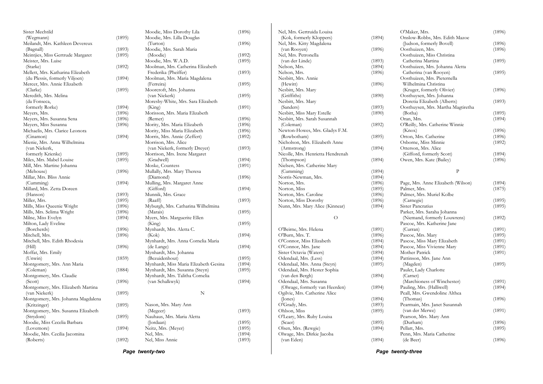|                                    | Page twenty-two |                                       |        | Page twenty-three                 |        |                                    |        |
|------------------------------------|-----------------|---------------------------------------|--------|-----------------------------------|--------|------------------------------------|--------|
| (Roberts)                          | (1892)          | Nel, Miss Annie                       | (1893) | (van Eden)                        | (1894) | (de Beer)                          | (1896) |
| Moodie, Mrs. Cecilia Jacomina      |                 | Nel, Mrs.                             | (1894) | Olwage, Mrs. Dirkie Jacoba        |        | Penn, Mrs. Maria Catherine         |        |
| (Lovemore)                         | (1894)          | Neitz, Mrs. (Meyer)                   | (1895) | Olsen, Mrs. (Rewgie)              | (1894) | Pellatt, Mrs.                      | (1895) |
| Moodie, Miss Cecelia Barbara       |                 | (Jordaan)                             | (1895) | (Scaer)                           | (1895) | (Durham)                           | (1896) |
| (Strydom)                          | (1895)          | Nauhaus, Mrs. Maria Aletta            |        | O'Leary, Mrs. Ruby Louisa         |        | Pearson, Mrs. Mary Ann             |        |
| Montgomery, Mrs. Susanna Elizabeth |                 | (Megeer)                              | (1893) | Ohlson, Miss                      | (1895) | (van der Merwe)                    | (1891) |
| (Kritzinger)                       | (1895)          | Nason, Mrs. Mary Ann                  |        | O'Grady, Mrs.                     | (1893) | Pearmain, Mrs. Janet Susannah      |        |
| Montgomery, Mrs. Johanna Magdalena |                 |                                       |        | (Jones)                           | (1894) | (Thomas)                           | (1896) |
|                                    | (1895)          |                                       |        |                                   |        |                                    |        |
| (van Niekerk)                      |                 | $\mathbf N$                           |        | Ogilvie, Mrs. Catherine Alice     |        | Peall, Mrs. Gwendoline Althea      |        |
| Montgomery, Mrs. Elizabeth Martina |                 |                                       |        | (Olwage, formerly van Heerden)    | (1894) | Pauling, Mrs. (Halliwell)          | (1894) |
| (Scott)                            | (1896)          | (van Schalkwyk)                       | (1894) | Odendaal, Mrs. Susanna            |        | (Marchioness of Winchester)        | (1891) |
| Montgomery, Mrs. Claudie           |                 | Mynhardt, Mrs. Talitha Cornelia       |        | (van den Bergh)                   | (1894) | (Carnet)                           |        |
| (Coleman)                          | (1884)          | Mynhardt, Mrs. Susanna (Steyn)        | (1895) | Odendaal, Mrs. Hester Sophia      |        | Paulet, Lady Charlotte             |        |
| Montgomery, Mrs. Ann Maria         |                 | Mynhardt, Miss Maria Elizabeth Gesina | (1894) | Odendaal, Mrs. Anna (Steyn)       | (1895) | (Magden)                           | (1895) |
| (Unwin)                            | (1859)          | (Bezuidenhout)                        | (1895) | Odendaal, Mrs. (Less)             | (1894) | Pattinson, Mrs. Jane Ann           |        |
| Moffat, Mrs. Emily                 |                 | Mynhardt, Mrs. Johanna                |        | Sister Octavia (Waters)           | (1894) | Mother Patrick                     | (1891) |
| (Hill)                             | (1896)          | (de Lange)                            | (1894) | O'Connor, Mrs. Jane               | (1894) | Pascoe, Miss Vivienne Mary         | (1891) |
| Mitchell, Mrs. Edith Rhodesia      |                 | Mynhardt, Mrs. Anna Cornelia Maria    |        | O'Connor, Miss Elizabeth          | (1894) | Pascoe, Miss Mary Elizabeth        | (1891) |
| Mitchell, Mrs.                     | (1896)          | (Kok)                                 | (1894) | O'Burn, Mrs. T.                   | (1896) | Pascoe, Mrs. Mary                  | (1895) |
| (Borcherds)                        | (1896)          | Mynhardt, Mrs. Aletta C.              |        | O'Beirne, Mrs. Helena             | (1891) | (Curran)                           | (1891) |
| Milton, Lady Eveline               |                 | (King)                                | (1895) |                                   |        | Pascoe, Mrs. Katherine Jane        |        |
| Milne, Miss Evelyn                 | (1894)          | Myers, Mrs. Marguerite Ellen          |        | $\circ$                           |        | (Niemand, formerly Louwrens)       | (1892) |
| Mills, Mrs. Selima Wright          | (1896)          | (Marais)                              | (1895) |                                   |        | Parker, Mrs. Saraha Johanna        |        |
| Mills, Miss Queenie Wright         | (1896)          | Myburgh, Mrs. Catharina Wilhelmina    |        | Nunn, Mrs. Mary Alice (Kinnear)   | (1894) | Sister Pancratius                  | (1895) |
| Miller, Mrs.                       | (1895)          | (Raaff)                               | (1893) | Norton, Miss Dorothy              | (1896) | (Carnegie)                         | (1895) |
| (Hanson)                           | (1893)          |                                       |        |                                   | (1896) |                                    |        |
|                                    |                 | Munnik, Mrs. Grace                    |        | Norton, Mrs. Caroline             |        | Palmer, Mrs. Muriel Kolbe          |        |
| Millard, Mrs. Zetta Doreen         |                 | (Gifford)                             | (1894) | Norton, Miss                      | (1895) | Palmer, Mrs.                       | (1875) |
| (Cumming)                          | (1894)          | Mulling, Mrs. Margaret Anne           |        | Norton, Mrs.                      | (1896) | Page, Mrs. Anne Elizabeth (Wilson) | (1894) |
| Millar, Mrs. Bliss Annie           |                 | (Diamond)                             | (1896) | Norris-Newman, Mrs.               | (1894) |                                    |        |
| (Mehouse)                          | (1896)          | Mullally, Mrs. Mary Theresa           |        | (Cumming)                         | (1894) | $\mathbf{p}$                       |        |
| Mill, Mrs. Martine Johanna         |                 | Moske, Countess                       | (1891) | Nielsen, Mrs. Catherine Mary      |        |                                    |        |
| Miles, Mrs. Mabel Louise           | (1895)          | (Gradwell)                            | (1894) | (Thompson)                        | (1894) | Owen, Mrs. Kate (Bailey)           | (1896) |
| formerly Krienke)                  | (1895)          | Morrison, Mrs. Irene Margaret         |        | Nicolle, Mrs. Henrietta Hendrenah |        | (Gifford, formerly Scott)          | (1894) |
| (van Niekerk,                      |                 | (van Niekerk, formerly Dreyer)        | (1893) | (Armstrong)                       | (1894) | Otterson, Mrs. Alice               |        |
| Mienie, Mrs. Anna Wilhelmina       |                 | Morrison, Mrs. Alice                  |        | Nicholson, Mrs. Elizabeth Anne    |        | Osborne, Miss Minnie               | (1892) |
| (Cinamon)                          | (1894)          | Morris, Mrs. Annie (Zeffert)          | (1892) | (Rowbotham)                       | (1895) | Orton, Mrs. Catherine              | (1896) |
| Michaelis, Mrs. Clarice Leonora    |                 | Mority, Miss Maria Elizabeth          | (1896) | Newton-Howes, Mrs. Gladys F.M.    |        | (Knox)                             | (1896) |
| Meyers, Miss Susanna               | (1896)          | Mority, Mrs. Maria Elizabeth          | (1896) | (Coleman)                         | (1892) | O'Reilly, Mrs. Catherine Winnie    |        |
| Meyers, Mrs. Susanna Sena          | (1896)          | (Remer)                               | (1896) | Nesbitt, Mrs. Sarah Susannah      |        | Oran, Mrs.                         | (1894) |
| Meyers, Mrs.                       | (1896)          | Morisson, Mrs. Maria Elizabeth        |        | Nesbitt, Miss Mary Estelle        | (1890) | (Botha)                            | (1895) |
| formerly Rorke)                    | (1894)          | (King)                                | (1891) | (Sanders)                         | (1893) | Oosthuysen, Mrs. Martha Magtiretha |        |
| (da Fonseca,                       |                 | Moresby-White, Mrs. Sara Elizabeth    |        | Nesbitt, Mrs. Mary                |        | Doretia Elizabeth (Alberts)        | (1893) |
| Meredith, Mrs. Melina              |                 | (van Niekerk)                         | (1895) | (Griffiths)                       | (1890) | Oosthuysen, Mrs. Johanna           |        |
|                                    |                 |                                       |        |                                   |        |                                    |        |
| (Clarke)                           | (1895)          | Moorcroft, Mrs. Johanna               |        | Nesbitt, Mrs. Mary                |        | (Kruger, formerly Olivier)         | (1896) |
| Mercer, Mrs. Annie Elizabeth       |                 | (Ferreira)                            | (1895) | (Hewitt)                          | (1896) | Wilhelmina Christina               |        |
| (du Plessis, formerly Viljoen)     | (1894)          | Moolman, Mrs. Maria Magdalena         |        | Nesbitt, Mrs. Annie               |        | Oosthuizen, Mrs. Pieternella       |        |
| Mellett, Mrs. Katharina Elizabeth  |                 | Frederika (Pheiffer)                  | (1893) | Nelson, Mrs.                      | (1896) | Catherina (van Rooyen)             | (1895) |
| (Starke)                           | (1892)          | Moolman, Mrs. Catherina Elizabeth     |        | Nelson, Mrs.                      | (1894) | Oosthuizen, Mrs. Johanna Aletta    |        |
| Meister, Mrs. Luise                |                 | Moodie, Mrs. W.A.D.                   | (1895) | (van der Linde)                   | (1893) | Catherina Martina                  | (1895) |
| Meintjies, Miss Gertrude Margaret  | (1895)          | (Moodie)                              | (1892) | Nel, Mrs. Petronella              |        | Oosthuizen, Miss Christina         |        |
| (Bagnall)                          | (1893)          | Moodie, Mrs. Sarah Maria              |        | (van Rooyen)                      | (1896) | Oosthuizen, Mrs.                   | (1896) |
| Meilandt, Mrs. Kathleen Devereux   |                 | (Turton)                              | (1896) | Nel, Mrs. Kitty Magdalena         |        | (Judson, formerly Bovell)          | (1896) |
|                                    | (1895)          | Moodie, Mrs. Lilla Douglas            |        | (Kok, formerly Kloppers)          | (1894) | Onslow-Robbs, Mrs. Edith Mazoe     |        |
| Sister Mechtild<br>(Wegmann)       |                 | Moodie, Miss Dorothy Lila             | (1896) | Nel, Mrs. Gertruida Louisa        |        | O'Maker, Mrs.                      | (1896) |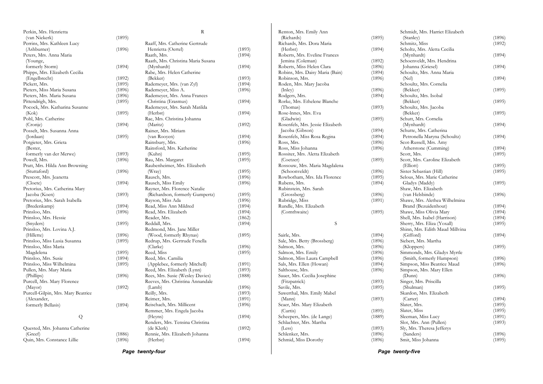| Perkin, Mrs. Henrietta                   |        | R                                  |        |
|------------------------------------------|--------|------------------------------------|--------|
| (van Niekerk)                            | (1895) |                                    |        |
| Perrins, Mrs. Kathleen Lucy              |        | Raaff, Mrs. Catherine Gertrude     |        |
| (Ashburner)                              | (1896) | Henrietta (Oertel)                 | (1893) |
| Peters, Mrs. Anna Maria                  |        | Raath, Mrs.                        | (1894) |
| (Younge,                                 |        | Raath, Mrs. Christina Maria Susana |        |
| formerly Storm)                          | (1894) | (Mynhardt)                         | (1894) |
| Phipps, Mrs. Elizabeth Cecilia           |        | Rabe, Mrs. Helen Catherine         |        |
| (Engelbrecht)                            | (1892) | (Bekker)                           | (1893) |
| Pickett, Mrs.                            | (1895) | Rademeyer, Mrs. (van Zyl)          | (1894) |
| Pieters, Miss Maria Susana               | (1896) | Rademeyer, Miss A.                 | (1896) |
| Pieters, Mrs. Maria Susana               | (1896) | Rademeyer, Mrs. Anna Frances       |        |
| Pittendrigh, Mrs.                        | (1895) | Christina (Erasmus)                | (1894) |
| Pocock, Mrs. Katharina Susanne           |        | Rademeyer, Mrs. Sarah Matilda      |        |
| (Kok)                                    | (1895) | (Herbst)                           | (1894) |
| Pohl, Mrs. Catherine                     |        | Rae, Mrs. Christina Johanna        |        |
| (Cronje)                                 | (1894) | (Maritz)                           | (1892) |
| Posselt, Mrs. Susanna Anna               |        | Rainer, Mrs. Miriam                |        |
| (Jordaan)                                | (1895) | (van Rooyen)                       | (1894) |
| Potgieter, Mrs. Grieta                   |        | Rainsbury, Mrs.                    | (1896) |
| (Bester,                                 |        | Rainsford, Mrs. Katherine          |        |
| formerly van der Merwe)                  | (1893) | (Kuhn)                             | (1895) |
| Powell, Mrs.                             | (1896) | Rau, Mrs. Margaret                 | (1895) |
| Pratt, Mrs. Hilda Ann Browning           |        | Raubenheimer, Mrs. Elizabeth       |        |
| (Stuttaford)                             | (1896) | (Wray)                             | (1895) |
| Prescott, Mrs. Jeanetta                  |        | Rausch, Mrs.                       | (1896) |
| (Cloete)                                 | (1894) | Rausch, Miss Emily                 | (1896) |
| Pretorius, Mrs. Catherina Mary           |        | Rayner, Mrs. Florence Natalie      |        |
| Jacoba (Koen)                            | (1893) | (Richardson, formerly Gumpertz)    | (1895) |
| Pretorius, Mrs. Sarah Isabella           |        | Rayson, Miss Ada                   | (1896) |
|                                          | (1894) | Read, Miss Ann Mildred             | (1894) |
| (Bredenkamp)                             |        |                                    |        |
| Prinsloo, Mrs.<br>Prinsloo, Mrs. Hessie  | (1896) | Read, Mrs. Elizabeth               | (1894) |
|                                          |        | Reader, Mrs.                       | (1862) |
| (Snyders)                                | (1895) | Reddall, Mrs.                      | (1894) |
| Prinsloo, Mrs. Lovina A.J.<br>(Hillette) |        | Redmond, Mrs. Jane Miller          |        |
|                                          | (1896) | (Wood, formerly Rhynas)            | (1895) |
| Prinsloo, Miss Lusia Susanna             | (1895) | Redrup, Mrs. Gertrude Fenella      |        |
| Prinsloo, Miss Maria                     |        | (Clarke)                           | (1896) |
| Magdelena                                | (1895) | Reed, Miss                         | (1895) |
| Prinsloo, Mrs. Susie                     | (1894) | Reed, Mrs. Camilia                 |        |
| Prinsloo, Miss Wilhelmina                | (1895) | (Applebee, formerly Mitchell)      | (1891) |
| Pullen, Mrs. Mary Maria                  |        | Reed, Mrs. Elizabeth (Lynn)        | (1893) |
| (Phillips)                               | (1896) | Rees, Mrs. Susie (Wesley Davies)   | (1888) |
| Purcell, Mrs. Mary Florence              |        | Reeves, Mrs. Christina Annandale   |        |
| (Mayor)                                  | (1892) | (Lamb)                             | (1896) |
| Purcell-Gilpin, Mrs. Mary Beatrice       |        | Reilly, Mrs.                       | (1893) |
| (Alexander,                              |        | Reimer, Mrs.                       | (1891) |
| formerly Bellasis)                       | (1894) | Reischach, Mrs. Millicent          | (1896) |
|                                          |        | Remmer, Mrs. Engela Jacoba         |        |
| Q                                        |        | (Heyns)                            | (1894) |
|                                          |        | Renders, Mrs. Tensina Christina    |        |
| Quested, Mrs. Johanna Catherine          |        | (de Klerk)                         | (1892) |
| (Greef)                                  | (1886) | Rennie, Mrs. Elizabeth Johanna     |        |
| Quin, Mrs. Constance Lillie              | (1896) | (Herbst)                           | (1894) |
|                                          |        |                                    |        |

| Renton, Mrs. Emily Ann           |        |
|----------------------------------|--------|
| (Richards)                       | (1895) |
| Richards, Mrs. Dora Maria        |        |
| (Herbst)                         | (1894) |
| Roberts, Mrs. Eveline Frances    |        |
| Jemina (Coleman)                 | (1892) |
| Roberts, Miss Helen Clara        | (1896) |
| Robins, Mrs. Daisy Maria (Bain)  | (1894) |
| Robinson, Mrs.                   | (1896) |
| Roden, Mrs. Mary Jacoba          | (1896) |
| (Inley)<br>Rodgers, Mrs.         | (1894) |
| Rorke, Mrs. Ethelene Blanche     |        |
| (Thomas)                         | (1893) |
| Rose-Innes, Mrs. Eva             |        |
| (Gladwin)                        | (1895) |
| Rosenfels, Mrs. Jessie Elizabeth |        |
| Jacoba (Gibson)                  | (1894) |
| Rosenfels, Miss Rosa Regina      | (1894) |
| Ross, Mrs.                       | (1896) |
| Ross, Miss Johanna               | (1896) |
| Rossiter, Mrs. Aletta Elizabeth  |        |
| (Coetzer)                        | (1895) |
| Rossouw, Mrs. Maria Magdalena    |        |
| (Schoonveldt)                    | (1896) |
| Rowbotham, Mrs. Ida Florence     | (1895) |
| Rubens, Mrs.                     | (1894) |
| Rubinstein, Mrs. Sarah           |        |
| (Grossberg)                      | (1896) |
| Rubridge, Miss                   | (1891) |
| Rundle, Mrs. Elizabeth           |        |
| (Cornthwaite)                    | (1895) |
| Ś                                |        |
|                                  |        |
| Sairle, Mrs.                     | (1894) |
| Sale, Mrs. Betty (Brossberg)     | (1896) |
| Salmon, Mrs.                     | (1896) |
| Salmon, Mrs. Emily               | (1896) |
| Salmon, Miss Laura Campbell      | (1896) |
| Sals, Mrs. Ellen (Howan)         | (1894) |
| Salthouse, Mrs.                  | (1896) |
| Sauer, Mrs. Cecilia Josephine    |        |
| (Fitzpatrick)                    | (1893) |
| Savile, Mrs.                     | (1895) |
| Sawerthal, Mrs. Emily Mabel      |        |
| (Mann)                           | (1893) |
| Scaer, Mrs. Mary Elizabeth       |        |
| (Curtis)                         | (1895) |
| Scheepers, Mrs. (de Lange)       | (1889) |
| Schlachter, Mrs. Martha          |        |
| (Less)                           | (1893) |
| Schlenker, Mrs.                  | (1896) |
| Schmid, Miss Dorothy             | (1896) |
|                                  |        |

|                             | Schmidt, Mrs. Harriet Elizabeth |                  |
|-----------------------------|---------------------------------|------------------|
| 5)                          | (Stanley)                       | (1896)           |
|                             | Schmitz, Miss                   | (1892)           |
| $\left( \downarrow \right)$ | Scholtz, Mrs. Aletta Cecilia    |                  |
|                             | (Mynhardt)                      | (1894)           |
| 2)                          | Schoenveldt, Mrs. Hendrina      |                  |
| 5)                          | Johanna (Griesel)               | (1894)           |
| 4)                          | Schoultz, Mrs. Anna Maria       |                  |
| 5)                          | (Nel)                           | (1894)           |
|                             | Schoultz, Mrs. Cornelia         |                  |
| 5)                          | (Bekker)                        | (1895)           |
| 4)                          | Schoultz, Mrs. Isobal           |                  |
|                             | (Bekker)                        | (1895)           |
| 3)                          | Schoultz, Mrs. Jacoba           |                  |
|                             | (Bekker)                        | (1895)           |
| 5)                          | Schutt, Mrs. Cornelia           |                  |
|                             | (Mynhardt)                      | (1894)           |
| 4)                          | Schutte, Mrs. Catherina         |                  |
| 4)                          | Petronella Maryna (Schoultz)    | (1894)           |
| 5)                          | Scot-Russell, Mrs. Amy          |                  |
| 5)                          | Atherstone (Cumming)            | (1894)           |
|                             | Scott, Mrs.                     | (1895)           |
| 5)                          | Scott, Mrs. Caroline Elizabeth  |                  |
|                             | (Elliott)                       | (1895)           |
| 5)                          | Sister Sebastian (Hill)         | (1895)           |
| 5)                          | Selous, Mrs. Marie Catherine    |                  |
| 4)                          | Gladys (Maddy)                  | (1895)           |
|                             | Shaw, Mrs. Elizabeth            |                  |
| 5)                          | (van Helsbinde)                 | (1896)           |
| 1)                          | Shawe, Mrs. Alethea Wilhelmina  |                  |
|                             | Brand (Bezuidenhout)            | (1894)           |
| 5)                          | Shawe, Miss Olivia Mary         | (1894)           |
|                             | Shell, Mrs. Isabel (Harrison)   | (1894)           |
|                             | Sherry, Mrs. Eliza (Yoxall)     | (1895)           |
|                             | Shinn, Mrs. Edith Maud Millvina |                  |
| 4)                          | (Gifford)                       | (1894)           |
| 5)                          | Siebert, Mrs. Martha            |                  |
|                             | (Kloppers)                      | (1895)           |
| 5)<br>5)<br>5)              | Simmonds, Mrs. Gladys Myrtle    |                  |
|                             | (Smith, formerly Hampson)       | (1896)           |
| $\overline{4}$              | Simpson, Miss Beatrice Maud     | (1896)           |
| 5)                          | Simpson, Mrs. Mary Ellen        |                  |
|                             | (Dunn)                          | (1896)           |
| 3)                          | Singer, Mrs. Priscilla          |                  |
| 5)                          | (Shulman)                       | (1895)           |
|                             | Skardon, Mrs. Elizabeth         |                  |
| 3)                          | (Carter)                        | (1894)           |
|                             | Slater, Mrs.                    | (1895)           |
|                             | Slater, Miss                    | (1895)           |
| D)                          | Sleeman, Miss Lucy              | (1891)<br>(1893) |
|                             | Slot, Mrs. Ann (Pullen)         |                  |
| 3)<br>5)<br>5)              | Sly, Mrs. Theresa Jefferys      | (1896)           |
|                             | (Sanders)                       |                  |
|                             | Smit, Miss Johanna              | (1895)           |

*Page twenty-four* 

*Page twenty-five*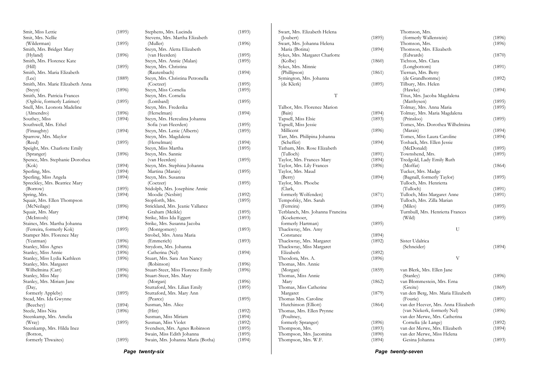| Smit, Miss Lettie                | (1895) | Stephens, Mrs. Lucinda            | (1893) | Swart, Mrs. Elizabeth Helena     |
|----------------------------------|--------|-----------------------------------|--------|----------------------------------|
| Smit, Mrs. Nellie                |        | Stevens, Mrs. Martha Elizabeth    |        | (Joubert)                        |
| (Wilderman)                      | (1895) | (Muller)                          | (1896) | Swart, Mrs. Johanna Helena       |
| Smith, Mrs. Bridget Mary         |        | Steyn, Mrs. Aletta Elizabeth      |        | Maria (Botina)                   |
| (Hyland)                         | (1896) | (van Heerden)                     | (1895) | Sykes, Mrs. Margaret Charlotte   |
| Smith, Mrs. Florence Kate        |        | Steyn, Mrs. Annie (Malan)         | (1895) | (Kolbe)                          |
| (Hill)                           | (1895) | Steyn, Mrs. Christina             |        | Sykes, Mrs. Minnie               |
| Smith, Mrs. Maria Elizabeth      |        | (Rautenbach)                      | (1894) | (Phillipson)                     |
| (Lee)                            | (1889) | Steyn, Mrs. Christina Petronella  |        | Symington, Mrs. Johanna          |
| Smith, Mrs. Marie Elizabeth Anna |        | (Coetzer)                         | (1895) | (de Klerk)                       |
| (Steyn)                          | (1896) | Steyn, Miss Cornelia              | (1895) |                                  |
| Smith, Mrs. Patricia Frances     |        | Steyn, Mrs. Cornelia              |        | T                                |
| (Ogilvie, formerly Latimer)      | (1895) | (Lombard)                         | (1895) |                                  |
| Snell, Mrs. Leonora Madeline     |        | Steyn, Mrs. Frederika             |        | Talbot, Mrs. Florence Marion     |
| (Almendro)                       | (1896) | (Herselman)                       | (1894) | (Bain)                           |
| Southey, Miss                    | (1894) | Steyn, Mrs. Herculina Johanna     |        | Tapsell, Miss Elsie              |
| Southwell, Mrs. Ethel            |        | Sofia (van Heerden)               | (1895) | Tapsell, Miss Jessie             |
| (Finaughty)                      | (1894) | Steyn, Mrs. Lenie (Alberts)       | (1895) | Millicent                        |
| Sparrow, Mrs. Maylor             |        | Steyn, Mrs. Magdalena             |        | Tarr, Mrs. Philipina Johanna     |
| (Reed)                           |        | (Herselman)                       | (1894) | (Scheffer)                       |
|                                  | (1895) |                                   |        | Tatham, Mrs. Rose Elizabeth      |
| Speight, Mrs. Charlotte Emily    |        | Steyn, Miss Martha                | (1895) | (Tulloch)                        |
| (Spranger)                       | (1896) | Steyn, Mrs. Sannie                |        |                                  |
| Spence, Mrs. Stephanie Dorothea  |        | (van Heerden)                     | (1895) | Taylor, Mrs. Frances Mary        |
| (Kok)                            | (1894) | Steyn, Mrs. Stephina Johanna      |        | Taylor, Mrs. Lily Frances        |
| Sperling, Mrs.                   | (1894) | Martina (Marais)                  | (1895) | Taylor, Mrs. Maud                |
| Sperling, Miss Angela            | (1894) | Steyn, Mrs. Susanna               |        | (Berry)                          |
| Spreckley, Mrs. Beatrice Mary    |        | (Coetzer)                         | (1895) | Taylor, Mrs. Phoebe              |
| (Borrow)                         | (1895) | Stidolph, Mrs. Josephine Annie    |        | (Clark,                          |
| Spring, Mrs.                     | (1894) | Moodie (Nesbitt)                  | (1892) | formerly Wolfenden)              |
| Squair, Mrs. Ellen Thompson      |        | Stopforth, Mrs.                   | (1895) | Tempofsky, Mrs. Sarah            |
| (McNeilage)                      | (1896) | Strickland, Mrs. Jeanie Vallance  |        | (Ferreira)                       |
| Squair, Mrs. Mary                |        | Graham (Meikle)                   | (1895) | Terblanch, Mrs. Johanna Francina |
| (McIntosh)                       | (1894) | Strike, Miss Ida Eggert           | (1893) | (Koekemoer,                      |
| Staines, Mrs. Martha Johanna     |        | Strike, Mrs. Susanna Jacoba       |        | formerly Hartman)                |
| (Ferreira, formerly Kok)         | (1895) | (Montgomery)                      | (1893) | Thackwray, Mrs. Amy              |
| Stamper Mrs. Florence May        |        | Strobel, Mrs. Anna Maria          |        | Constance                        |
| (Yeatman)                        | (1896) | (Emmerich)                        | (1893) | Thackwray, Mrs. Margaret         |
| Stanley, Miss Agnes              | (1896) | Strydom, Mrs. Johanna             |        | Thackwray, Miss Margaret         |
| Stanley, Miss Annie              | (1896) | Catherina (Nel)                   | (1894) | Elizabeth                        |
| Stanley, Miss Lydia Kathleen     | (1896) | Stuart, Mrs. Sara Ann Nancy       |        | Theodora, Mrs. A.                |
| Stanley, Mrs. Margaret           |        | (Robinson)                        | (1896) | Thomas, Mrs. Annie               |
| Wilhelmina (Carr)                | (1896) | Stuart-Steer, Miss Florence Emily | (1896) | (Morgan)                         |
| Stanley, Miss May                | (1896) | Stuart-Steer, Mrs. Mary           |        | Thomas, Miss Annie               |
| Stanley, Mrs. Miriam Jane        |        | (Morgan)                          | (1896) | Mary                             |
| (Day,                            |        | Stuttaford, Mrs. Lilian Emily     | (1895) | Thomas, Miss Catherine           |
| formerly Appleby)                | (1895) | Stuttaford, Mrs. Mary Ann         |        | Margaret                         |
| Stead, Mrs. Ida Gwynne           |        | (Pearce)                          | (1895) | Thomas Mrs. Caroline             |
| (Beechey)                        | (1894) | Susman, Mrs. Alice                |        | Hutchinson (Elliott)             |
| Steele, Miss Nita                | (1896) | (Hitt)                            | (1892) | Thomas, Mrs. Ellen Prynne        |
| Steenkamp, Mrs. Amelia           |        | Susman, Miss Miriam               | (1894) | (Poultney,                       |
| (Wray)                           | (1895) | Susman, Miss Violet               | (1892) | formerly Spranger)               |
| Steenkamp, Mrs. Hilda Inez       |        | Svendsen, Mrs. Agnes Robinson     | (1895) | Thompson, Mrs.                   |
| (Botton,                         |        | Swain, Miss Edith Johanna         | (1895) | Thompson, Mrs. Jacomina          |
| formerly Thwaites)               | (1895) | Swain, Mrs. Johanna Maria (Botha) | (1894) | Thompson, Mrs. W.F.              |
|                                  |        |                                   |        |                                  |

 $(1895)$  $(1894)$  $(1860)$  $(1861)$  $(1895)$  $(1894)$  $(1893)$  $(1896)$  $(1894)$  $(1891)$  $(1894)$  $(1896)$  $(1894)$  $(1871)$  $(1894)$  $(1895)$  $(1894)$  $(1892)$  $(1892)$  $(1896)$  $(1859)$  $(1862)$  $(1879)$  $(1864)$  $(1896)$  $(1893)$  $(1890)$  $(1894)$ Thomson, Mrs. (formerly Wallenstein) (1896)<br>Thomson, Mrs. (1896) Thomson, Mrs. Thomson, Mrs. Elizabeth (Edwards) (1870) Tichton, Mrs. Clara (Longbottom) (1891) Tiernan, Mrs. Betty (de Grandhomme) (1892) Tilbury, Mrs. Helen (Hawke) (1894) Titus, Mrs. Jacoba Magdalena (Matthysen) (1895) Tolmay, Mrs. Anna Maria Tolmay, Mrs. Maria Magdalena (Prinsloo) (1895) Tomes, Mrs. Dorothea Wilhelmina  $(1894)$ <br> $(1894)$ Tomes, Miss Laura Caroline Toshack, Mrs. Ellen Jessie (McDonald) (1895)<br>Townshend, Mrs. (1895) Townshend, Mrs. Tredgold, Lady Emily Ruth  $(1864)$ Tucker, Mrs. Madge (Bagnall, formerly Taylor) (1895) Tulloch, Mrs. Henrietta (Tulloch) (1891) Tulloch, Miss Margaret Anne (1891) Tulloch, Mrs. Zilla Marian (Miles) (1895) Turnbull, Mrs. Henrietta Frances (Wild) (1895) U Sister Udalrica (Schneider) (1894) V van Blerk, Mrs. Ellen Jane (Stanley) (1896) van Blommestein, Mrs. Erna (Greite) (1869) van den Berg, Mrs. Maria Elizabeth (Fourie) (1891) van der Heever, Mrs. Anna Elizabeth (van Niekerk, formerly Nel) (1896) van der Merwe, Mrs. Catherina Cornelia (de Lange) (1892) van der Merwe, Mrs. Elizabeth van der Merwe, Miss Helena Gesina Johanna (1893)

*Page twenty-six* 

*Page twenty-seven*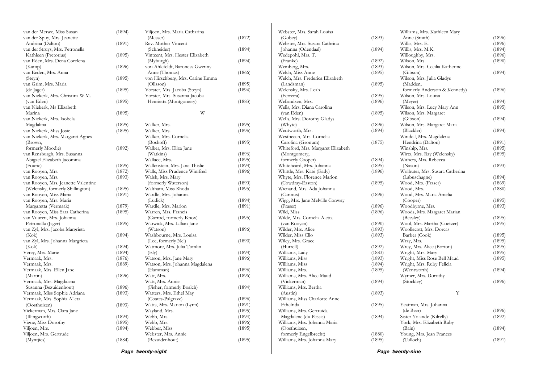| van der Merwe, Miss Susan           | (1894) | Viljoen, Mrs. Maria Catharina    |        |
|-------------------------------------|--------|----------------------------------|--------|
| van der Spuy, Mrs. Jeanette         |        | (Messer)                         | (1872) |
| Andrina (Dalton)                    | (1891) | Rev. Mother Vincent              |        |
| van der Struys, Mrs. Petronella     |        | (Schneider)                      | (1894) |
| Kathleen (Pretorius)                | (1895) | Vintcent, Mrs. Hester Elizabeth  |        |
| van Eden, Mrs. Dena Corelena        |        | (Myburgh)                        | (1894) |
| (Kamp)                              | (1896) | von Ahlefeldt, Baroness Gwenny   |        |
| van Eeden, Mrs. Anna                |        | Anne (Thomas)                    | (1866) |
| (Steyn)                             | (1895) | von Hirschberg, Mrs. Carine Emma |        |
| van Grim, Mrs. Maria                |        | (Ollsson)                        | (1895) |
| (de Jager)                          | (1895) | Vorster, Mrs. Jacoba (Steyn)     | (1894) |
| van Niekerk, Mrs. Christina W.M.    |        | Vorster, Mrs. Susanna Jacoba     |        |
| (van Eden)                          | (1895) | Henrietta (Montgomery)           | (1883) |
| van Niekerk, Ms Elizabeth           |        |                                  |        |
| Marina                              | (1895) | W                                |        |
| van Niekerk, Mrs. Isobela           |        |                                  |        |
| Magdalina                           | (1895) | Walker, Mrs.                     | (1895) |
| van Niekerk, Miss Josie             | (1895) | Walker, Mrs.                     | (1896) |
| van Niekerk, Mrs. Margaret Agnes    |        | Walker, Mrs. Cornelia            |        |
| (Brown,                             |        | (Boshoff)                        | (1895) |
| formerly Moodie)                    | (1892) | Walker, Mrs. Eliza Jane          |        |
| van Rensburgh, Mrs. Susanna         |        | (Watkins)                        | (1896) |
| Abigael Elizabeth Jacomina          |        | Wallace, Mrs.                    | (1895) |
| (Fourie)                            | (1895) | Wallenstein, Mrs. Jane Thislie   | (1894) |
| van Rooyen, Mrs.                    | (1872) | Walls, Miss Prudence Winifred    | (1896) |
| van Rooyen, Mrs.                    | (1893) | Walsh, Mrs. Mary                 |        |
| van Rooyen, Mrs. Jeanette Valentine |        | (formerly Waterson)              | (1890) |
| (Welensky, formerly Shillington)    | (1895) | Waltham, Miss Rhoda              | (1895) |
| van Rooyen, Miss Maria              | (1891) | Wardle, Mrs. Johanna             |        |
| van Rooyen, Mrs. Maria              |        | (Ludick)                         | (1894) |
| Margaretta (Vermaak)                |        | Wardle, Mrs. Marion              | (1891) |
| van Rooyen, Miss Sara Catherina     | (1879) | Warren, Mrs. Francis             |        |
| van Vuuren, Mrs. Johanna            | (1895) |                                  |        |
|                                     |        | (Garrod, formerly Knox)          | (1895) |
| Petronella (Jager)                  | (1895) | Warwick, Mrs. Lillian Jane       |        |
| van Zyl, Mrs. Jacoba Margrieta      |        | (Watson)                         | (1896) |
| (Kok)                               | (1894) | Washbourne, Mrs. Louisa          |        |
| van Zyl, Mrs. Johanna Margrieta     |        | (Lee, formerly Nel)              | (1890) |
| (Kok)                               | (1894) | Watmore, Mrs. Julia Tomlin       |        |
| Verey, Mrs. Marie                   | (1894) | (Ely)                            | (1894) |
| Vermaak, Mrs.                       | (1876) | Watson, Mrs. Jane Mary           | (1896) |
| Vermaak, Mrs.                       | (1889) | Watson, Mrs. Johanna Magdalena   |        |
| Vermaak, Mrs. Ellen Jane            |        | (Hamman)                         | (1896) |
| (Martin)                            | (1896) | Watt, Mrs.                       | (1896) |
| Vermaak, Mrs. Magdalena             |        | Watt, Mrs. Annie                 |        |
| Susanna (Bezuidenhout)              | (1896) | (Fisher, formerly Boalch)        | (1894) |
| Vermaak, Miss Sophie Adriana        | (1893) | Watters, Mrs. Ethel May          |        |
| Vermaak, Mrs. Sophia Alleta         |        | (Coates-Palgrave)                | (1896) |
| (Oosthuizen)                        | (1893) | Watts, Mrs. Marion (Lynn)        | (1891) |
| Vickerman, Mrs. Clara Jane          |        | Wayland, Mrs.                    | (1895) |
| (Illingworth)                       | (1894) | Webb, Mrs.                       | (1894) |
| Vigne, Miss Dorothy                 | (1895) | Webb, Mrs.                       | (1896) |
| Viljoen, Mrs.                       | (1894) | Webber, Miss                     | (1895) |
| Viljoen, Mrs. Gertrude              |        | Webster, Mrs. Annie              |        |
| (Myntjies)                          | (1884) | (Bezuidenhout)                   | (1895) |

Webster, Mrs. Sarah Louisa (Gobey) (1893) Webster, Mrs. Susara Cathrina Johanna (Odendaal) (1894) Wedepohl, Mrs. T. (Franke) (1892)<br>Weinberg, Mrs. (1893) Weinberg, Mrs. (1893)<br>Welch, Miss Anne (1895) Welch, Miss Anne Welch, Mrs. Frederica Elizabeth (Landsman) (1895) Welensky, Mrs. Leah (Ferreira) (1895) Wellandsen, Mrs. (1896) Wells, Mrs. Diana Carolina (van Eden) (1895) Wells, Mrs. Dorothy Gladys (Whyte) (1896) Wentworth, Mrs. Westbeech, Mrs. Cornelia Carolina (Gronum) (1875) Whiteford, Mrs. Margaret Elizabeth (Montgomery, formerly Cooper) (1894) Whiteheard, Mrs. Johanna (1895)<br>Whittle, Mrs. Kate (Eady) (1896) Whittle, Mrs. Kate (Eady) Whyte, Mrs. Florence Marion (Cowdray-Easton) (1895) Wienand, Mrs. Ada Johanna (Carinus) (1896) Wigg, Mrs. Jane Melville Conway (Fraser) (1896) Wild, Miss (1896) Wilde, Mrs. Cornelia Aletta (van Rooyen) (1890) Wilder, Mrs. Alice Wilder, Miss Clio (1893) Wiley, Mrs. Grace (Hurrell) (1892) Williams, Lady (1883)<br>Williams, Miss (1893) Williams, Miss (1893)<br>Williams, Miss (1894) Williams, Miss Williams, Mrs. (1895) Williams, Mrs. Alice Maud (Vickerman) (1894) Williams, Mrs. Bertha (Austin) (1893) Williams, Miss Charlotte Anne Ethelrida (1895) Williams, Mrs. Gertruida Magdalene (du Pessis) (1894) Williams, Mrs. Johanna Maria (Oosthuizen, formerly Engelbrecht) (1880) Williams, Mrs. Johanna Mary (1895) Williams, Mrs. Kathleen Mary Anne (Smith) (1896) Willis, Mrs. E. (1896)<br>Willis, Mrs. M.K. (1894) Willis, Mrs. M.K. Willoughby, Mrs. (1896)<br>Wilson, Mrs. (1890) Wilson, Mrs. Wilson, Mrs. Cecilia Katherine (Gibson) (1894) Wilson, Mrs. Julia Gladys (Madden, formerly Anderson & Kennedy) (1896) Wilson, Mrs. Louisa (Meyer) (1894) Wilson, Mrs. Lucy Mary Ann (1895) Wilson, Mrs. Margaret (Gibson) (1894) Wilson, Mrs. Margaret Maria (Blackler) (1894) Windell, Mrs. Magdalena Hendrina (Dalton) (1891)<br>Winship, Mrs. (1895) Winship, Mrs. (1895)<br>Wirtz, Mrs. Ray (Welensky) (1895) Wirtz, Mrs. Ray (Welensky) Withers, Mrs. Rebecca (Nason) (1893) Wolhuter, Mrs. Susara Catherina (Labuschagne) (1894)<br>Wood, Mrs. (Fraser) (1869) Wood, Mrs. (Fraser) (1869)<br>Wood, Mrs. (1880) Wood, Mrs. Wood, Mrs. Maria Amelia (Cooper) (1895) Woodbyrne, Mrs. (1893) Woods, Mrs. Margaret Marian (Beesley) (1895) Wool, Mrs. Martha (Coetzer) (1895) Woollacott, Mrs. Dorcas Barber (Cook) (1895)<br>Wray, Mrs. (1895) Wray, Mrs. Wrey, Mrs. Alice (Borton) (1895) Wright, Mrs. Mary (1895) Wright, Miss Rose Bell Maud (1895) Wright, Mrs. Ruby Felicia (Wentworth) (1894) Wymer, Mrs. Dorothy (Stockley) (1896) Y Yeatman, Mrs. Johanna (de Beer) (1896)<br>Sister Yolande (Kilrelly) (1892) Sister Yolande (Kilrelly) York, Mrs. Elizabeth Ruby (Bain) (1894) Young, Mrs. Jean Frances (Tulloch) (1891)

*Page twenty-eight* 

*Page twenty-nine*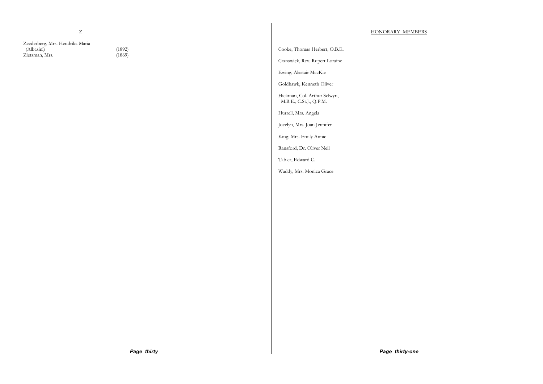Z

Zeederberg, Mrs. Hendrika Maria (Albasini) (1892)<br>Zietsman, Mrs. (1869) Zietsman, Mrs.

Cooke, Thomas Herbert, O.B.E.

Cranswick, Rev. Rupert Loraine

Ewing, Alastair MacKie

Goldhawk, Kenneth Oliver

Hickman, Col. Arthur Selwyn, M.B.E., C.St.J., Q.P.M.

Hurrell, Mrs. Angela

Jocelyn, Mrs. Joan Jennifer

King, Mrs. Emily Annie

Ransford, Dr. Oliver Neil

Tabler, Edward C.

Waddy, Mrs. Monica Grace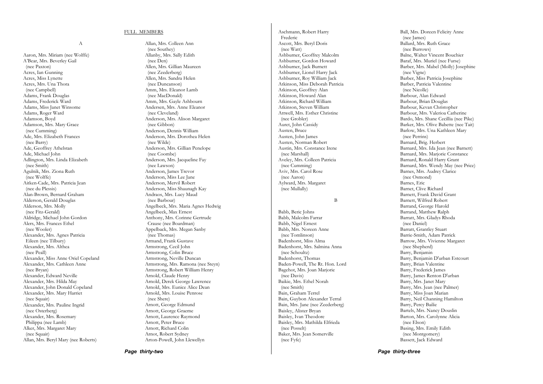#### FULL MEMBERS

A

Aaron, Mrs. Miriam (nee Wolffe) A'Bear, Mrs. Beverley Gail (nee Paxton) Acres, Ian Gunning Acres, Miss Lynette Acres, Mrs. Una Thora (nee Campbell) Adams, Frank Douglas Adams, Frederick Ward Adams, Miss Janet Winsome Adams, Roger Ward Adamson, Boyd Adamson, Mrs. Mary Grace (nee Cumming) Ade, Mrs. Elizabeth Frances (nee Barry) Ade, Geoffrey Athelstan Ade, Michael John Adlington, Mrs. Linda Elizabeth (nee Smith) Agulnik, Mrs. Ziona Ruth (nee Wolffe) Aitken-Cade, Mrs. Patricia Jean (nee du Plessis) Alan-Brown, Bernard Graham Alderson, Gerald Douglas Alderson, Mrs. Molly (nee Fitz-Gerald) Aldridge, Michael John Gordon Alers, Mrs. Frances Ethel (nee Wooler) Alexander, Mrs. Agnes Patricia Eileen (nee Tilbury) Alexander, Mrs. Althea (nee Peall) Alexander, Miss Anne Oriel Copeland Alexander, Mrs. Cathleen Anne (nee Bryan) Alexander, Edward Neville Alexander, Mrs. Hilda May Alexander, John Donald Copeland Alexander, Mrs. Mary Harriet (nee Squair) Alexander, Mrs. Pauline Ingrid (nee Osterberg) Alexander, Mrs. Rosemary Philippa (nee Lamb) Alker, Mrs. Margaret Mary (nee Squair) Allan, Mrs. Beryl Mary (nee Roberts)

Allan, Mrs. Colleen Ann (nee Southey) Allanby, Mrs. Sally Edith (nee Den) Allen, Mrs. Gillian Maureen (nee Zeederberg) Allen, Mrs. Sandra Helen (nee Duncanson) Amm, Mrs. Eleanor Lamb (nee MacDonald) Amm, Mrs. Gayle Ashbourn Andersen, Mrs. Anne Eleanor (nee Cleveland) Anderson, Mrs. Alison Margaret (nee Gibbon) Anderson, Dennis William Anderson, Mrs. Dorothea Helen (nee Wilde) Anderson, Mrs. Gillian Penelope (nee Coombe) Anderson, Mrs. Jacqueline Fay (nee Lawson) Anderson, James Trevor Anderson, Miss Lee Jane Anderson, Mervil Robert Anderson, Miss Shaunagh Kay Andraos, Mrs. Lucy Maud (nee Barbour) Angelbeck, Mrs. Maria Agnes Hedwig Angelbeck, Max Ernest Anthony, Mrs. Corinne Gertrude Crause (nee Boardman) Appelback, Mrs. Megan Sanby (nee Thomas) Armand, Frank Gustave Armstrong, Cecil John Armstrong, Colin Bruce Armstrong, Neville Duncan Armstrong, Mrs. Ramona (nee Steyn) Armstrong, Robert William Henry Arnold, Claude Henry Arnold, Derek George Lawrence Arnold, Mrs. Eunice Alice Dean Arnold, Mrs. Louise Penrose (nee Shere) Arnott, George Edmund Arnott, George Graeme Arnott, Laurence Raymond Arnott, Peter Bruce Arnott, Richard Colin Arnot, Robert Sydney Arton-Powell, John Llewellyn

Aschmann, Robert Harry Frederic Ascott, Mrs. Beryl Doris (nee Watt) Ashburner, Geoffrey Malcolm Ashburner, Gordon Howard Ashburner, Jack Burnett Ashburner, Lionel Harry Jack Ashburner, Roy William Jack Atkinson, Miss Deborah Patricia Atkinson, Geoffrey Alan Atkinson, Howard Alan Atkinson, Richard William Atkinson, Steven William Attwell, Mrs. Esther Christine (nee Grobler) Auret, John Cassidy Austen, Bruce Austen, John James Austen, Norman Robert Austin, Mrs. Constance Irene (nee Marshall) Aveley, Mrs. Colleen Patricia (nee Cumming) Aviv, Mrs. Carol Rose (nee Aaron) Aylward, Mrs. Margaret (nee Mullally) B Babb, Beric Johns Babb, Malcolm Farrar Babb, Nigel Ernest Babb, Mrs. Noreen Anne (nee Tomlinson) Badenhorst, Miss Alma Badenhorst, Mrs. Salmina Anna (nee Schoultz) Badenhorst, Thomas Baden-Powell, The Rt. Hon. Lord Bagehot, Mrs. Joan Marjorie (nee Davis) Baikie, Mrs. Ethel Norah (nee Smith) Bain, Graham Terrel Bain, Guybon Alexander Terral Bain, Mrs. Jane (nee Zeederberg) Baisley, Alister Bryan Baisley, Ivan Theodore

Baisley, Mrs. Mathilda Elfrieda

Baker, Mrs. Jean Somerville

(nee Posselt)

(nee Fyfe)

Ball, Mrs. Doreen Felicity Anne (nee James) Ballard, Mrs. Ruth Grace (nee Burrows) Balne, Walter Vincent Bouchier Baraf, Mrs. Muriel (nee Furse) Barber, Mrs. Mabel (Molly) Josephine (nee Vigne) Barber, Miss Patricia Josephine Barber, Patricia Valentine (nee Nicolle) Barbour, Alan Edward Barbour, Brian Douglas Barbour, Kevan Christopher Barbour, Mrs. Valerioa Catherine Bardo, Mrs. Shane Cecillia (nee Pike) Barker, Mrs. Olive Babette (nee Tait) Barlow, Mrs. Una Kathleen Mary (nee Perrins) Barnard, Brig. Herbert Barnard, Mrs. Ida Jean (nee Barnett) Barnard, Mrs. Marjorie Constance Barnard, Ronald Harry Grant Barnard, Mrs. Wendy May (nee Price) Barnes, Mrs. Audrey Clarice (nee Osmond) Barnes, Eric Barnet, Clive Richard Barnett, Frank David Grant Barnett, Wilfred Robert Barrand, George Harold Barrand, Matthew Ralph Barratt, Mrs. Gladys Rhoda (nee Daniel) Barratt, Grantley Stuart Barrie-Smith, Adam Patrick Barrow, Mrs. Vivienne Margaret (nee Shepherd) Barry, Benjamin Barry, Benjamin D'urban Estcourt Barry, Brian Valentine Barry, Frederick James Barry, James Renton D'urban Barry, Mrs. Janet Mary Barry, Mrs. Jean (nee Palmer) Barry, Miss Joan Marian Barry, Neil Channing Hamilton Barry, Percy Bailie Bartels, Mrs. Nancy Douslin Barton, Mrs. Carolynne Alicia (nee Elson) Basing, Mrs. Emily Edith (nee Montgomery)

Bassett, Jack Edward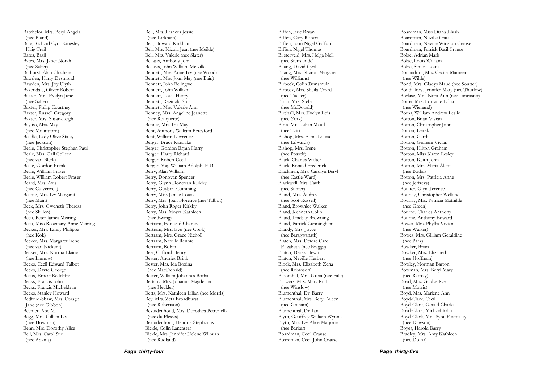Batchelor, Mrs. Beryl Angela (nee Bland) Bate, Richard Cyril Kingsley Haig Trail Bates, Basil Bates, Mrs. Janet Norah (nee Salter) Bathurst, Alan Chichele Bawden, Harry Desmond Bawden, Mrs. Joy Ulyth Baxendale, Oliver Robert Baxter, Mrs. Evelyn June (nee Salter) Baxter, Philip Courtney Baxter, Russell Gregory Baxter, Mrs. Susan-Leigh Bayliss, Mrs. May (nee Mountford) Beadle, Lady Olive Staley (nee Jackson) Beale, Christopher Stephen Paul Beale, Mrs. Gail Colleen (nee van Blerk) Beale, Gordon Frank Beale, William Fraser Beale, William Robert Fraser Beard, Mrs. Avis (nee Culverwell) Beattie, Mrs. Ivy Margaret (nee Main) Beck, Mrs. Gweneth Theresa (nee Skillen) Beck, Peter James Meiring Beck, Miss Rosemary Anne Meiring Becker, Mrs. Emily Philippa (nee Kok) Becker, Mrs. Margaret Irene (nee van Niekerk) Becker, Mrs. Norma Elaine (nee Linnow) Becks, Cecil Edward Talbot Becks, David George Becks, Ernest Redcliffe Becks, Francis John Becks, Francis Micheldean Becks, Stanley Howard Bedford-Shaw, Mrs. Coragh Jane (nee Gibbon) Beemer, Abe M. Begg, Mrs. Gillian Lea (nee Howman) Behn, Mrs. Dorothy Alice Bell, Mrs. Carol Sue (nee Adams)

Bell, Mrs. Frances Jessie (nee Kirkham) Bell, Howard Kirkham Bell, Mrs. Nicola Jean (nee Meikle) Bell, Mrs. Valerie (nee Slater) Bellasis, Anthony John Bellasis, John William Melville Bennett, Mrs. Anne Ivy (nee Wood) Bennett, Mrs. Joan May (nee Bain) Bennett, John Belingwe Bennett, John William Bennett, Louis Henry Bennett, Reginald Stuart Bennett, Mrs. Valerie Ann Benney, Mrs. Angeline Jeanette (nee Rouquette) Bennie, Mrs. Iris May Bent, Anthony William Beresford Bent, William Lawrence Berger, Bruce Karslake Berger, Gordon Bryan Harry Berger, Harry Richard Berger, Robert Cecil Berger, Maj. William Adolph, E.D. Berry, Alan William Berry, Donovan Spencer Berry, Glynn Donovan Kirkby Berry, Guybon Cumming Berry, Miss Janice Louise Berry, Mrs. Joan Florence (nee Talbot) Berry, John Roger Kirkby Berry, Mrs. Moyra Kathleen (nee Ewing) Bertram, Edmund Charles Bertram, Mrs. Eve (nee Cook) Bertram, Mrs. Grace Nicholl Bertram, Neville Rennie Bertram, Robin Best, Clifford Henry Bester, Andries Brink Bester, Mrs. Ida Roxina (nee MacDonald) Bester, William Johannes Botha Bettany, Mrs. Johanna Magdelina (nee Heckler) Betts, Mrs. Kathleen Lilian (nee Morris) Bey, Mrs. Zeta Broadhurst (nee Robertson) Bezuidenhoud, Mrs. Dorothea Petronella (nee du Plessis) Bezuidenhout, Hendrik Stephanus Bickle, Colin Lancaster Bickle, Mrs. Jennifer Helene Wilburn (nee Rudland)

Biffen, Eric Bryan Biffen, Gary Robert Biffen, John Nigel Gyfford Biffen, Nigel Thomas Bijsterveld, Mrs. Helga Nell (nee Stenslunde) Bilang, David Cyril Bilang, Mrs. Sharon Margaret (nee Williams) Birbeck, Colin Dunsmuir Birbeck, Mrs. Sheila Coard (nee Tucker) Birch, Mrs. Stella (nee McDonald) Birchall, Mrs. Evelyn Lois (nee York) Birss, Mrs. Lilian Maud (nee Tait) Bishop, Mrs. Esme Louise (nee Edwards) Bishop, Mrs. Irene (nee Posselt) Black, Charles Walter Black, Ronald Frederick Blackman, Mrs. Carolyn Beryl (nee Castle-Ward) Blackwell, Mrs. Faith (nee Sunter) Bland, Mrs. Audrey (nee Scot-Russell) Bland, Brownlee Walker Bland, Kenneth Colin Bland, Lindsay Browning Bland, Patrick Cunningham Blandy, Mrs. Joyce (nee Baragwanath) Blatch, Mrs. Deidre Carol Elizabeth (nee Bragge) Blatch, Derek Hewitt Blatch, Neville Herbert Block, Mrs. Elizabeth Zena (nee Robinson) Bloomhill, Mrs. Greta (nee Falk) Blowers, Mrs. Mary Ruth (nee Winslow) Blumenthal, Dr. Barry Blumenthal, Mrs. Beryl Aileen (nee Graham) Blumenthal, Dr. Ian Blyth, Geoffrey William Wynne Blyth, Mrs. Ivy Alice Marjorie (nee Barker) Boardman, Cecil Crause Boardman, Cecil John Crause

Boardman, Miss Diana Elvah Boardman, Neville Crause Boardman, Neville Winston Crause Boardman, Patrick Basil Crause Bolze, Adrian Mark Bolze, Louis William Bolze, Simon Louis Bonandrini, Mrs. Cecilia Maureen (nee Wilde) Bond, Mrs. Gladys Maud (nee Soutter) Bondi, Mrs. Jennifer Mary (nee Thurlow) Borlase, Mrs. Nora Ann (nee Lancaster) Botha, Mrs. Lorraine Edna (nee Wienand) Botha, William Andrew Leslie Botton, Brian Vivian Botton, Christopher John Botton, Derek Botton, Garth Botton, Graham Vivian Botton, Hilton Graham Botton, Miss Karen Lesley Botton, Keith John Botton, Mrs. Maria Aletta (nee Botha) Botton, Mrs. Patricia Anne (nee Jeffreys) Boulter, Glyn Terence Bourlay, Christopher Welland Bourlay, Mrs. Patricia Mathilde (nee Green) Bourne, Charles Anthony Bourne, Anthony Edward Bower, Mrs. Phyllis Vivian (nee Walker) Bowes, Mrs. Gilliam Geraldine (nee Park) Bowker, Brian Bowker, Mrs. Elizabeth (nee Hoffman) Bowley, Norman Barton Bowman, Mrs. Beryl Mary (nee Rattray) Boyd, Mrs. Gladys Ray (nee Morris) Boyd, Mrs. Marlene Ann Boyd-Clark, Cecil Boyd-Clark, Gerald Charles Boyd-Clark, Michael John Boyd-Clark, Mrs. Sybil Fitzmassy (nee Dawson) Boyes, Harold Barry Bradley, Mrs. Amy Kathleen (nee Dollar)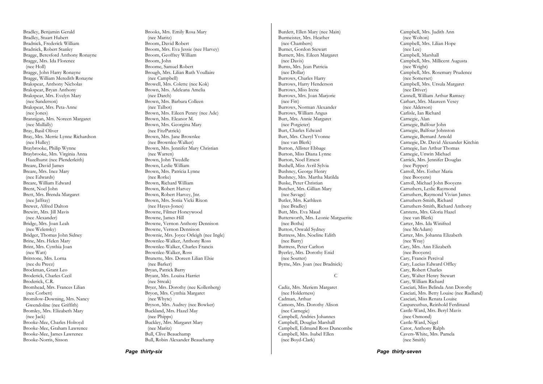Bradley, Benjamin Gerald Bradley, Stuart Hubert Bradnick, Frederick William Bradnick, Robert Stanley Bragge, Beresford Anthony Ronayne Bragge, Mrs. Ida Florence (nee Holl) Bragge, John Harry Ronayne Bragge, William Meredith Ronayne Brakspear, Anthony Nicholas Brakspear, Bryan Anthony Brakspear, Mrs. Evelyn Mary (nee Sanderson) Brakspear, Mrs. Peta-Anne (nee Jones) Brannigan, Mrs. Noreen Margaret (nee Mullally) Bray, Basil Oliver Bray, Mrs. Merrie Lynne Richardson (nee Hulley) Braybrooke, Philip Wynne Braybrooke, Mrs. Virginia Anna Hazelhurst (nee Plenderleith) Breare, David James Breare, Mrs. Inez Mary (nee Edwards) Breare, William Edward Brent, Noel John Brett, Mrs. Brenda Margaret (nee Jaffray) Brewer, Alfred Dalton Brewitt, Mrs. Jill Mavis (nee Alexander) Bridge, Mrs. Joan Leah (nee Welensky) Bridger, Thomas John Sidney Brine, Mrs. Helen Mary Brint, Mrs. Cynthia Joan (nee Watt) Britstone, Mrs. Lorna (nee du Preez) Brockman, Grant Leo Broderick, Charles Cecil Broderick, C.R. Bromhead, Mrs. Frances Lilian (nee Corbett) Bromilow-Downing, Mrs. Nancy Gwendoline (nee Griffith) Bromley, Mrs. Elizabeth Mary (nee Jack) Brooke-Mee, Charles Holroyd Brooke-Mee, Graham Lawrence Brooke-Mee, James Lawrence Brooke-Norris, Sisson

Brooks, Mrs. Emily Rosa Mary (nee Maritz) Broom, David Robert Broom, Mrs. Eva Jessie (nee Harvey) Broom, Geoffrey William Broom, John Broome, Samuel Robert Brough, Mrs. Lilian Ruth Voullaire (nee Campbell) Browell, Mrs. Colette (nee Kok) Brown, Mrs. Adeleana Amelia (nee Darch) Brown, Mrs. Barbara Colleen (nee Talbot) Brown, Mrs. Eileen Penny (nee Ade) Brown, Mrs. Eleanor M. Brown, Mrs. Georgina Mary (nee FitzPatrick) Brown, Mrs. Jane Brownlee (nee Brownlee-Walker) Brown, Mrs. Jennifer Mary Christian (nee Warren) Brown, John Tweddle Brown, Leslie William Brown, Mrs. Patricia Lynne (nee Rorke) Brown, Richard William Brown, Robert Harvey Brown, Robert Harvey, Jnr. Brown, Mrs. Sonia Vicki Rixon (nee Hayes-Jones) Browne, Filmer Honeywood Browne, James Hill Browne, Vernon Anthony Dennison Browne, Vernon Dennison Brownie, Mrs. Joyce Orleigh (nee Ingle) Brownlee-Walker, Anthony Ross Brownlee-Walker, Charles Francis Brownlee-Walker, Ross Brunette, Mrs. Doreen Lilian Elsie (nee Barker) Bryan, Patrick Barry Bryant, Mrs. Louisa Harriet (nee Streak) Bryer, Mrs. Dorothy (nee Kollenberg) Bryon, Mrs. Cynthia Margaret (nee Whyte) Bryson, Mrs. Audrey (nee Bowker) Buckland, Mrs. Hazel May (nee Phipps) Buckley, Mrs. Margaret Mary (nee Maritz) Bull, Clive Beauchamp Bull, Robin Alexander Beauchamp

Burdett, Ellen Mary (nee Main) Burmeister, Mrs. Heather (nee Chambers) Burnet, Gordon Stewart Burnett, Mrs. Eileen Margaret (nee Davis) Burns, Mrs. Jean Patricia (nee Dollar) Burrows, Charles Harry Burrows, Harry Henderson Burrows, Miss Irene Burrows, Mrs. Joan Marjorie (nee Fitt) Burrows, Norman Alexander Burrows, William Angus Burt, Mrs. Annie Margaret (nee Potgieter) Burt, Charles Edward Burt, Mrs. Cheryl Yvonne (nee van Blerk) Burton, Allister Ebbage Burton, Miss Diana Lynne Burton, Noel Ernest Bushell, Miss Avril Sylvia Bushney, George Henry Bushney, Mrs. Martha Matilda Buske, Peter Christian Butcher, Mrs. Gillian Mary (nee Savage) Butler, Mrs. Kathleen (nee Bradley) Butt, Mrs. Eva Maud Butterworth, Mrs. Leonie Marguerite (nee Botha) Button, Oswald Sydney Buttress, Mrs. Noeline Edith (nee Barry) Buttress, Peter Carlton Byerley, Mrs. Dorothy Enid (nee Soutter) Byrne, Mrs. Joan (nee Bradnick) C Cadiz, Mrs. Meriem Margaret (nee Holderness) Cadman, Arthur Camors, Mrs. Dorothy Alison (nee Carnegie) Campbell, Andries Johannes Campbell, Douglas Marshall Campbell, Edmund Ross Duncombe

Campbell, Mrs. Isabel Ellen (nee Boyd-Clark)

#### Campbell, Mrs. Judith Ann (nee Wolton) Campbell, Mrs. Lilian Hope (nee Lee) Campbell, Marshall Campbell, Mrs. Millicent Augusta (nee Wright) Campbell, Mrs. Rosemary Prudence (nee Somerset) Campbell, Mrs. Ursula Margaret (nee Driver) Cannell, William Arthur Ramsey Carhart, Mrs. Maureen Vesey (nee Alderson) Carlisle, Ian Richard Carnegie, Alan Carnegie, Balfour John Carnegie, Balfour Johnston Carnegie, Bernard Arnold Carnegie, Dr. David Alexander Kitchin Carnegie, Ian Arthur Thomas Carnegie, Unwin Michael Carrick, Mrs. Jennifer Douglas (nee Pepper) Carroll, Mrs. Esther Maria (nee Booyens) Carroll, Michael John Booyens Carruthers, Leslie Raymond Carruthers, Raymond Vivian James Carruthers-Smith, Richard Carruthers-Smith, Richard Anthony Carstens, Mrs. Gloria Hazel (nee van Blerk) Carter, Mrs. Ida Winifred (nee McAdam) Carter, Mrs. Johanna Elizabeth (nee Wray) Cary, Mrs. Ann Elizabeth (nee Booyens) Cary, Francis Percival Cary, Lucius Edward Offley Cary, Robert Charles Cary, Walter Henry Stewart Cary, William Richard Casciati, Miss Belinda Ann Dorothy Casciati, Mrs. Betty Louise (nee Rudland) Casciati, Miss Renata Louise Caspareuthus, Reinhold Ferdinand Castle-Ward, Mrs. Beryl Mavis (nee Osmond) Castle-Ward, Nigel Cator, Anthony Ralph Cavers-White, Mrs. Pamela (nee Smith)

*Page thirty-seven*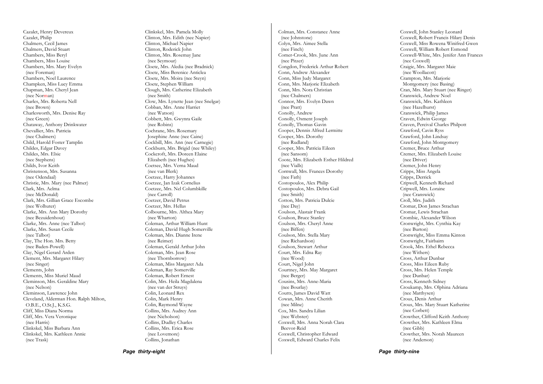Cazalet, Henry Devereux Cazalet, Philip Chalmers, Cecil James Chalmers, David Stuart Chambers, Miss Beryl Chambers, Miss Louise Chambers, Mrs. Mary Evelyn (nee Foreman) Chambers, Noel Laurence Champken, Miss Lucy Emma Chapman, Mrs. Cheryl Jean (nee Nor man) Charles, Mrs. Roberta Nell (nee Brown) Charlesworth, Mrs. Denise Ray (nee Green) Chataway, Anthony Drinkwater Chevallier, Mrs. Patricia (nee Chalmers) Child, Harold Foster Tamplin Childes, Edgar Davey Childes, Mrs. Elsie (nee Stephens) Childs, Ivor Keith Christenson, Mrs. Susanna (nee Odendaal) Christie, Mrs. Mary (nee Palmer) Clark, Mrs. Aelma (nee McDonald) Clark, Mrs. Gillian Grace Escombe (nee Wolhuter) Clarke, Mrs. Ann Mary Dorothy (nee Bezuidenhout) Clarke, Mrs. Anne (nee Talbot) Clarke, Mrs. Susan Cecile (nee Talbot) Clay, The Hon. Mrs. Betty (nee Baden-Powell) Clay, Nigel Gerard Arden Clement, Mrs. Margaret Hilary (nee Singer) Clements, John Clements, Miss Muriel Maud Cleminson, Mrs. Geraldine Mary (nee Nelson) Cleminson, Lawrence John Cleveland, Alderman Hon. Ralph Milton, O.B.E., O.St.J., K.S.G. Cliff, Miss Diana Norma Cliff, Mrs. Vera Veronique (nee Harris) Clinkskel, Miss Barbara Ann Clinkskel, Mrs. Kathleen Annie (nee Trask)

Clinkskel, Mrs. Pamela Molly Clinton, Mrs. Edith (nee Napier) Clinton, Michael Napier Clinton, Roderick John Clinton, Mrs. Rosemay Jane (nee Seymour) Cloete, Mrs. Aledia (nee Bradnick) Cloete, Miss Berenice Anticlea Cloete, Mrs. Moira (nee Steyn) Cloete, Stephen William Clough, Mrs. Catherine Elizabeth (nee Smith) Clow, Mrs. Lynette Jean (nee Snelgar) Cobban, Mrs. Anne Harriet (nee Watson) Cobbett, Mrs. Gwynra Gaile (nee Robins) Cochrane, Mrs. Rosemary Josephine Anne (nee Caine) Cockbill, Mrs. Ann (nee Carnegie) Cockburn, Mrs. Brigid (nee Whiley) Cockcroft, Mrs. Doreen Elaine Elizabeth (nee Hughes) Coetsee, Mrs. Verna Maud (nee van Blerk) Coetzee, Harry Johannes Coetzee, Jan Izak Cornelius Coetzee, Mrs. Nel Columbkille (nee Carroll) Coetzer, David Petrus Coetzer, Mrs. Hellas Colbourne, Mrs. Althea Mary (nee Wharton) Coleman, Arthur William Hunt Coleman, David Hugh Somerville Coleman, Mrs. Dianne Irene (nee Reimer) Coleman, Gerald Arthur John Coleman, Mrs. Jean Rose (nee Thornborrow) Coleman, Miss Margaret Ada Coleman, Ray Somerville Coleman, Robert Ernest Colin, Mrs. Heila Magdalena (nee van der Struys) Colin, Leonard Rex Colin, Mark Henry Colin, Raymond Wayne Collins, Mrs. Audrey Ann (nee Nicholson) Collins, Dudley Charles Collins, Mrs. Erica Rose (nee Lovemore) Collins, Jonathan

Colman, Mrs. Constance Anne (nee Johnstone) Colyn, Mrs. Aimee Stella (nee Finch) Comer-Crook, Mrs. June Ann (nee Pitzer) Congdon, Frederick Arthur Robert Conn, Andrew Alexander Conn, Miss Judy Margaret Conn, Mrs. Marjorie Elizabeth Conn, Mrs. Nora Christian (nee Chalmers) Connor, Mrs. Evelyn Dawn (nee Pratt) Conolly, Andrew Conolly, Osment Joseph Conolly, Thomas Gavin Cooper, Dennis Alfred Lermitte Cooper, Mrs. Dorothy (nee Rudland) Cooper, Mrs. Patricia Eileen (nee Sansom) Coote, Mrs. Elizabeth Esther Hildred (nee Vialls) Cornwall, Mrs. Frances Dorothy (nee Fath) Costopoulos, Alex Philip Costopoulos, Mrs. Debra Gail (nee Smith) Cotton, Mrs. Patricia Dulcie (nee Day) Coulson, Alastair Frank Coulson, Bruce Stanley Coulson, Mrs. Cheryl Anne (nee Biffen) Coulson, Mrs. Stella Mary (nee Richardson) Coulson, Stewart Arthur Court, Mrs. Edna Ray (nee Wood) Court, Nigel John Courtney, Mrs. May Margaret (nee Berger) Cousins, Mrs. Anne-Maria (nee Bourlay) Coutts, James David Watt Cowan, Mrs. Anne Cherith (nee Milne) Cox, Mrs. Sandra Lilian (nee Webster) Coxwell, Mrs. Anna Norah Clara Beevor-Reid Coxwell, Christopher Edward Coxwell, Edward Charles Felix

Coxwell, John Stanley Leonard Coxwell, Robert Francis Hilary Denis Coxwell, Miss Rowena Winifred Gwen Coxwell, William Robert Esmond Coxwell-White, Mrs. Jenifer Ann Frances (nee Coxwell) Craigie, Mrs. Margaret Maie (nee Woollacott) Crampton, Mrs. Marjorie Montgomery (nee Basing) Cran, Mrs. Mary Stuart (nee Ringer) Cranswick, Andrew Noel Cranswick, Mrs. Kathleen (nee Hazelhurst) Cranswick, Philip James Craven, Edwin George Craven, Percival Charles Philpott Crawford, Cavin Ryss Crawford, John Lindsay Crawford, John Montgomery Cremer, Bruce Arthur Cremer, Mrs. Elizabeth Louise (nee Driver) Cremer, John Henry Cripps, Miss Angela Cripps, Derrick Cripwell, Kenneth Richard Cripwell, Mrs. Loraine (nee Cranswick) Croll, Mrs. Judith Cromar, Don James Strachan Cromar, Lewis Strachan Crombie, Alexander Wilson Cronwright, Mrs. Cynthia Kay (nee Burton) Cronwright, Miss Emma Kinton Cronwright, Fairbairn Crook, Mrs. Ethel Rebecca (nee Withers) Cross, Arthur Dunbar Cross, Miss Eileen Ruby Cross, Mrs. Helen Temple (nee Dunbar) Cross, Kenneth Sidney Croukamp, Mrs. Olphina Adriana (nee Matthysen) Crous, Denis Arthur Crous, Mrs. Mary Stuart Katherine (nee Corbett) Crowther, Clifford Keith Anthony Crowther, Mrs. Kathleen Elma (nee Gibb) Crowther, Mrs. Norah Maureen (nee Anderson)

*Page thirty-eight* 

*Page thirty-nine*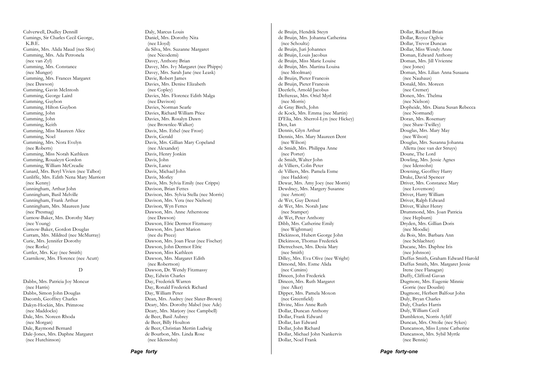Culverwell, Dudley Dennill Cumings, Sir Charles Cecil George, K.B.E. Cumins, Mrs. Alida Maud (nee Slot) Cumming, Mrs. Ada Petronela (nee van Zyl) Cumming, Mrs. Constance (nee Munger) Cumming, Mrs. Frances Margaret (nee Dawson) Cumming, Gavin McIntosh Cumming, George Laird Cumming, Guybon Cumming, Hilton Guybon Cumming, John Cumming, John Cumming, Keith Cumming, Miss Maureen Alice Cumming, Noel Cumming, Mrs. Nora Evelyn (nee Roberts) Cumming, Miss Norah Kathleen Cumming, Roualeyn Gordon Cumming, William McCreadie Cunard, Mrs. Beryl Vivien (nee Talbot) Cunliffe, Mrs. Edith Nena Mary Marriott (nee Kenny) Cunningham, Arthur John Cunningham, Basil Melville Cunningham, Frank Arthur Cunningham, Mrs. Maureen June (nee Presmag) Curnow-Baker, Mrs. Dorothy Mary (nee Young) Curnow-Baker, Gordon Douglas Curram, Mrs. Mildred (nee McMurray) Curie, Mrs. Jennifer Dorothy (nee Rorke) Cuttler, Mrs. Kay (nee Smith) Czarnikow, Mrs. Florence (nee Acutt)

#### D

Dabbs, Mrs. Patricia Joy Moncur (nee Harris) Dabbs, Simon John Douglas Dacomb, Geoffrey Charles Dakyn-Hockin, Mrs. Primrose (nee Maddocks) Dale, Mrs. Noreen Rhoda (nee Morgan) Dale, Raymond Bernard Dale-Jones, Mrs. Daphne Margaret (nee Hutchinson)

Daly, Marcus Louis Daniel, Mrs. Dorothy Nita (nee Lloyd) da Silva, Mrs. Suzanne Margaret (nee Nicodemi) Davey, Anthony Brian Davey, Mrs. Ivy Margaret (nee Phipps) Davey, Mrs. Sarah Jane (nee Leask) Davie, Robert James Davies, Mrs. Denise Elizabeth (nee Copley) Davies, Mrs. Florence Edith Malga (nee Davison) Davies, Norman Searle Davies, Richard William Price Davies, Mrs. Rosalyn Dawn (nee Brownlee-Walker) Davis, Mrs. Ethel (nee Frost) Davis, Gerald Davis, Mrs. Gillian Mary Copeland (nee Alexander) Davis, Henry Jonkin Davis, John Davis, Lance Davis, Michael John Davis, Morley Davis, Mrs. Sylvia Emily (nee Cripps) Davison, Brian Fettes Davison, Mrs. Sylvia Stella (nee Morris) Davison, Mrs. Vera (nee Nielson) Davison, Wyn Fettes Dawson, Mrs. Anne Atherstone (nee Dawson) Dawson, Elric Dermot Fitzmassy Dawson, Mrs. Janet Marion (nee du Preez) Dawson, Mrs. Joan Fleur (nee Fischer) Dawson, John Dermot Elric Dawson, Miss Kathleen Dawson, Mrs. Margaret Edith (nee Robertson) Dawson, Dr. Wendy Fitzmassy Day, Edwin Charles Day, Frederick Warren Day, Ronald Frederick Richard Day, William Peter Dean, Mrs. Audrey (nee Slater-Brown) Deary, Mrs. Dorothy Mabel (nee Ade) Deary, Mrs. Marjory (nee Campbell) de Beer, Basil Aubrey de Beer, Billy Houlton de Beer, Christian Mertin Ludwig de Bourbon, Mrs. Linda Rose (nee Idensohn)

de Bruijn, Hendrik Steyn de Bruijn, Mrs. Johanna Catherina (nee Schoultz) de Bruijn, Juri Johannes de Bruijn, Louis Jacobus de Bruijn, Miss Marie Louise de Bruijn, Mrs. Martina Louisa (nee Moolman) de Bruijn, Pieter Francois de Bruijn, Pieter Francois Deetlefs, Arnold Jacobus Deftereas, Mrs. Oriel Myrl (nee Morris) de Gray Birch, John de Kock, Mrs. Emma (nee Martin) D'Elia, Mrs. Sherrol-Lyn (nee Hickey) Den, Ian Dennis, Glyn Arthur Dennis, Mrs. Mary Maureen Dent (nee Wilson) de Smidt, Mrs. Philippa Anne (nee Porter) de Smidt, Walter John de Villiers, Colin Peter de Villiers, Mrs. Pamela Esme (nee Haddon) Dewar, Mrs. Amy Joey (nee Morris) Dewdney, Mrs. Margery Susanne (nee Arnott) de Wet, Guy Denzel de Wet, Mrs. Norah Jane (nee Stamper) de Wet, Peter Anthony Dibb, Mrs. Catherine Emily (nee Wightman) Dickinson, Hubert George John Dickinson, Thomas Frederick Dietrechsen, Mrs. Desia Mary (nee Smith) Dilley, Mrs. Eva Olive (nee Wright) Dimond, Mrs. Esme Alida (nee Cumins) Dineen, John Frederick Dineen, Mrs. Ruth Margaret (nee Alker) Dipper, Mrs. Pamela Moxon (nee Greenfield) Divine, Miss Anne Ruth Dollar, Duncan Anthony Dollar, Frank Edward Dollar, Ian Edward Dollar, John Richard Dollar, Michael John Nankervis Dollar, Noel Frank

Dollar, Richard Brian Dollar, Royce Ogilvie Dollar, Trevor Duncan Dollar, Miss Wendy Anne Doman, Edward Anthony Doman, Mrs. Jill Vivienne (nee Jones) Doman, Mrs. Lilian Anna Susaana (nee Nauhaus) Donald, Mrs. Moreen (nee Cremer) Donen, Mrs. Thelma (nee Nielson) Dopheide, Mrs. Diana Susan Rebecca (nee Normand) Doran, Mrs. Rosemary (nee Shaw-Twilley) Douglas, Mrs. Mary May (nee Wilson) Douglas, Mrs. Susanna Johanna Alletta (nee van der Struys) Doune, The Lord Dowling, Mrs. Jessie Agnes (nee Idensohn) Downing, Geoffrey Harry Drake, David Spencer Driver, Mrs. Constance Mary (nee Lovemore) Driver, Harry William Driver, Ralph Edward Driver, Walter Henry Drummond, Mrs. Joan Patricia (nee Hepburn) Dryden, Mrs. Gillian Doris (nee Moodie) du Bois, Mrs. Barbara Ann (nee Schlachter) Ducane, Mrs. Daphne Iris (nee Johnson) Duffus Smith, Graham Edward Harold Duffus Smith, Mrs. Margaret Jessie Irene (nee Flanagan) Duffy, Clifford Gavan Dugmore, Mrs. Eugenie Minnie Gorrie (nee Douslin) Dugmore, Herbert Balfour John Duly, Bryan Charles Duly, Charles Harris Duly, William Cecil Dumbleton, Norris Ayliff Duncan, Mrs. Ottolie (nee Sykes) Duncanson, Miss Lynne Catherine Duncanson, Mrs. Sybil Myrtle (nee Bennie)

*Page forty-one*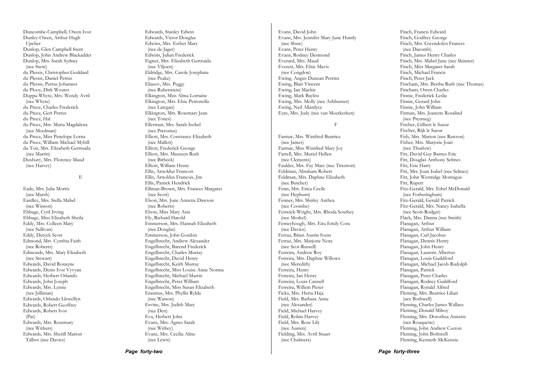Duncombe-Campbell, Owen Ivor Dunley-Owen, Arthur Hugh Upcher Dunlop, Glen Campbell Stent Dunlop, John Andrew Blackadder Dunlop, Mrs. Sarah Sydney (nee Stent) du Plessis, Christopher Goddard du Plessis, Daniel Petrus du Plessis, Petrus Johannes du Plooy, Dirk Wouter Duppa-Whyte, Mrs. Wendy Avril (nee Whyte) du Preez, Charles Frederick du Preez, Gert Petrus du Preez, Hal du Preez, Mrs. Maria Magdalena (nee Moolman) du Preez, Miss Penelope Lorna du Preez, William Michael Myhill du Toit, Mrs. Elizabeth Gertruida (nee Martin) Duxbury, Mrs. Florence Maud (nee Harvey)

E

Eade, Mrs. Julia Morris (nee Marsh) Eardley, Mrs. Stella Mabel (nee Winson) Ebbage, Cyril Irving Ebbage, Miss Elizabeth Sheila Eddy, Mrs. Colleen Mary (nee Sullivan) Eddy, Deryck Scott Edmond, Mrs. Cynthia Faith (nee Roberts) Edmonds, Mrs. Mary Elizabeth (nee Stewart) Edwards, David Ronayne Edwards, Denis Ivor Vyvyan Edwards, Herbert Orlando Edwards, John Joseph Edwards, Mrs. Lynne (nee Jelliman) Edwards, Orlando Llewellyn Edwards, Robert Geoffrey Edwards, Robert Ivor (Pat) Edwards, Mrs. Rosemary (nee Withers) Edwards, Mrs. Sherill Marion Talbot (nee Davies)

Edwards, Stanley Edwin Edwards, Victor Douglas Edwins, Mrs. Esther Mary (nee de Jager) Edwins, Julian Frederick Eigner, Mrs. Elizabeth Gertruida (nee Viljoen) Eldridge, Mrs. Carole Josephine (nee Peake) Eliasov, Mrs. Peggy (nee Rubenstein) Elkington, Miss Alma Lorraine Elkington, Mrs. Elsie Petronella (nee Lategan) Elkington, Mrs. Rosemary Jean (nee Tones) Ellerman, Mrs. Sarah Isobel (nee Pretorius) Elliott, Mrs. Constance Elizabeth (nee Mallett) Elliott, Frederick George Elliott, Mrs. Maureen Ruth (nee Birbeck) Elliott, William Henry Ellis, Arnoldus Francois Ellis, Arnoldus Francois, Jnr. Ellis, Patrick Hendrick Ellman-Brown, Mrs. Frances Margaret (nee Scott) Elson, Mrs. June Annette Dawson (nee Roberts) Elson, Miss Mary Ann Ely, Richard Harold Emmerson, Mrs. Hannah Elizabeth (nee Douglas) Emmerson, John Gordon Engelbrecht, Andrew Alexander Engelbrecht, Barend Frederick Engelbrecht, Charles Murray Engelbrecht, David Henry Engelbrecht, Keith Murray Engelbrecht, Miss Louise Anne Norma Engelbrecht, Michael Martin Engelbrecht, Peter William Engelbrecht, Miss Susan Elizabeth Erasmus, Mrs. Phyllis Rylda (nee Watson) Ervine, Mrs. Judith Mary (nee Den) Eva, Herbert John Evans, Mrs. Agnes Sarah (nee Withey) Evans, Mrs. Cecilia Aline (nee Lewis)

Evans, David John Evans, Mrs. Jennifer Mary June Huntly (nee Shaw) Evans, Peter Henry Evans, Rodney Desmond Everard, Mrs. Maud Everett, Mrs. Elsie Mavis (nee Congdon) Ewing, Angus Duncan Perrins Ewing, Blair Vincent Ewing, Ian Mackie Ewing, Mark Bayliss Ewing, Mrs. Molly (nee Ashburner) Ewing, Neil Allardyce Eyre, Mrs. Judy (nee van Moerkerken) F Farmar, Mrs. Winifred Beatrice (nee James) Farmar, Miss Winifred Mary Joy Farrell, Mrs. Muriel Hellen (nee Clements) Faulder, Mrs. Fay Mary (nee Titterton) Feldman, Abraham Robert Feldman, Mrs. Daphne Elizabeth (nee Butcher) Fenn, Mrs. Erica Cecile (nee Hepburn) Fenner, Mrs. Shirley Anthea (nee Coombe) Fenwick-Wright, Mrs. Rhoda Southey (nee Morkel) Ferneyhough, Mrs. Eira Emily Cora (nee Davies)

Ferraz, Brian Austin Ivens Ferraz, Mrs. Marjorie Nora (nee Scot-Russell) Ferreira, Andrew Roy Ferreira, Mrs. Daphne Willows

 (nee Meredith) Ferreira, Henry Ferreira, Ian Henry Ferreira, Louis Cannell Ferreira, Willem Pieter Ficks, Mrs. Herta Haja Field, Mrs. Barbara Anne (nee Alexander) Field, Michael Harvey Field, Robin Harvey Field, Mrs. Rose Lily (nee Austen) Fielding, Mrs. Avril Stuart (nee Chalmers)

Finch, Godfrey George Finch, Mrs. Gwendolyn Frances (nee Dacomb) Finch, James Henry Charles Finch, Mrs. Mabel Jane (nee Skinner) Finch, Miss Margaret Sarah Finch, Michael Francis Finch, Peter Jack Fincham, Mrs. Bertha Ruth (nee Thomas) Fincham, Owen Charles Finnie, Frederick Leslie Finnie, Gerard John Finnie, John William Firman, Mrs. Jeanette Rosalind (nee Presmeg) Fischer, Gilbert le Sueur Fischer, Rijk le Sueur Fish, Mrs. Marion (nee Rawson) Fisher, Mrs. Marjorie Joan (nee Thurlow) Fitt, David Guy Barnes Eric Fitt, Douglas Anthony Selmes Fitt, Eric Harry Fitt, Mrs. Joan Isabel (nee Selmes) Fitt, John Westridge Montague Fitt, Rupert Fitz-Gerald, Mrs. Ethel McDonald (nee Fotheringham) Fitz-Gerald, Gerald Patrick Fitz-Gerald, Mrs. Nancy Isabella (nee Scott-Rodger) Flack, Mrs. Danna (nee Smith) Flanagan, Arthur Flanagan, Arthur William Flanagan, Carl Jacobus Flanagan, Dennis Henry Flanagan, John Henry Flanagan, Laurens Albertus Flanagan, Louis Guildford Flanagan, Michael Jacob Rudolph Flanagan, Patrick Flanagan, Peter Charles Flanagan, Rodney Guildford Flanagan, Ronald Alfred Fleming, Mrs. Beatrice Lilian (nee Bothwell) Fleming, Charles James Wallace Fleming, Donald Milroy Fleming, Mrs. Dorothea Annette (nee Rouquette) Fleming, John Andrew Caeron Fleming, John Bothwell Fleming, Kenneth McKenzie

Finch, Francis Edward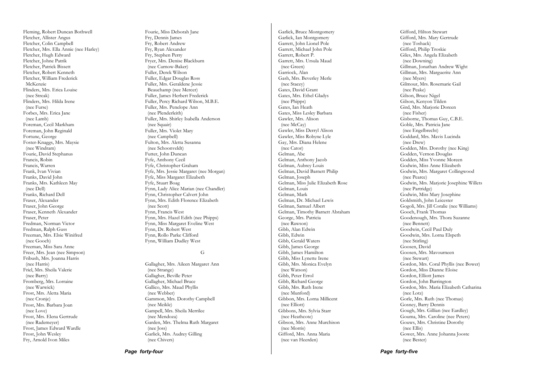Fleming, Robert Duncan Bothwell Fletcher, Allister Angus Fletcher, Colin Campbell Fletcher, Mrs. Ella Annie (nee Harley) Fletcher, Hugh Edward Fletcher, Johne Patrik Fletcher, Patrick Bissett Fletcher, Robert Kenneth Fletcher, William Frederick McKenzie Flinders, Mrs. Erica Louise (nee Streak) Flinders, Mrs. Hilda Irene (nee Furse) Forbes, Mrs. Erica Jane (nee Lamb) Foreman, Cecil Markham Foreman, John Reginald Fortune, George Foster-Knaggs, Mrs. Maysie (nee Windram) Fourie, David Stephanus Francis, Robin Francis, Warren Frank, Ivan Vivian Franks, David John Franks, Mrs. Kathleen May (nee Dell) Franks, Richard Dell Fraser, Alexander Fraser, John George Fraser, Kenneth Alexander Fraser, Peter Fredman, Norman Victor Fredman, Ralph Guss Freeman, Mrs. Elsie Winifred (nee Gooch) Freeman, Miss Sara Anne Freer, Mrs. Jean (nee Simpson) Fribush, Mrs. Joanna Harris (nee Harris) Friel, Mrs. Sheila Valerie (nee Barry) Fromberg, Mrs. Lorraine (nee Warwick) Frost, Mrs. Aletta Maria (nee Cronje) Frost, Mrs. Barbara Joan (nee Love) Frost, Mrs. Elena Gertrude (nee Rademeyer) Frost, James Edward Wardle Frost, John Wesley Fry, Arnold Ivon Miles

Fourie, Miss Deborah Jane Fry, Dennis James Fry, Robert Andrew Fry, Ryan Alexander Fry, Stephen Perry Fryer, Mrs. Denise Blackburn (nee Curnow-Baker) Fuller, Derek Wilson Fuller, Edgar Douglas Ross Fuller, Mrs. Geraldene Jessie Beauchamp (nee Mercer) Fuller, James Herbert Frederick Fuller, Percy Richard Wilson, M.B.E. Fuller, Mrs. Penelope Ann (nee Plenderleith) Fuller, Mrs. Shirley Isabella Anderson (nee Squair) Fuller, Mrs. Violet Mary (nee Campbell) Fulton, Mrs. Aletta Susanna (nee Schoonveldt) Futter, John Duncan Fyfe, Anthony Cecil Fyfe, Christopher Graham Fyfe, Mrs. Jessie Margaret (nee Morgan) Fyfe, Miss Margaret Elizabeth Fyfe, Stuart Boag Fynn, Lady Alice Marian (nee Chandler) Fynn, Christopher Calvert John Fynn, Mrs. Edith Florence Elizabeth (nee Scott) Fynn, Francis West Fynn, Mrs. Hazel Edith (nee Phipps) Fynn, Miss Margaret Eveline West Fynn, Dr. Robert West Fynn, Rollo Parke Clifford Fynn, William Dudley West

#### G

Gallagher, Mrs. Aileen Margaret Ann (nee Strange) Gallagher, Beville Peter Gallagher, Michael Bruce Gallico, Mrs. Maud Phyllis (nee Webber) Gammon, Mrs. Dorothy Campbell (nee Meikle) Gampell, Mrs. Sheila Merrilee (nee Mendoza) Garden, Mrs. Thelma Ruth Margaret (nee Joss) Garlick, Mrs. Audrey Gilling (nee Chivers)

Garlick, Bruce Montgomery Garlick, Ian Montgomery Garrett, John Lionel Pole Garrett, Michael John Pole Garrett, Robert P. Garrett, Mrs. Ursula Maud (nee Green) Garriock, Alan Gash, Mrs. Beverley Merle (nee Stacey) Gates, David Grant Gates, Mrs. Ethel Gladys (nee Phipps) Gates, Ian Heath Gates, Miss Lesley Barbara Gawler, Mrs. Alison (nee McCay) Gawler, Miss Derryl Alison Gawler, Miss Robyne Lyle Gay, Mrs. Diana Helene (nee Cator) Gelman, Abe Gelman, Anthony Jacob Gelman, Aubrey Louis Gelman, David Barnett Philip Gelman, Joseph Gelman, Miss Julie Elizabeth Rose Gelman, Louis Gelman, Mark Gelman, Dr. Michael Lewis Gelman, Samuel Albert Gelman, Timothy Barnett Abraham George, Mrs. Patricia (nee Rawson) Gibb, Alan Edwin Gibb, Edwin Gibb, Gerald Waters Gibb, James George Gibb, James Hamilton Gibb, Miss Lynette Irene Gibb, Mrs. Monica Evelyn (nee Watson) Gibb, Peter Errol Gibb, Richard George Gibb, Mrs. Ruth Irene (nee Munford) Gibbon, Mrs. Lorna Millicent (nee Elliott) Gibbons, Mrs. Sylvia Starr (nee Heathcote) Gibson, Mrs. Anne Murchison (nee Morris) Gifford, Mrs. Anna Maria (nee van Heerden)

Gifford, Hilton Stewart Gifford, Mrs. Mary Gertrude (nee Toshack) Gifford, Philip Troskie Giles, Mrs. Angela Elizabeth (nee Downing) Gillman, Jonathan Andrew Wight Gillman, Mrs. Marguerite Ann (nee Myers) Gilmour, Mrs. Rosemarie Gail (nee Peake) Gilson, Bruce Nigel Gilson, Kenyon Tilden Gird, Mrs. Marjorie Doreen (nee Fisher) Gisborne, Thomas Guy, C.B.E. Goble, Mrs. Patricia Jane (nee Engelbrecht) Goddard, Mrs. Mavis Lucinda (nee Drew) Godden, Mrs. Dorothy (nee King) Godden, Vernon Douglas Godden, Miss Yvonne Moreen Godwin, Miss Anne Elizabeth Godwin, Mrs. Margaret Collingwood (nee Pearce) Godwin, Mrs. Marjorie Josephine Willets (nee Partridge) Godwin, Miss Mary Josephine Goldsmith, John Leicester Gogoli, Mrs. Jill Coralie (nee Williams) Gooch, Frank Thomas Goodenough, Mrs. Thora Suzanne (nee Bennett) Goodwin, Cecil Paul Duly Goodwin, Mrs. Lorna Elspeth (nee Stirling) Goosen, David Goosen, Mrs. Mavourneen (nee Stewart) Gordon, Mrs. Coral Phyllis (nee Bower) Gordon, Miss Dianne Eloise Gordon, Elliott James Gordon, John Barrington Gordon, Mrs. Maria Elizabeth Catharina (nee Lotz) Gorle, Mrs. Ruth (nee Thomas) Gosney, Barry Dennis Gough, Mrs. Gillian (nee Eardley) Gouma, Mrs. Caroline (nee Peters) Gouws, Mrs. Christine Dorothy (nee Ellis) Gower, Mrs. Anne Johanna Jooste (nee Bester)

*Page forty-five*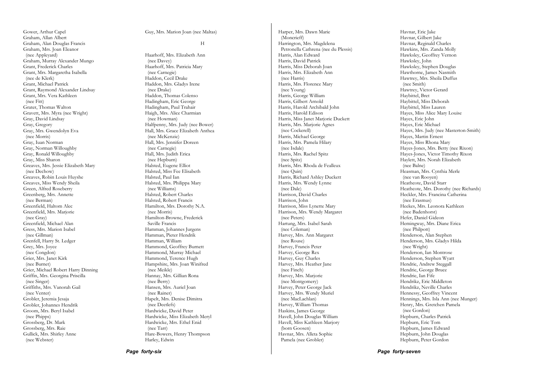Gower, Arthur Capel Graham, Allan Albert Graham, Alan Douglas Francis Graham, Mrs. Joan Eleanor (nee Appleyard) Graham, Murray Alexander Mungo Grant, Frederick Charles Grant, Mrs. Margaretha Isabella (nee de Klerk) Grant, Michael Patrick Grant, Raymond Alexander Lindsay Grant, Mrs. Vera Kathleen (nee Fitt) Grater, Thomas Walton Gravett, Mrs. Myra (nee Wright) Gray, David Lindsay Gray, Gregory Gray, Mrs. Gwendolyn Eva (nee Morris) Gray, Iuan Norman Gray, Norman Willoughby Gray, Ronald Willoughby Gray, Miss Sharon Greaves, Mrs. Jessie Elizabeth Mary (nee Dechow) Greaves, Robin Louis Huyshe Greaves, Miss Wendy Sheila Green, Alfred Roseberry Greenberg, Mrs. Annette (nee Berman) Greenfield, Haltom Alec Greenfield, Mrs. Marjorie (nee Gray) Greenfield, Michael Alan Gress, Mrs. Marion Isabel (nee Gillman) Grenfell, Harry St. Ledger Grey, Mrs. Joyce (nee Congdon) Grier, Mrs. Janet Kirk (nee Burnet) Grier, Michael Robert Harry Dinning Griffin, Mrs. Georgina Priscilla (nee Singer) Griffiths, Mrs. Vanorah Gail (nee Venter) Grobler, Jeremia Jesaja Grobler, Johannes Hendrik Groom, Mrs. Beryl Isabel (nee Phipps) Grossberg, Dr. Mark Grossberg, Mrs. Raie Gullick, Mrs. Shirley Anne (nee Webster)

#### Guy, Mrs. Marion Joan (nee Maltas)

#### H

Haarhoff, Mrs. Elizabeth Ann (nee Davey) Haarhoff, Mrs. Patricia Mary (nee Carnegie) Haddon, Cecil Drake Haddon, Mrs. Gladys Irene (nee Drake) Haddon, Thomas Colenso Hadingham, Eric George Hadingham, Paul Trahair Haigh, Mrs. Alice Charmian (nee Howman) Halfpenny, Mrs. Judy (nee Bower) Hall, Mrs. Grace Elizabeth Anthea (nee McKenzie) Hall, Mrs. Jennifer Doreen (nee Carnegie) Hall, Mrs. Judith Erica (nee Hepburn) Halsted, Eugene Elliot Halsted, Miss Fee Elisabeth Halsted, Paul Ian Halsted, Mrs. Philippa Mary (nee Williams) Halsted, Robert Charles Halsted, Robert Francis Hamilton, Mrs. Dorothy N.A. (nee Morris) Hamilton-Browne, Frederick Saville Francis Hamman, Johannes Jurgens Hamman, Pieter Hendrik Hamman, William Hammond, Geoffrey Burnett Hammond, Murray Michael Hammond, Terence Hugh Hampshire, Mrs. Joan Winifred (nee Meikle) Hannay, Mrs. Gillian Rona (nee Berry) Hansen, Mrs. Auriel Joan (nee Rainer) Hapelt, Mrs. Denise Dimitra (nee Deetlefs) Hardwicke, David Peter Hardwicke, Miss Elizabeth Meryl Hardwicke, Mrs. Ethel Enid (nee Tarr) Hare-Bowers, Henry Thompson Harley, Edwin

Harper, Mrs. Dawn Marie (Moncrieff) Harrington, Mrs. Magdelena Petronella Cathrena (nee du Plessis) Harris, Alan Edward Harris, David Patrick Harris, Miss Deborah Joan Harris, Mrs. Elizabeth Ann (nee Harris) Harris, Mrs. Florence Mary (nee Young) Harris, George William Harris, Gilbert Arnold Harris, Harold Archibald John Harris, Harold Edison Harris, Miss Janet Marjorie Duckett Harris, Mrs. Marjorie Agnes (nee Cockerell) Harris, Michael George Harris, Mrs. Pamela Hilary (nee Isdale) Harris, Mrs. Rachel Spitz (nee Spitz) Harris, Mrs. Rhoda de Fealleux (nee Quin) Harris, Richard Ashley Duckett Harris, Mrs. Wendy Lynne (nee Dale) Harrison, David Charles Harrison, John Harrison, Miss Lynette Mary Harrison, Mrs. Wendy Margaret (nee Peters) Hartung, Mrs. Isabel Sarah (nee Coleman) Harvey, Mrs. Ann Margaret (nee Rouse) Harvey, Francis Peter Harvey, George Rex Harvey, Guy Charles Harvey, Mrs. Heather Jane (nee Finch) Harvey, Mrs. Marjorie (nee Montgomery) Harvey, Peter George Jack Harvey, Mrs. Wendy Muriel (nee MacLachlan) Harvey, William Thomas Haskins, James George Havell, John Douglas William Havell, Miss Kathleen Marjory (born Goosen) Havnar, Mrs. Alleta Sophie Pamela (nee Grobler)

Havnar, Eric Jake Havnar, Gilbert Jake Havnar, Reginald Charles Hawkins, Mrs. Zanda Molly Hawksley, Geoffrey Vernon Hawksley, John Hawksley, Stephen Douglas Hawthorne, James Nasmith Hawtrey, Mrs. Sheila Duffus (nee Smith) Hawtrey, Victor Gerard Haybittel, Bret Haybittel, Miss Deborah Haybittel, Miss Lauren Hayes, Miss Alice Mary Louise Hayes, Eric John Hayes, Eric Michael Hayes, Mrs. Judy (nee Masterton-Smith) Hayes, Martin Ernest Hayes, Miss Rhona Mary Hayes-Jones, Mrs. Betty (nee Rixon) Hayes-Jones, Victor Timothy Rixon Haylett, Mrs. Norah Elizabeth (nee Balne) Heasman, Mrs. Cynthia Merle (nee van Rooyen) Heathcote, David Starr Heathcote, Mrs. Dorothy (nee Richards) Heckler, Mrs. Francina Catherina (nee Erasmus) Heekes, Mrs. Leonora Kathleen (nee Badenhorst) Hefer, Daniel Gideon Hemingway, Mrs. Diane Erica (nee Philpott) Henderson, Alan Stephen Henderson, Mrs. Gladys Hilda (nee Wright) Henderson, Ian Montrose Henderson, Stephen Wyatt Hendrie, Andrew Steggall Hendrie, George Bruce Hendrie, Ian Fife Hendrikz, Eric Middleton Hendrikz, Neville Charles Hennessy, Geoffrey Vincent Hennings, Mrs. Isla Ann (nee Munger) Henry, Mrs. Gretchen Pamela (nee Gordon) Hepburn, Charles Patrick Hepburn, Eric Tom Hepburn, James Edward Hepburn, John Douglas Hepburn, Peter Gordon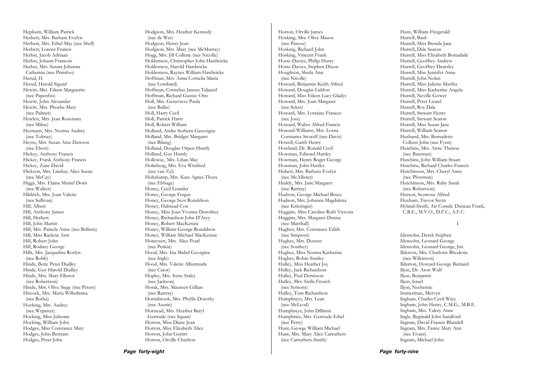Hepburn, William Patrick Herbert, Mrs. Barbara Evelyn Herbert, Mrs. Ethel May (nee Shell) Herbert, Lorenz Francis Herbst, Jacob Adriaan Herbst, Johann Francois Herbst, Mrs. Susara Johanna Catherina (nee Prinsloo) Herud, H. Herud, Harold Sigurd Hewitt, Mrs. Eileen Marguerite (nee Papenfus) Hewitt, John Alexander Hewitt, Mrs. Phoebe Mary (nee Palmer) Hewlett, Mrs. Jean Rosemary (nee Milne) Heymans, Mrs. Norma Audrey (nee Tolmay) Heyns, Mrs. Susan Ame Dawson (nee Elson) Hickey, Anthony Francis Hickey, Frank Anthony Francis Hickey, Zane David Hickson, Mrs. Lindsay Alice Susan (nee McCay) Higgs, Mrs. Elaine Muriel Doris (nee Walker) Hilditch, Mrs. Joan Valerie (nee Sullivan) Hill, Albert Hill, Anthony James Hill, Herbert Hill, John Martin Hill, Mrs. Pamela Anne (nee Bellasis) Hill, Miss Raelene Ann Hill, Robert John Hill, Rodney George Hills, Mrs. Jacqueline Roslyn (nee Robb) Hinde, Beric Peter Dudley Hinde, Guy Harold Dudley Hinde, Mrs. Mary Ellenor (nee Robertson) Hinde, Mrs. Olive Siege (nee Peters) Hiscock, Mrs. Maria Wilhelmina (nee Botha) Hocking, Mrs. Audrey (nee Wepener) Hocking, Miss Julienne Hocking, William John Hodges, Miss Constance Mary Hodges, John Bertram Hodges, Peter John

Hodgson, Mrs. Heather Kennedy (nee de Wet) Hodgson, Henry Jean Hodgson, Mrs. Mary (nee McMurray) Hogg, Mrs. Jill Collette (nee Nicolle) Holderness, Christopher John Hardwicke Holderness, Harold Hardwicke Holderness, Raynes William Hardwicke Hoffman, Mrs. Anna Cornelia Maria (nee Lombard) Hoffman, Cornelius Jansen Taljaard Hoffman, Richard Gustav Otto Holl, Mrs. Genevieve Paula (nee Ballie) Holl, Harry Cecil Holl, Patrick Harry Holl, Robert William Holland, Andre Sothern Gascoigne Holland, Mrs. Bridget Margaret (nee Bilang) Holland, Douglas Orpen Huntly Holland, Guy Huntly Holloway, Mrs. Lilian May Holmberg, Mrs. Eva Winifred (nee van Zyl) Holtzkamp, Mrs. Kate Agnes Thora (nee Ebbage) Honey, Cecil Leander Honey, George Fergus Honey, George Scot Ronaldson Honey, Halstead Con Honey, Miss Joan Yvonne Dorothea Honey, Richardson John D'Arcy Honey, Robert MacKenzie Honey, William George Ronaldson Honey, William Michael MacKenzie Honeysett, Mrs. Alice Pearl (nee Perkin) Hood, Mrs. Ina Mabel Georgina (nee Ingle) Hood, Mrs. Valerie Albermarle (nee Cator) Hopley, Mrs. Irene Staley (nee Jackson) Horak, Mrs. Maureen Gillian (nee Rattray) Hornabrook, Mrs. Phyllis Dorothy (nee Austin) Horstead, Mrs. Heather Beryl Gertrude (nee Squair) Horton, Miss Diane Jean Horton, Miss Elizabeth Alice Horton, John Gerritt Horton, Orville Charlton

Horton, Orville James Hosking, Mrs. Olive Mazoe (nee Pascoe) Hosking, Richard John Hosking, Vincent Frank Hoste-Davies, Philip Henry Hoste-Davies, Stephen Dixon Houghton, Sheila Ann (nee Nicolle) Howard, Benjamin Keith Alfred Howard, Douglas Liddon Howard, Miss Eileen Lucy Gladys Howard, Mrs. Joan Margaret (nee Sykes) Howard, Mrs. Lorraine Frances (nee Joss) Howard, Walter Alfred Francis Howard-Williams, Mrs. Lorna Constance Stowell (nee Davis) Howell, Garth Henry Howland, Dr. Ronald Cecil Howman, Edward Hartley Howman, Henry Roger George Howman, John Hartley Hubert, Mrs. Barbara Evelyn (nee McAllister) Huddy, Mrs. Jane Margaret (nee Rattray) Hudson, George Michael Bruce Hudson, Mrs. Johanna Magdalena (nee Kritzinger) Huggins, Miss Caroline Ruth Victoria Huggins, Mrs. Margaret Denise (nee Marshall) Hughes, Mrs. Constance Edith (nee Simpson) Hughes, Mrs. Doreen (nee Southey) Hughes, Miss Norma Katherine Hughes, Robin Stanley Hulley, Miss Heather Joy Hulley, Jack Richardson Hulley, Paul Dennison Hulley, Mrs. Stella French (nee Symons) Hulley, Tom Richardson Humphreys, Mrs. Lean (nee McLeod) Humphreys, John Dillistin Humphries, Mrs. Gertrude Ethel (nee Perry) Hunt, George William Michael Hunt, Mrs. Mary Alice Carruthers (nee Carruthers-Smith)

Hunt, William Fitzgerald Hurrell, Basil Hurrell, Miss Brenda Jane Hurrell, Dale Seaton Hurrell, Miss Elizabeth Borradaile Hurrell, Geoffrey Andrew Hurrell, Geoffrey Dearsley Hurrell, Miss Jennifer Anne Hurrell, John Nolan Hurrell, Miss Juliette Martha Hurrell, Miss Katherine Angela Hurrell, Neville Gower Hurrell, Peter Lionel Hurrell, Roy Dale Hurrell, Stewart Henry Hurrell, Stewart Seaton Hurrell, Miss Susan Jane Hurrell, William Seaton Husband, Mrs. Bernadette Colleen John (nee Fynn) Hutchins, Mrs. Anne Therese (nee Bateman) Hutchins, John William Stuart Hutchins, Richard Charles Francis Hutchinson, Mrs. Cheryl Anne (nee Plowman) Hutchinson, Mrs. Ruby Sarah (nee Robertson) Hutson, Seymour Alfred Huxham, Trevor Steyn Hyland-Smith, Air Comdr. Duncan Frank, C.B.E., M.V.O., D.F.C., A.F.C.

I

Idensohn, Derek Stephen Idensohn, Leonard George Idensohn, Leonard George, Jnr. Ilderton, Mrs. Charlotte Rhodesia (nee Wilkinson) Ilderton, Howard George Bernard Iljon, Dr. Aron Wulf Iljon, Benjamin Iljon, Israel Iljon, Nechemie Immerman, Mervyn Ingham, Charles Cecil Wrey Ingham, John Henry, C.M.G., M.B.E. Ingham, Mrs. Valery Anne Ingle, Reginald John Sandford Ingram, David Francis Blundell Ingram, Mrs. Fanny Mary Ann (nee Evans) Ingram, Michael John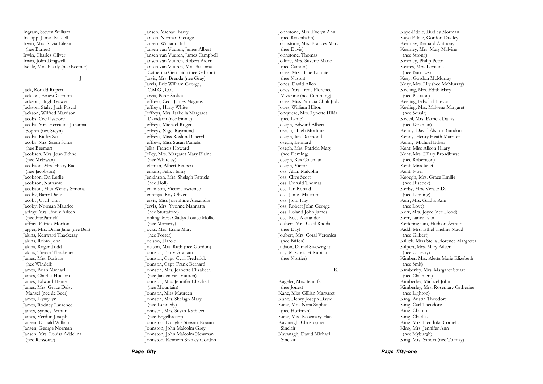Ingram, Steven William Inskipp, James Russell Irwin, Mrs. Silvia Eileen (nee Barnet) Irwin, Charles Oliver Irwin, John Dingwell Isdale, Mrs. Pearly (nee Beemer)

J

Jack, Ronald Rupert Jackson, Ernest Gordon Jackson, Hugh Gower Jackson, Staley Jack Pascal Jackson, Wilfred Marrison Jacobs, Cecil Isadore Jacobs, Mrs. Herculina Johanna Sophia (nee Steyn) Jacobs, Ridley Saul Jacobs, Mrs. Sarah Sonia (nee Beemer) Jacobsen, Mrs. Joan Ethne (nee McEwan) Jacobson, Mrs. Hilary Rae (nee Jacobson) Jacobson, Dr. Leslie Jacobson, Nathaniel Jacobson, Miss Wendy Simona Jacoby, Barry Dane Jacoby, Cycil John Jacoby, Norman Maurice Jaffray, Mrs. Emily Aileen (nee FitzPatrick) Jaffray, Patrick Morton Jagger, Mrs. Diana Jane (nee Bell) Jakins, Kenward Thackeray Jakins, Robin John Jakins, Roger Todd Jakins, Trevor Thackeray James, Mrs. Barbara (nee Windell) James, Brian Michael James, Charles Hudson James, Edward Henry James, Mrs. Grace Daisy Mansel (nee de Beer) James, Llywyllyn James, Rodney Laurence James, Sydney Arthur James, Verdun Joseph Jansen, Donald William Jansen, George Norman Jansen, Mrs. Louisa Addelina (nee Rossouw)

Jansen, Michael Barry Jansen, Norman George Jansen, William Hill Jansen van Vuuren, James Albert Jansen van Vuuren, James Campbell Jansen van Vuuren, Robert Aiden Jansen van Vuuren, Mrs. Susanna Catherina Gertruida (nee Gibson) Jarvis, Mrs. Brenda (nee Gray) Jarvis, Eric William George, C.M.G., Q.C. Jarvis, Peter Stokes Jeffreys, Cecil James Magnus Jeffreys, Harry White Jeffreys, Mrs. Isabella Margaret Davidson (nee Finnie) Jeffreys, Michael Roger Jeffreys, Nigel Raymund Jeffreys, Miss Roslund Cheryl Jeffreys, Miss Susan Pamela Jelks, Francis Howard Jelley, Mrs. Margaret Mary Elaine (nee Whiteley) Jelliman, Albert Reuben Jenkins, Felix Henry Jenkinson, Mrs. Shelagh Patricia (nee Holl) Jenkinson, Victor Lawrence Jennings, Roy Oliver Jervis, Miss Josephine Alexandra Jervis, Mrs. Yvonne Mannatta (nee Stuttaford) Jobling, Mrs. Gladys Louise Mollie (nee Moriarty) Jocks, Mrs. Esme Mary (nee Foster) Joelson, Harold Joelson, Mrs. Ruth (nee Gordon) Johnson, Barry Graham Johnson, Capt. Cyril Frederick Johnson, Capt. Frank Bernard Johnson, Mrs. Jeanette Elizabeth (nee Jansen van Vuuren) Johnson, Mrs. Jennifer Elizabeth (nee Mountain) Johnson, Miss Maureen Johnson, Mrs. Shelagh Mary (nee Kennedy) Johnson, Mrs. Susan Kathleen (nee Engelbrecht) Johnston, Douglas Stewart Rowan Johnston, John Malcolm Grey Johnston, John Malcolm Newman Johnston, Kenneth Stanley Gordon

Johnstone, Mrs. Evelyn Ann (nee Rosenhahn) Johnstone, Mrs. Frances Mary (nee Davis) Johnstone, Thomas Jolliffe, Mrs. Suzette Marie (nee Camors) Jones, Mrs. Billie Emmie (nee Nason) Jones, David Allen Jones, Mrs. Irene Florence Vivienne (nee Cumming) Jones, Miss Patricia Chuli Judy Jones, William Hilton Jonquiere, Mrs. Lynette Hilda (nee Lamb) Joseph, Edward Albert Joseph, Hugh Mortimer Joseph, Ian Desmond Joseph, Leonard Joseph, Mrs. Patricia Mary (nee Fleming) Joseph, Rex Coleman Joseph, Victor Joss, Allan Malcolm Joss, Clive Scott Joss, Donald Thomas Joss, Ian Ronald Joss, James Malcolm Joss, John Hay Joss, Robert John George Joss, Roland John James Joss, Ross Alexander Joubert, Mrs. Cecil Rhoda (nee Day) Joubert, Mrs. Coral Veronica (nee Biffen) Judson, Daniel Sivewright Jury, Mrs. Violet Rubina (nee Nortier) K Kageler, Mrs. Jennifer (nee Jones) Kane, Miss Gillian Margaret Kane, Henry Joseph David Kane, Mrs. Nora Sophie (nee Hoffman) Kane, Miss Rosemary Hazel Kavanagh, Christopher

Sinclair

Sinclair

Kavanagh, David Michael

Kaye-Eddie, Dudley Norman Kaye-Eddie, Gordon Dudley Kearney, Bernard Anthony Kearney, Mrs. Mary Malvine (nee Strong) Kearney, Philip Peter Keates, Mrs. Lorraine (nee Burrows) Keay, Gordon McMurray Keay, Mrs. Lily (nee McMurray) Keeling, Mrs. Edith Mary (nee Pearson) Keeling, Edward Trevor Keeling, Mrs. Malvena Margaret (nee Squair) Keevil, Mrs. Patricia Dallas (nee Kirkman) Kenny, David Alston Brandon Kenny, Henry Heath Marriott Kenny, Michael Edgar Kent, Miss Alison Hilary Kent, Mrs. Hilary Broadhurst (nee Robertson) Kent, Miss Janet Kent, Noel Keough, Mrs. Grace Emilie (nee Hiscock) Kerby, Mrs. Vera E.D. (nee Lanning) Kerr, Mrs. Gladys Ann (nee Love) Kerr, Mrs. Joyce (nee Hood) Kerr, Lance Ivan Ketteringham, Hudson Arthur Kidd, Mrs. Ethel Thelma Maud (nee Gilbert) Killick, Miss Stella Florence Margretta Kilpert, Mrs. Mary Aileen (nee O'Leary) Kimber, Mrs. Aletta Marie Elizabeth (nee Smit) Kimberley, Mrs. Margaret Stuart (nee Chalmers) Kimberley, Michael John Kimberley, Mrs. Rosemary Catherine (nee Lighton) King, Austin Theodore King, Carl Theodore King, Champ King, Charles King, Mrs. Hendrika Cornelia King, Mrs. Jennifer Ann (nee Myburgh) King, Mrs. Sandra (nee Tolmay)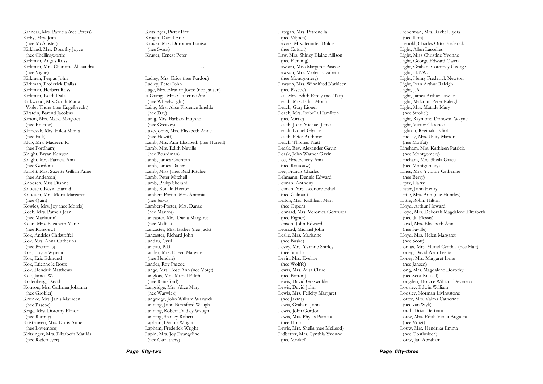Kinnear, Mrs. Patricia (nee Peters) Kirby, Mrs. Jean (nee McAllister) Kirkland, Mrs. Dorothy Joyce (nee Chellingworth) Kirkman, Angus Ross Kirkman, Mrs. Charlotte Alexandra (nee Vigne) Kirkman, Fergus John Kirkman, Frederick Dallas Kirkman, Herbert Ross Kirkman, Keith Dallas Kirkwood, Mrs. Sarah Maria Violet Thora (nee Engelbrecht) Kirstein, Barend Jacobus Kirton, Mrs. Maud Margaret (nee Bristow) Klimczak, Mrs. Hilda Minna (nee Falk) Klug, Mrs. Maureen R. (nee Fordham) Knight, Bryan Kenyon Knight, Mrs. Patricia Ann (nee Gordon) Knight, Mrs. Suzette Gillian Anne (nee Anderson) Knoesen, Miss Dianne Knoesen, Kevin Harold Knoesen, Mrs. Mona Margaret (nee Quin) Kowles, Mrs. Joy (nee Morris) Koch, Mrs. Pamela Jean (nee Maclaurin) Koen, Mrs. Elizabeth Marie (nee Rossouw) Kok, Andries Christoffel Kok, Mrs. Anna Catherina (nee Pretorius) Kok, Boyce Wynand Kok, Eric Edmund Kok, Etienne le Roux Kok, Hendrik Matthews Kok, James W. Kollenberg, David Konson, Mrs. Cathrina Johanna (nee Grobler) Krienke, Mrs. Janis Maureen (nee Pascoe) Krige, Mrs. Dorothy Elinor (nee Rattray) Kristiansen, Mrs. Doris Anne (nee Lovemore) Kritzinger, Mrs. Elizabeth Matilda (nee Rademeyer)

Kritzinger, Pieter Emil Kruger, David Eric Kruger, Mrs. Dorothea Louisa (nee Swart) Kruger, Ernest Peter

#### L

Ladley, Mrs. Erica (nee Purdon) Ladley, Peter John Lage, Mrs. Eleanor Joyce (nee Jansen) la Grange, Mrs. Catherine Ann (nee Wheelwright) Laing, Mrs. Alice Florence Imelda (nee Day) Laing, Mrs. Barbara Huyshe (nee Greaves) Lake-Johns, Mrs. Elizabeth Anne (nee Hewitt) Lamb, Mrs. Ann Elizabeth (nee Hurrell) Lamb, Mrs. Edith Neville (nee Boardman) Lamb, James Crichton Lamb, James Dakers Lamb, Miss Janet Reid Ritchie Lamb, Peter Mitchell Lamb, Philip Sherard Lamb, Ronald Hector Lambert-Porter, Mrs. Antonia (nee Jervis) Lambert-Porter, Mrs. Danae (nee Mavros) Lancaster, Mrs. Diana Margaret (nee Maltas) Lancaster, Mrs. Esther (nee Jack) Lancaster, Richard John Landau, Cyril Landau, P.D. Lander, Mrs. Eileen Margaret (nee Hendrie) Lander, Roy Pascoe Lange, Mrs. Rose Ann (nee Voigt) Langlois, Mrs. Muriel Edith (nee Rainsford) Langridge, Mrs. Alice Mary (nee Warwick) Langridge, John William Warwick Lanning, John Beresford Waugh Lanning, Robert Dudley Waugh Lanning, Stanley Robert Lapham, Dennis Wright Lapham, Frederick Wright Lapin, Mrs. Joy Evangeline (nee Carruthers)

Lategan, Mrs. Petronella (nee Viljoen) Lavers, Mrs. Jennifer Dulcie (nee Cotton) Law, Mrs. Shirley Elaine Allison (nee Fleming) Lawson, Miss Margaret Pascoe Lawson, Mrs. Violet Elizabeth (nee Montgomery) Lawson, Mrs. Winnifred Kathleen (nee Pascoe) Lea, Mrs. Edith Emily (nee Tait) Leach, Mrs. Edna Mona Leach, Gary Lionel Leach, Mrs. Isobella Hamilton (nee Mirtle) Leach, John Michael James Leach, Lionel Glynne Leach, Peter Anthony Leach, Thomas Pratt Leask, Rev. Alexander Gavin Leask, John Warner Gavin Lee, Mrs. Felicity Ann (nee Rossouw) Lee, Francis Charles Lehmann, Dennis Edward Leiman, Anthony Leiman, Mrs. Leonore Ethel (nee Gelman) Leitch, Mrs. Kathleen Mary (nee Orpen) Lennard, Mrs. Veronica Gertruida (nee Eigner) Lenson, John Edward Leonard, Michael John Leslie, Mrs. Marianne (nee Buske) Levey, Mrs. Yvonne Shirley (nee Smith) Levin, Mrs. Eveline (nee Wolffe) Lewis, Mrs. Ailsa Claire (nee Botton) Lewis, David Greswolde Lewis, David John Lewis, Mrs. Felicity Margaret (nee Jakins) Lewis, Graham John Lewis, John Gordon Lewis, Mrs. Phyllis Patricia (nee Holl) Lewis, Mrs. Sheila (nee McLeod) Lidbetter, Mrs. Cynthia Yvonne (nee Morkel)

Lieberman, Mrs. Rachel Lydia (nee Iljon) Liebold, Charles Otto Frederick Light, Allan Lascelles Light, Miss Christine Yvonne Light, George Edward Owen Light, Graham Courtney George Light, H.P.W. Light, Henry Frederick Newton Light, Ivan Arthur Raleigh Light, J.A. Light, James Arthur Lawson Light, Malcolm Peter Raleigh Light, Mrs. Matilda Mary (nee Strobel) Light, Raymond Donovan Wayne Light, Victor Clarence Lighton, Reginald Elliott Lindsay, Mrs. Unity Marion (nee Moffat) Lineham, Mrs. Kathleen Patricia (nee Montgomery) Lineham, Mrs. Sheila Grace (nee Montgomery) Lines, Mrs. Yvonne Catherine (nee Berry) Liptz, Harry Lister, John Henry Little, Mrs. Ann (nee Huntley) Little, Robin Hilton Lloyd, Arthur Howard Lloyd, Mrs. Deborah Magdalene Elizabeth (nee du Plessis) Lloyd, Mrs. Elizabeth Ann (nee Saville) Lloyd, Mrs. Helen Margaret (nee Scott) Lomax, Mrs. Muriel Cynthia (nee Malt) Loney, David Alan Leslie Loney, Mrs. Margaret Irene (nee Jansen) Long, Mrs. Magdalene Dorothy (nee Scot-Russell) Longden, Horace William Devereux Loosley, Edwin William Loosley, Norman Livingstone Lotter, Mrs. Valma Catherine (nee van Wyk) Louth, Brian Bertram Louw, Mrs. Edith Violet Augusta (nee Voigt) Louw, Mrs. Hendrika Emma (nee Oosthuizen) Louw, Jan Abraham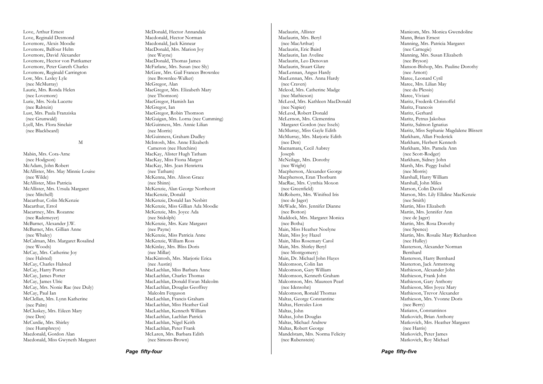Love, Arthur Ernest Love, Reginald Desmond Lovemore, Alexis Moodie Lovemore, Balfour Helm Lovemore, David Alexander Lovemore, Hector von Puttkamer Lovemore, Peter Gareth Charles Lovemore, Reginald Carrington Low, Mrs. Lesley Lyle (nee McMurray) Laurie, Mrs. Ronda Helen (nee Lovemore) Lurie, Mrs. Nola Lucette (nee Ralstein) Lust, Mrs. Paula Franziska (nee Grunwald) Lyell, Mrs. Flora Sinclair (nee Blackbeard)

M

Mabin, Mrs. Cora-Arne (nee Hodgson) McAdam, John Robert McAllister, Mrs. May Minnie Louise (nee Wilde) McAllister, Miss Patricia McAllister, Mrs. Ursula Margaret (nee Mitchell) Macarthur, Colin McKenzie Macarthur, Errol Macartney, Mrs. Rozanne (nee Rademeyer) McBarnet, Alexander J.W. McBarnet, Mrs. Gillian Anne (nee Whaley) McCalman, Mrs. Margaret Rosalind (nee Woods) McCay, Mrs. Catherine Joy (nee Halsted) McCay, Charles Halsted McCay, Harry Porter McCay, James Porter McCay, James Ulric McCay, Mrs. Nonie Rae (nee Duly) McCay, Paul Ian McClellan, Mrs. Lynn Katherine (nee Palm) McCluskey, Mrs. Eileen Mary (nee Den) McCurdie, Mrs. Shirley (nee Humphreys) Macdonald, Gordon Alan Macdonald, Miss Gwyneth Margaret McDonald, Hector Annandale Macdonald, Hector Norman Macdonald, Jack Kinnear MacDonald, Mrs. Marion Joy (nee Wayne) MacDonald, Thomas James McFarlane, Mrs. Susan (nee Sly) McGaw, Mrs. Gail Frances Brownlee (nee Brownlee-Walker) McGregor, Alan MacGregor, Mrs. Elizabeth Mary (nee Thomson) MacGregor, Hamish Ian McGregor, Ian MacGregor, Robin Thomson McGuigan, Mrs. Lorna (nee Cumming) McGuinness, Mrs. Annie Lilian (nee Morris) McGuinness, Graham Dudley McIntosh, Mrs. Anne Elizabeth Cameron (nee Hutchins) MacKay, Alister Hugh Tatham MacKay, Miss Fiona Margot MacKay, Mrs. Jean Henrietta (nee Tatham) McKenna, Mrs. Alison Grace (nee Shinn) McKenzie, Alan George Northcott MacKenzie, Donald McKenzie, Donald Ian Nesbitt McKenzie, Miss Gillian Ada Moodie McKenzie, Mrs. Joyce Ada (nee Stidolph) McKenzie, Mrs. Kate Margaret (nee Payne) McKenzie, Miss Patricia Anne McKenzie, William Ross McKinlay, Mrs. Bliss Doris (nee Millar) MacKintosh, Mrs. Marjorie Erica (nee Austin) MacLachlan, Miss Barbara Anne MacLachlan, Charles Thomas MacLachlan, Donald Ewan Malcolm MacLachlan, Douglas Geoffrey Malcolm Ferguson MacLachlan, Francis Graham MacLachlan, Miss Heather Gail MacLachlan, Kenneth William MacLachlan, Lachlan Patrick MacLachlan, Nigel Keith MacLachlan, Peter Frank McLaren, Mrs. Barbara Edith (nee Simons-Brown)

Maclaurin, Allister Maclaurin, Mrs. Beryl (nee MacArthur) Maclaurin, Eric Baird Maclaurin, Ian Aveline Maclaurin, Leo Denovan Maclaurin, Stuart Glare MacLennan, Angus Hardy MacLennan, Mrs. Anna Hardy (nee Craven) Mcleod, Mrs. Catherine Madge (nee Mathieson) McLeod, Mrs. Kathleen MacDonald (nee Napier) McLeod, Robert Donald McLernon, Mrs. Clementina Margaret Gordon (nee Issels) McMurray, Miss Gayle Edith McMurray, Mrs. Marjorie Edith (nee Den) Macnamara, Cecil Aubrey Joseph McNeilage, Mrs. Dorothy (nee Wright) Macpherson, Alexander George Macpherson, Eran Thorburn MacRae, Mrs. Cynthia Moxon (nee Greenfield) McRoberts, Mrs. Winifred Iris (nee de Jager) McWade, Mrs. Jennifer Dianne (nee Botton) Maddock, Mrs. Margaret Monica (nee Botha) Main, Miss Heather Noelyne Main, Miss Joy Hazel Main, Miss Rosemary Carol Main, Mrs. Shirley Beryl (nee Montgomery) Main, Dr. Michael John Hayes Malcomson, Colin Ian Malcomson, Gary William Malcomson, Kenneth Graham Malcomson, Mrs. Maureen Pearl (nee Idensohn) Malcomson, Ronald Thomas Maltas, George Constantine Maltas, Hercules Lion Maltas, John Maltas, John Douglas Maltas, Michael Andrew Maltas, Robert George Mandelstam, Mrs. Norma Felicity (nee Rubenstein)

Manicom, Mrs. Monica Gwendoline Mann, Brian Ernest Manning, Mrs. Patricia Margaret (nee Carnegie) Manning, Mrs. Susan Elizabeth (nee Bryson) Manson-Bishop, Mrs. Pauline Dorothy (nee Arnott) Maree, Leonard Cyril Maree, Mrs. Lilian May (nee du Plessis) Maree, Viviani Maritz, Frederik Christoffel Maritz, Francois Maritz, Gerhard Maritz, Petrus Jakobus Maritz, Salmon Ignatius Maritz, Miss Sephanie Magdalene Blissett Markham, Allan Frederick Markham, Herbert Kenneth Markham, Mrs. Pamela Ann (nee Scott-Rodger) Markham, Sidney John Marsh, Mrs. Peggy Isabel (nee Morris) Marshall, Harry William Marshall, John Miles Marson, Colin David Marson, Mrs. Lily Ellaline MacKenzie (nee Smith) Martin, Miss Elizabeth Martin, Mrs. Jennifer Ann (nee de Jager) Martin, Mrs. Rosa Dorothy (nee Spence) Martin, Mrs. Rosalie Mary Richardson (nee Hulley) Masterson, Alexander Norman Bernhard Masterson, Harry Bernhard Masterton, Jack Armstrong Mathieson, Alexander John Mathieson, Frank John Mathieson, Gary Anthony Mathieson, Miss Joyce Mary Mathieson, Trevor Alexander Mathieson, Mrs. Yvonne Doris (nee Berry) Matiatos, Constantinos Matkovich, Brian Anthony Matkovich, Mrs. Heather Margaret (nee Harris) Matkovich, Peter James Matkovich, Roy Michael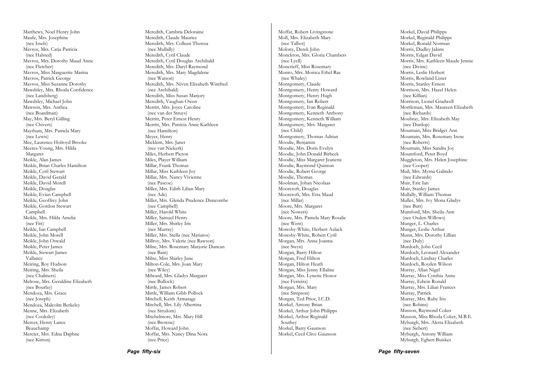Matthews, Noel Henry John Maufe, Mrs. Josephine (nee Issels) Mavros, Mrs. Catja Patricia (nee Halsted) Mavros, Mrs. Dorothy Maud Anne (nee Fletcher) Mavros, Miss Marguerite Marina Mavros, Patrick George Mavros, Miss Suzanne Dorothy Mawdsley, Mrs. Rhoda Confidence (nee Landsberg) Mawdsley, Michael John Mawson, Mrs. Anthea (nee Boardman) May, Mrs. Beryl Gilling (nee Chivers) Maytham, Mrs. Pamela Mary (nee Lewis) Mee, Laurence Holroyd Brooke Meeres-Young, Mrs. Hilda Margaret Meikle, Alan James Meikle, Brian Charles Hamilton Meikle, Cyril Stewart Meikle, David Gerald Meikle, David Morell Meikle, Douglas Meikle, Evian Campbell Meikle, Geoffrey John Meikle, Gordon Stewart Campbell Meikle, Mrs. Hilda Amelia (nee Fitt) Meikle, Ian Campbell Meikle, John Morell Meikle, John Oswald Meikle, Peter James Meikle, Stewart James Vallance Meiring, Roy Hudson Meiring, Mrs. Sheila (nee Chalmers) Melrose, Mrs. Geraldine Elizabeth (nee Bourlay) Mendoza, Mrs. Grace (nee Joseph) Mendoza, Malcolm Berkeley Menne, Mrs. Elizabeth (nee Cooksley) Mercer, Henry Lance Beauchamp Mercier, Mrs. Edna Daphne (nee Kirton)

Meredith, Cambria Deloraine Meredith, Claude Maurice Meredith, Mrs. Colleen Theresa (nee Mullally) Meredith, Cyril Claude Meredith, Cyril Douglas Archibald Meredith, Mrs. Daryl Raymond Meredith, Mrs. Mary Magdalene (nee Watson) Meredith, Mrs. Niven Elizabeth Winifred (nee Archibald) Meredith, Miss Susan Marjory Meredith, Vaughan Owen Merritt, Mrs. Joyce Caroline (nee van der Struys) Merritt, Peter Ernest Henry Merritt, Mrs. Patricia Anne Kathleen (nee Hamilton) Meyer, Henry Micklem, Mrs. Janet (nee van Niekerk) Miles, Herbert Picton Miles, Player William Millar, Frank Thomas Millar, Miss Kathleen Joy Millar, Mrs. Nancy Vivienne (nee Pascoe) Miller, Mrs. Edith Lilian Mary (nee Ade) Miller, Mrs. Glenda Prudence Duncombe (nee Campbell) Miller, Harold White Miller, Samuel Henry Miller, Mrs. Shirley Iris (nee Murray) Miller, Mrs. Stella (nee Matiatos) Millroy, Mrs. Valerie (nee Rawson) Milne, Mrs. Rosemary Marjorie Duncan (nee Bain) Milne, Miss Shirley June Milton-Cole, Mrs. Joan Mary (nee Wiley) Milward, Mrs. Gladys Margaret (nee Bullock) Mirtle, James Robert Mirtle, William Gibb Pollock Mitchell, Keith Armatage Mitchell, Mrs. Lily Albertina (nee Strydom) Mitchelmore, Mrs. Mary Hill (nee Browne) Moffat, Howard John Moffat, Mrs. Nancy Dina Nora (nee Price)

Moffat, Robert Livingstone Moll, Mrs. Elizabeth Mary (nee Talbot) Molony, Derek John Monckton, Mrs. Gloria Chambers (nee Lyell) Moncrieff, Miss Rosemary Monro, Mrs. Monica Ethel Rae (nee Whaley) Montgomery, Claude Montgomery, Henry Howard Montgomery, Henry Hugh Montgomery, Ian Robert Montgomery, Ivan Reginald Montgomery, Kenneth Anthony Montgomery, Kenneth William Montgomery, Mrs. Margaret (nee Child) Montgomery, Thomas Adrian Moodie, Benjamin Moodie, Mrs. Doris Evelyn Moodie, John Donald Birbeck Moodie, Miss Margaret Jeanette Moodie, Raymond Quinton Moodie, Robert George Moodie, Thomas Moolman, Johan Nicolaas Moorcroft, Douglas Moorcroft, Mrs. Etta Maud (nee Millar) Moore, Mrs. Margaret (nee Nowers) Moore, Mrs. Pamela Mary Rosalie (nee Went) Moresby-White, Herbert Azlack Moresby-White, Robert Cyril Morgan, Mrs. Anna Joanna (nee Steyn) Morgan, Barry Hilton Morgan, Fred Hilton Morgan, Hilton Heath Morgan, Miss Jenny Ellaline Morgan, Mrs. Lynette Honor (nee Ferreira) Morgan, Mrs. Mary (nee Simpson) Morgan, Ted Prior, I.C.D. Morkel, Antony Brian Morkel, Arthur John Philipps Morkel, Arthur Reginald Southey Morkel, Barry Gaunson Morkel, Cecil Clive Gaunson

Morkel, David Philipps Morkel, Reginald Philipps Morkel, Ronald Norman Morris, Dudley Jakins Morris, Edgar David Morris, Mrs. Kathleen Maude Jennie (nee Divine) Morris, Leslie Herbert Morris, Rowland Lister Morris, Stanley Ernest Morrison, Mrs. Hazel Helen (nee Killian) Morrison, Lionel Gradwell Mortleman, Mrs. Maureen Elizabeth (nee Richards) Moubray, Mrs. Elizabeth May (nee Dunlop) Mountain, Miss Bridget Ann Mountain, Mrs. Rosemary Irene (nee Roberts) Mountain, Miss Sandra Joy Mountford, Peter Boyd Muggleton, Mrs. Helen Josephine (nee Cooper) Muil, Mrs. Myrna Galindo (nee Edwards) Muir, Eric Ian Muir, Stanley James Mullally, William Thomas Muller, Mrs. Ivy Mona Gladys (nee Butt) Mumford, Mrs. Sheila-Ann (nee Oxden-Willows) Munger, L. Charles Munger, Leslie Arthur Munn, Mrs. Dorothy Lillian (nee Duly) Murdoch, John Cecil Murdoch, Leonard Alexander Murdoch, Lindsay Charles Murdoch, Royden Wilson Murray, Allan Nigel Murray, Miss Cynthia Anne Murray, Edwin Ronald Murray, Mrs. Lilian Frances Murray, Patrick Murray, Mrs. Ruby Iris (nee Robins) Musson, Raymond Coker Musson, Miss Rhoda Coker, M.B.E. Myburgh, Mrs. Aletta Elizabeth (nee Siebert) Myburgh, Antony William Myburgh, Egbert Buiskes

*Page fifty-seven*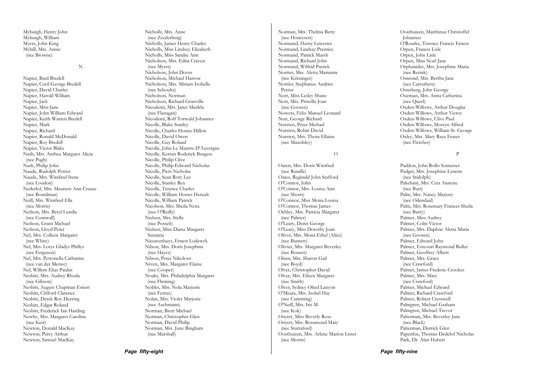Myburgh, Henry John Myburgh, William Myers, John King Myhill, Mrs. Annie (nee Browne)

N

Napier, Basil Bredell Napier, Cecil George Bredell Napier, David Charles Napier, Harold William Napier, Jack Napier, Miss Jane Napier, John William Edward Napier, Keith Warren Bredell Napier, Mark Napier, Richard Napier, Ronald McDonald Napier, Roy Bredell Napier, Victor Blake Nash, Mrs. Anthea Margaret Alicia (nee Pugh) Nash, Philip John Naude, Rudolph Petrus Naude, Mrs. Winifred Irene (nee Loudon) Nederlof, Mrs. Maureen Ann Crause (nee Boardman) Neill, Mrs. Winifred Ella (nee Morris) Neilson, Mrs. Beryl Lundie (nee Cornwall) Neilson, Grant Michael Neilson, Lloyd Peter Nel, Mrs. Colleen Margaret (nee White) Nel, Mrs. Lorys Gladys Phillys (nee Ferguson) Nel, Mrs. Petronella Catharina (nee van der Merwe) Nel, Willem Elias Paulus Nesbitt, Mrs. Audrey Rhoda (nee Gibson) Nesbitt, August Chapman Ernest Nesbitt, Clifford Clarence Nesbitt, Derek Roy Deering Nesbitt, Edgar Roland Nesbitt, Frederick Ian Harding Newby, Mrs. Margaret Caroline (nee Keir) Newton, Donald MacKay Newton, Percy Arthur Newton, Samuel MacKay

Nicholls, Mrs. Anne (nee Zeederberg) Nicholls, James Henry Charles Nicholls, Miss Lindsey Elizabeth Nicholls, Miss Sandra Ann Nicholson, Mrs. Edna Craven (nee Myers) Nicholson, John Dover Nicholson, Michael Harrow Nicholson, Mrs. Miriam Isobella (nee Schoultz) Nicholson, Norman Nicholson, Richard Granville Nicodemi, Mrs. Janet Matilda (nee Flanagan) Nicodemi, Rolf Torwald Johannes Nicolle, Blake Stanley Nicolle, Charles Hostes Dillon Nicolle, David Owen Nicolle, Guy Roland Nicolle, John Le Maistre D'Auvergne Nicolle, Kerran Roderick Burgess Nicolle, Philip Clive Nicolle, Philip Edward Nicholas Nicolle, Piers Nicholas Nicolle, Sean Rory Lee Nicolle, Stanley Rex Nicolle, Terence Charles Nicolle, William Hostes Herault Nicolle, William Patrick Nicolson, Mrs. Sheila Nora (nee O'Reilly) Nielsen, Mrs. Stella (nee Posselt) Nielsen, Miss Diana Margaret Susanna Nieuwenhuys, Ernest Lodewyk Nilson, Mrs. Doris Josephine (nee Hayes) Nilson, Peter Nikolous Niven, Mrs. Margaret Elaine (nee Cooper) Noaks, Mrs. Philadelphia Margaret (nee Fleming) Noblet, Mrs. Nola Marjorie (nee Ferraz) Nolan, Mrs. Violet Marjorie (nee Aschmann) Norman, Brett Michael Norman, Christopher Glen Norman, David Philip Norman, Mrs. June Bingham (nee Marshall)

Norman, Mrs. Thelma Betty (nee Honeysett) Normand, Henry Leicester Normand, Lindsay Prentice Normand, Patrick Marsh Normand, Richard John Normand, Wilfrid Patrick Nortier, Mrs. Aletta Marianne (nee Kritzinger) Nortier, Stephanus Andries Petrus Nott, Miss Lesley Shane Nott, Mrs. Priscilla Joan (nee Goosen) Nowers, Felix Manuel Leonard Nun, George Richard Nursten, Peter Michael Nursten, Robin David Nursten, Mrs. Thora Ellaine (nee Mawdsley) O Oaten, Mrs. Doris Winifred (nee Rundle) Oates, Reginald John Stafford O'Connor, John O'Connor, Mrs. Louisa Ann (nee Shortt) O'Connor, Miss Moira Louisa O'Connor, Thomas James Oehley, Mrs. Patricia Margaret (nee Palmer) O'Leary, Denis George O'Leary, Miss Dorothy Joan Oliver, Mrs. Mona Ethel (Alice) (nee Burnett) Olivier, Mrs. Margaret Beverley (nee Bossert) Olsen, Mrs. Sharon Gail (nee Boyd) Olver, Christopher David Olver, Mrs. Eileen Margaret (nee Smith) Olver, Sydney Obed Lanyon O'Meara, Mrs. Isobel Hay (nee Cumming) O'Neill, Mrs. Iris M. (nee Kok) Onyett, Miss Beverly Rose Onyett, Mrs. Rosamond Mary (nee Stuttaford)

Oosthuizen, Mrs. Arlene Marion Lister

(nee Morris)

Oosthuizen, Marthinus Christoffel Johannes O'Rourke, Terence Francis Ernest Orpen, Francis Lisle Orpen, John Lisle Orpen, Miss Noel Jane Orphanides, Mrs. Josephine Maria (nee Resink) Osmond, Mrs. Bertha Jane (nee Carruthers) Osterberg, John George Ouzman, Mrs. Anna Catherina (nee Querl) Oxden-Willows, Arthur Douglas Oxden-Willows, Arthur Victor Oxden-Willows, Clive Paul Oxden-Willows, Mostyn Alfred Oxden-Willows, William St. George Oxley, Mrs. Mary Raye Fraser (nee Fletcher)

P

Paddon, John Rollo Somerset Padget, Mrs. Josephine Lynette (nee Stidolph) Pakeham, Mrs. Ceta Annette (nee Burt) Palm, Mrs. Nancy Marjory (nee Odendaal) Palm, Mrs. Rosemary Frances Sheila (nee Barry) Palmer, Miss Audrey Palmer, Colin Victor Palmer, Mrs. Daphne Aletta Maria (nee Goosen) Palmer, Edward John Palmer, Estcourt Raymond Buller Palmer, Geoffrey Albert Palmer, Mrs. Grace (nee Crawford) Palmer, James Frederic Crookes Palmer, Mrs. Mary (nee Crawford) Palmer, Michael Edward Palmer, Richard Crawford Palmer, Robert Cresswell Palmgren, Michael Graham Palmgren, Michael Trevor Palterman, Mrs. Beverley Jane (nee Black) Palterman, Derrick Glen Papenfus, Thomas Dedelof Nicholas Park, Dr. Alan Hubert

*Page fifty-nine*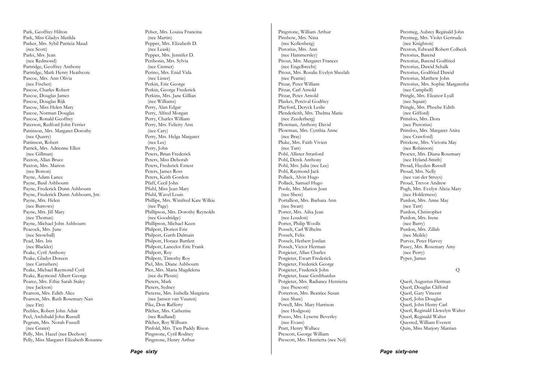Park, Geoffrey Hilton Park, Miss Gladys Matilda Parker, Mrs. Sybil Patricia Maud (nee Scott) Parks, Mrs. Jean (nee Redmond) Partridge, Geoffrey Anthony Partridge, Mark Henry Heathcote Pascoe, Mrs. Ann Olivia (nee Fischer) Pascoe, Charles Robert Pascoe, Douglas James Pascoe, Douglas Rijk Pascoe, Miss Helen Mary Pascoe, Norman Douglas Pascoe, Ronald Geoffrey Paterson, Redford John Ferrier Pattinson, Mrs. Margaret Dorothy (nee Quarry) Pattinson, Robert Patrick, Mrs. Adrienne Ellen (nee Gillman) Paxton, Allan Bruce Paxton, Mrs. Marion (nee Botton) Payne, Adam Lance Payne, Basil Ashbourn Payne, Frederick Dunn Ashbourn Payne, Frederick Dunn Ashbourn, Jnr. Payne, Mrs. Helen (nee Burrows) Payne, Mrs. Jill Mary (nee Thomas) Payne, Michael John Ashbourn Peacock, Mrs. June (nee Snowball) Pead, Mrs. Iris (nee Blackler) Peake, Cyril Anthony Peake, Gladys Doreen (nee Carruthers) Peake, Michael Raymond Cyril Peake, Raymond Albert George Pearce, Mrs. Ethie Sarah Staley (nee Jackson) Pearson, Mrs. Edith Alice Pearson, Mrs. Ruth Rosemary Nan (nee Fitt) Peebles, Robert John Adair Peel, Archibald John Russell Pegrum, Mrs. Norah Fussell (nee Grater) Pelly, Mrs. Hazel (nee Dechow) Pelly, Miss Margaret Elizabeth Rosanne Pelser, Mrs. Louisa Francina (nee Martin) Pepper, Mrs. Elizabeth D. (nee Leask) Pepper, Mrs. Jennifer D. Peribonis, Mrs. Sylvia (nee Cremer) Perino, Mrs. Enid Vida (nee Lister) Perkin, Eric George Perkin, George Frederick Perkins, Mrs. Jane Gillian (nee Williams) Perry, Alan Edgar Perry, Alfred Morgan Perry, Charles William Perry, Mrs. Felicity Ann (nee Cary) Perry, Mrs. Helga Margaret (nee Lee) Perry, John Peters, Brian Frederick Peters, Miss Deborah Peters, Frederick Ernest Peters, James Ross Peters, Keith Gordon Pfaff, Cecil John Pfuhl, Miss Jean Mary Pfuhl, Wavel Louis Phillips, Mrs. Winifred Kate Wilkie (nee Page) Phillipson, Mrs. Dorothy Reynolds (nee Goodridge) Phillipson, Michael Keen Philpott, Dorien Eric Philpott, Garth Dalmain Philpott, Horace Bartlett Philpott, Lancelot Eric Frank Philpott, Roy Philpott, Timothy Roy Piel, Mrs. Diane Ashbourn Pier, Mrs. Maria Magdelena (nee du Plessis) Pieters, Mark Pieters, Sydney Pieterse, Mrs. Isabella Margrieta (nee Jansen van Vuuren) Pike, Don Rafferty Pilcher, Mrs. Catherine (nee Rudland) Pilcher, Roy Wilburn Pinfold, Mrs. Tien Paddy Rixon Pingstone, Cyril Rodney Pingstone, Henry Arthur

*Page sixty* 

Pingstone, William Arthur Pinshow, Mrs. Nina (nee Kollenberg) Pistorius, Mrs. Ann (nee Hammersley) Pitout, Mrs. Margaret Frances (nee Engelbrecht) Pitout, Mrs. Rosalie Evelyn Sheelah (nee Peattie) Pitzar, Peter William Pitzar, Carl Arnold Pitzar, Peter Arnold Plasket, Percival Godfrey Playford, Deryck Leslie Plenderleith, Mrs. Thelma Marie (nee Zeederberg) Plowman, Anthony David Plowman, Mrs. Cynthia Anne (nee Bray) Pluke, Mrs. Faith Vivien (nee Tarr) Pohl, Allister Stratford Pohl, Derek Anthony Pohl, Mrs. Julia (nee Lee) Pohl, Raymond Jack Pollack, Alvin Hugo Pollack, Samuel Hugo Poole, Mrs. Marion Jean (nee Shere) Portallion, Mrs. Barbara Ann (nee Swart) Porter, Mrs. Ailsa Jean (nee Loudon) Porter, Philip Woolls Posselt, Carl Wilhelm Posselt, Felix Posselt, Herbert Jordan Posselt, Victor Herman Potgieter, Allan Charles Potgieter, Ewart Frederick Potgieter, Frederick George Potgieter, Frederick John Potgieter, Isaac Gerdthardus Potgieter, Mrs. Radiance Henrietta (nee Prescott) Potterton, Mrs. Beatrice Susan (nee Shaw) Powell, Mrs. Mary Harrison (nee Hodgson) Pozzo, Mrs. Lynette Beverley (nee Evans) Pratt, Henry Wallace Prescott, George William Prescott, Mrs. Henrietta (nee Nel)

Presmeg, Aubrey Reginald John Presmeg, Mrs. Violet Gertrude (nee Knighton) Preston, Edward Robert Colbeck Pretorius, Barend Pretorius, Barend Godfried Pretorius, Dawid Schalk Pretorius, Godfried Dawid Pretorius, Matthew John Pretorius, Mrs. Sophie Margaretha (nee Campbell) Pringle, Mrs. Eleanor Lyall (nee Squair) Pringle, Mrs. Phoebe Edith (nee Gifford) Prinsloo, Mrs. Dora (nee Pretorius) Prinsloo, Mrs. Margaret Anita (nee Crawford) Pritzkow, Mrs. Victoria May (nee Robinson) Procter, Mrs. Diana Rosemary (nee Hyland-Smith) Proud, Hayden Russell Proud, Mrs. Nelly (nee van der Struys) Proud, Trevor Andrew Pugh, Mrs. Evelyn Alicia Mary (nee Holderness) Purdon, Mrs. Anne May (nee Tarr) Purdon, Christopher Purdon, Mrs. Irene (nee Barry) Purdon, Mrs. Zillah (nee Meikle) Purves, Peter Harvey Pusey, Mrs. Rosemary Amy (nee Perry) Pyper, James Q

Querl, Augustus Herman Querl, Douglas Clifford Querl, Gary Vincent Querl, John Douglas Querl, John Henry Carl Querl, Reginald Llewelyn Walter Querl, Reginald Walter Quested, William Everett Quin, Miss Marjory Marrian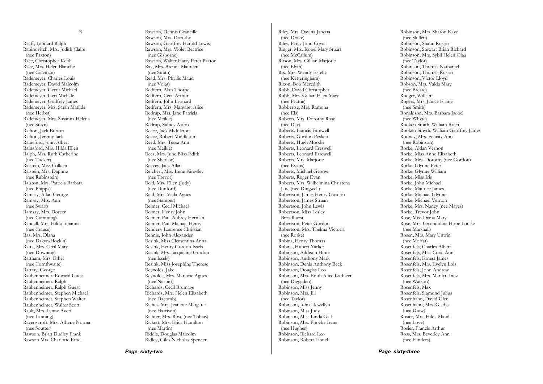Raaff, Leonard Ralph Rabinovitch, Mrs. Judith Claire (nee Paxton) Race, Christopher Keith Race, Mrs. Helen Blanche (nee Coleman) Rademeyer, Charles Louis Rademeyer, David Malcolm Rademeyer, Gerrit Michael Rademeyer, Gert Michale Rademeyer, Godfrey James Rademeyer, Mrs. Sarah Matilda (nee Herbst) Rademeyer, Mrs. Susanna Helena (nee Steyn) Railton, Jack Burton Railton, Jeremy Jack Rainsford, John Albert Rainsford, Mrs. Hilda Ellen Ralph, Mrs. Ruth Catherine (nee Tucker) Ralstein, Miss Colleen Ralstein, Mrs. Daphne (nee Rubinstein) Ralston, Mrs. Patricia Barbara (nee Phipps) Ramsay, Allan George Ramsay, Mrs. Ann (nee Swart) Ramsay, Mrs. Doreen (nee Cumming) Randall, Mrs. Hilda Johanna (nee Crause) Ras, Mrs. Diana (nee Dakyn-Hockin) Ratta, Mrs. Cecil Mary (nee Downing) Rattham, Mrs. Ethel (nee Cornthwaite) Rattray, George Raubenheimer, Edward Guest Raubenheimer, Ralph Raubenheimer, Ralph Guest Raubenheimer, Stephen Michael Raubenheimer, Stephen Walter Raubenheimer, Walter Scott Rault, Mrs. Lynne Averil (nee Lanning) Ravenscroft, Mrs. Athene Norma (nee Soutter) Rawson, Brian Dudley Frank Rawson Mrs. Charlotte Ethel

Rawson, Dennis Grancille Rawson, Mrs. Dorothy Rawson, Geoffrey Harold Lewis Rawson, Mrs. Violet Beatrice (nee Gisborne) Rawson, Walter Harry Peter Paxton Ray, Mrs. Brenda Maureen (nee Smith) Read, Mrs. Phyllis Maud (nee Voigt) Redfern, Alan Thorpe Redfern, Cecil Arthur Redfern, John Leonard Redfern, Mrs. Margaret Alice Redrup, Mrs. Jane Patricia (nee Meikle) Redrup, Sidney Aston Reece, Jack Middleton Reece, Robert Middleton Reed, Mrs. Tessa Ann (nee Meikle) Rees, Mrs. June Bliss Edith (nee Sherlaw) Reeves, Jack Allan Reichert, Mrs. Irene Kingsley (nee Trevor) Reid, Mrs. Ellen (Judy) (nee Dunford) Reid, Mrs. Veda Agnes (nee Stamper) Reimer, Cecil Michael Reimer, Henry John Reimer, Paul Aubrey Herman Reimer, Paul Michael Henry Renders, Laurence Christian Rennie, John Alexander Resink, Miss Clementina Anna Resink, Henry Gordon Issels Resink, Mrs. Jacqueline Gordon (nee Issels) Resink, Miss Josephine Therese Reynolds, Jake Reynolds, Mrs. Marjorie Agnes (nee Nesbitt) Richards, Cecil Brumage Richards, Mrs. Helen Elizabeth (nee Dacomb) Riches, Mrs. Jeanette Margaret (nee Harrison) Richter, Mrs. Rose (nee Tobias) Rickett, Mrs. Erica Hamilton (nee Martin) Riddle, Douglas Malcolm Ridley, Giles Nicholas Spencer

Riley, Mrs. Davina Janetta (nee Drake) Riley, Percy John Covell Ringer, Mrs. Isobel Mary Stuart (nee McCallum) Ritson, Mrs. Gillian Marjorie (nee Blyth) Rix, Mrs. Wendy Estelle (nee Ketteringham) Rixon, Bob Meredith Robb, David Christopher Robb, Mrs. Gillian Ellen Mary (nee Peattie) Robbertse, Mrs. Ramona (nee Els) Roberts, Mrs. Dorothy Rose (nee Day) Roberts, Francis Farewell Roberts, Gordon Peskett Roberts, Hugh Moodie Roberts, Leonard Creswell Roberts, Leonard Farewell Roberts, Mrs. Marjorie (nee Evans) Roberts, Michael George Roberts, Roger Evan Roberts, Mrs. Wilhelmina Christena Jane (nee Dingwell) Robertson, James Henry Gordon Robertson, James Struan Robertson, John Lewis Robertson, Miss Lesley Broadhurst Robertson, Peter Gordon Robertson, Mrs. Thelma Victoria (nee Rorke) Robins, Henry Thomas Robins, Hubert Yarker Robinson, Addison Hime Robinson, Anthony Mark Robinson, Denis Anthony Beck Robinson, Douglas Leo Robinson, Mrs. Edith Alice Kathleen (nee Diggeden) Robinson, Miss Jenny Robinson, Mrs. Jill (nee Taylor) Robinson, John Llewellyn Robinson, Miss Judy Robinson, Miss Linda Gail Robinson, Mrs. Phoebe Irene (nee Hughes) Robinson, Richard Leo Robinson, Robert Lionel

Robinson, Mrs. Sharon Kaye (nee Skillen) Robinson, Shaun Rosser Robinson, Stewart Brian Richard Robinson, Mrs. Sybil Helen Olga (nee Taylor) Robinson, Thomas Nathaniel Robinson, Thomas Rosser Robinson, Victor Lloyd Robson, Mrs. Valda Mary (nee Breare) Rodger, William Rogers, Mrs. Janice Elaine (nee Smith) Ronaldson, Mrs. Barbara Isobel (nee Whyte) Rooken-Smith, William Brien Rooken-Smyth, William Geoffrey James Rooney, Mrs. Felicity Ann (nee Robinson) Rorke, Aidan Vernon Rorke, Miss Anne Elizabeth Rorke, Mrs. Dorothy (nee Gordon) Rorke, Glynne Peter Rorke, Glynne William Rorke, Miss Iris Rorke, John Michael Rorke, Maurice James Rorke, Michael Glynne Rorke, Michael Vernon Rorke, Mrs. Nancy (nee Mayes) Rorke, Trevor John Rose, Miss Diana Mary Rose, Mrs. Gwendoline Hope Louise (nee Marshall) Rosen, Mrs. Mary Unwin (nee Moffat) Rosenfels, Charles Albert Rosenfels, Miss Coral Ann Rosenfels, Ernest James Rosenfels, Mrs. Evelyn Lois Rosenfels, John Andrew Rosenfels, Mrs. Marilyn Inez (nee Watson) Rosenfels, Max Rosenfels, Sigmund Julius Rosenhahn, David Glen Rosenhahn, Mrs. Gladys (nee Drew) Rosier, Mrs. Hilda Maud (nee Love) Rosier, Francis Arthur Ross, Mrs. Beverley Ann (nee Flinders)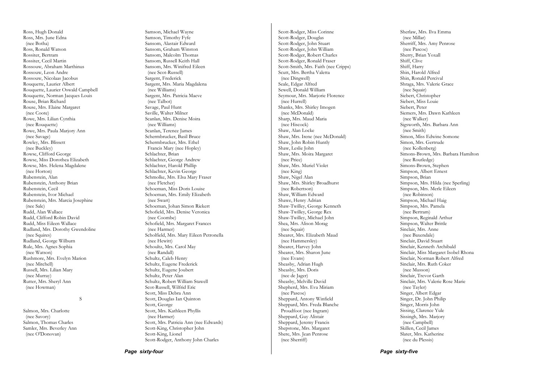Ross, Hugh Donald Ross, Mrs. June Edna (nee Botha) Ross, Ronald Watson Rossiter, Bertram Rossiter, Cecil Martin Rossouw, Abraham Marthinus Rossouw, Leon Andre Rossouw, Nicolaas Jacobus Rouquette, Laurier Albert Rouquette, Laurier Oswald Campbell Rouquette, Norman Jacques Louis Rouse, Brian Richard Rouse, Mrs. Elaine Margaret (nee Coote) Rowe, Mrs. Lilian Cynthia (nee Rouquette) Rowe, Mrs. Paula Marjory Ann (nee Savage) Rowley, Mrs. Blissett (nee Buckley) Rowse, Clifford George Rowse, Miss Dorothea Elizabeth Rowse, Mrs. Helena Magdalene (nee Horton) Rubenstein, Alan Rubenstein, Anthony Brian Rubenstein, Cecil Rubenstein, Ivor Michael Rubenstein, Mrs. Marcia Josephine (nee Sale) Rudd, Alan Wallace Rudd, Clifford Robin David Rudd, Miss Eileen Wallace Rudland, Mrs. Dorothy Gwendoline (nee Squires) Rudland, George Wilburn Rule, Mrs. Agnes Sophia (nee Watson) Rushmore, Mrs. Evelyn Marion (nee Mitchell) Russell, Mrs. Lilian Mary (nee Murray) Rutter, Mrs. Sheryl Ann (nee Howman)

### S

Salmon, Mrs. Charlotte (nee Savory) Salmon, Thomas Charles Samler, Mrs. Beverley Ann (nee O'Donovan)

Samson, Michael Wayne Samson, Timothy Fyfe Sansom, Alastair Edward Sansom, Graham Winston Sansom, Malcolm Thomas Sansom, Russell Keith Hall Sansom, Mrs. Winifred Eileen (nee Scot-Russell) Sargent, Frederick Sargent, Mrs. Maria Magdalena (nee Williams) Sargent, Mrs. Patricia Maeve (nee Talbot) Savage, Paul Hunt Saville, Walter Milner Scanlan, Mrs. Denise Moira (nee Williams) Scanlan, Terence James Schermbrucker, Basil Bruce Schermbrucker, Mrs. Ethel Francis Mary (nee Hopley) Schlachter, Brian Schlachter, George Andrew Schlachter, Harold Phillip Schlachter, Kevin George Schmolke, Mrs. Elsa Mary Fraser (nee Fletcher) Schoeman, Miss Doris Louise Schoeman, Mrs. Emily Elizabeth (nee Swart) Schoeman, Johan Simon Riekert Schofield, Mrs. Denise Veronica (nee Coombe) Schofield, Mrs. Margaret Frances (nee Harmer) Scholfield, Mrs. Mary Eileen Petronella (nee Hewitt) Schoultz, Mrs. Carol May (nee Randall) Schultz, Caleb Henry Schultz, Eugene Frederick Schultz, Eugene Joubert Schultz, Peter Alan Schultz, Robert William Stawell Scot-Russell, Wilfrid Eric Scott, Miss Debra Ann Scott, Douglas Ian Quinton Scott, George Scott, Mrs. Kathleen Phyllis (nee Harmer) Scott, Mrs. Patricia Ann (nee Edwards) Scott-King, Christopher John Scott-King, Lionel

Scott-Rodger, Anthony John Charles

Scott-Rodger, Miss Corinne Scott-Rodger, Douglas Scott-Rodger, John Stuart Scott-Rodger, John William Scott-Rodger, Robert Charles Scott-Rodger, Ronald Fraser Scott-Smith, Mrs. Faith (nee Cripps) Scutt, Mrs. Bertha Valetta (nee Dingwell) Seale, Edgar Alfred Sewell, Donald William Seymour, Mrs. Marjorie Florence (nee Hurrell) Shanks, Mrs. Shirley Imogen (nee McDonald) Sharp, Mrs. Maud Maria (nee Hiscock) Shaw, Alan Locke Shaw, Mrs. Irene (nee McDonald) Shaw, John Robin Huntly Shaw, Leslie John Shaw, Mrs. Moira Margaret (nee Price) Shaw, Mrs. Muriel Violet (nee King) Shaw, Nigel Alan Shaw, Mrs. Shirley Broadhurst (nee Robertson) Shaw, William Edward Shawe, Henry Adrian Shaw-Twilley, George Kenneth Shaw-Twilley, George Rex Shaw-Twilley, Michael John Shea, Mrs. Alison Morag (nee Squair) Shearer, Mrs. Elizabeth Maud (nee Hammersley) Shearer, Harvey John Shearer, Mrs. Sharon June (nee Evans) Sheasby, Adrian Hugh Sheasby, Mrs. Doris (nee de Jager) Sheasby, Melville David Shepherd, Mrs. Eva Miriam (nee Pascoe) Sheppard, Antony Winfield Sheppard, Mrs. Freda Blanche Proudfoot (nee Ingram) Sheppard, Guy Alistair Sheppard, Jeremy Francis Shepstone, Mrs. Margaret Shere, Mrs. Jean Penrose (nee Sherriff)

Sherlaw, Mrs. Ilva Emma (nee Millar) Sherriff, Mrs. Amy Penrose (nee Pascoe) Sherry, Brian Yoxall Shiff, Clive Shiff, Harry Shin, Harold Alfred Shin, Ronald Percival Shraga, Mrs. Valerie Grace (nee Squair) Siebert, Christopher Siebert, Miss Louie Siebert, Peter Siemers, Mrs. Dawn Kathleen (nee Walker) Sigsworth, Mrs. Barbara Ann (nee Smith) Simon, Miss Edwine Somone Simon, Mrs. Gertrude (nee Kollenberg) Simons-Brown, Mrs. Barbara Hamilton (nee Routledge) Simons-Brown, Stephen Simpson, Albert Ernest Simpson, Brian Simpson, Mrs. Hilda (nee Sperling) Simpson, Mrs. Merle Eileen (nee Robinson) Simpson, Michael Haig Simpson, Mrs. Pamela (nee Bertram) Simpson, Reginald Arthur Simpson, Walter Brittle Sinclair, Mrs. Anne (nee Baxendale) Sinclair, David Stuart Sinclair, Kenneth Archibald Sinclair, Miss Margaret Isobel Rhona Sinclair, Norman Robert Alfred Sinclair, Mrs. Ruth Coker (nee Musson) Sinclair, Trevor Garth Sinclair, Mrs. Valerie Rose Marie (nee Tayler) Singer, Albert Edgar Singer, Dr. John Philip Singer, Morris John Sissing, Clarence Yule Sissingh, Mrs. Marjory (nee Campbell) Skillen, Cecil James Slater, Mrs. Katherine (nee du Plessis)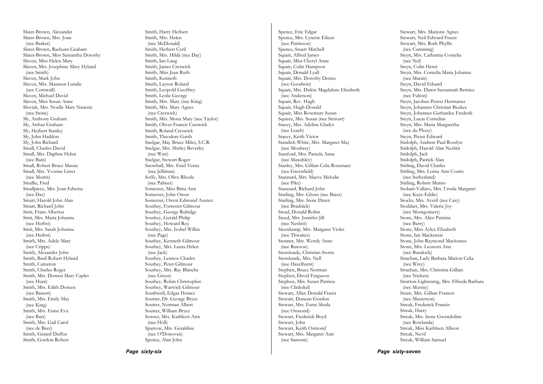Slater-Brown, Alexander Slater-Brown, Mrs. Joan (nee Barker) Slater-Brown, Raeburn Graham Slater-Brown, Miss Samantha Dorothy Slaven, Miss Helen Mary Slaven, Mrs. Josephine Mary Hyland (nee Smith) Slaven, Mark John Slaven, Mrs. Maureen Lundie (nee Cornwall) Slaven, Michael David Slaven, Miss Susan Anne Sloviak, Mrs. Noelle Mary Nanette (nee Stone) Sly, Anthony Graham Sly, Arthur Graham Sly, Herbert Stanley Sly, John Haddon Sly, John Richard Small, Charles David Small, Mrs. Daphne Helen (nee Bain) Small, Robert Bruce Massie Small, Mrs. Yvonne Lister (nee Morris) Smallie, Fred Smallpiece, Mrs. Joan Edwina (nee Day) Smart, Harold John Alan Smart, Richard John Smit, Frans Albertus Smit, Mrs. Maria Johanna (nee Herbst) Smit, Mrs. Sarah Johanna (nee Herbst) Smith, Mrs. Adele Mary (nee Cripps) Smith, Alexander John Smith, Basil Robert Hyland Smith, Cameron Smith, Charles Roger Smith, Mrs. Doreen Mary Caples (nee Hunt) Smith, Mrs. Edith Doreen (nee Bassett) Smith, Mrs. Emily May (nee King) Smith, Mrs. Esme Eva (nee Butt) Smith, Mrs. Gail Carol (nee de Beer) Smith, Gerard Duffus Smith, Gordon Robert

Smith, Harry Herbert Smith, Mrs. Helen (nee McDonald) Smith, Herbert Cyril Smith, Mrs. Hilda (nee Day) Smith, Ian Lang Smith, James Creswick Smith, Miss Jean Ruth Smith, Kenneth Smith, Layton Roland Smith, Leopold Geoffrey Smith, Leslie George Smith, Mrs. Mary (nee King) Smith, Mrs. Mary Agnes (nee Creswick) Smith, Mrs. Mona Mary (nee Taylor) Smith, Oliver Francis Creswick Smith, Roland Creswick Smith, Theodore Garth Snelgar, Maj. Bruce Miles, S.C.R. Snelgar, Mrs. Shirley Beverley (nee Watt) Snelgar, Stewart Roger Snowball, Mrs. Enid Verna (nee Jelliman) Soffe Mrs. Olive Rhoda (nee Palmer) Somerset, Miss Brita Ann Somerset, John Owen Somerset, Owen Edmund Austen Southey, Forrester Gilmour Southey, George Rubidge Southey, Gerald Philip Southey, Howard Roy Southey, Mrs. Isobel Wilkie (nee Page) Southey, Kenneth Gilmour Southey, Mrs. Laura Helen (nee Jack) Southey, Lennox Charles Southey, Peter Gilmour Southey, Mrs. Ray Blanche (nee Green) Southey, Robin Christopher Southey, Warwick Gilmour Southwell, Edgar Horace Soutter, Dr. George Bryce Soutter, Norman Albert Soutter, William Bryce Sowter, Mrs. Kathleen Ann (nee Holl) Sparrow, Mrs. Geraldine (nee O'Donovan) Spence, Alan John

Spence, Eric Edgar Spence, Mrs. Lynette Eileen (nee Pattinson) Spence, Stuart Mitchell Squair, Alfred James Squair, Miss Cheryl Anne Squair, Colin Hampson Squair, Donald Lyall Squair, Mrs. Dorothy Denise (nee Goodwin) Squair, Mrs. Dulcie Magdalene Elizabeth (nee Anderson) Squair, Rev. Hugh Squair, Hugh Donald Squair, Miss Rosemary Susan Squires, Mrs. Susan (nee Stewart) Stacey, Mrs. Adeline Gladys (nee Leach) Stacey, Keith Victor Standish-White, Mrs. Margaret May (nee Moubray) Stanford, Mrs. Pamela Anne (nee Mawdsley) Stanley, Mrs. Gillian Celia Rosemary (nee Greenfield) Stannard, Mrs. Maeve Melodie (nee Pike) Stannard, Richard John Starling, Mrs. Glynn (nee Bates) Starling, Mrs. Irene Dawn (nee Bradnick) Stead, Donald Robin Steed, Mrs. Jennifer Jill (nee Nesbitt) Steenkamp, Mrs. Margaret Violet (nee Thwaites) Stenner, Mrs. Wendy Anne (nee Rawson) Stenslunde, Christian Storm Stenslunde, Mrs. Nell (nee Hazelhurst) Stephen, Bruce Norman Stephen, David Ferguson Stephen, Mrs. Susan Patricia (nee Clinkskel) Stewart, Allan Donald Fraser Stewart, Duncan Gordon Stewart, Mrs. Esme Sheila (nee Osmond) Stewart, Frederick Boyd Stewart, John Stewart, Keith Osmond Stewart, Mrs. Margaret Ann (nee Sansom)

Stewart, Mrs. Marjorie Agnes Stewart, Neil Edward Fraser Stewart, Mrs. Ruth Phyllis (nee Cumming) Steyn, Mrs. Catharina Cornelia (nee Nel) Steyn, Colin Henri Steyn, Mrs. Cornelia Maria Johanna (nee Marais) Steyn, David Eduard Steyn, Mrs. Dawn Sussannah Bernice (nee Fulton) Steyn, Jacobus Petrus Hermanus Steyn, Johannes Christian Beukes Steyn, Johannes Gerhardus Frederik Steyn, Lucas Cornelius Steyn, Mrs. Maria Margaretha (nee du Plooy) Steyn, Pieter Edward Stidolph, Andrew Paul Rosslyn Stidolph, Harold Alan Nesbitt Stidolph, Jack Stidolph, Patrick Alan Stirling, David Charles Stirling, Mrs. Lorna Ann Coutts (nee Sutherland) Stirling, Robert Munro Stobart-Vallaro, Mrs. Ursula Margaret (nee Kaye-Eddie) Stocks, Mrs. Averil (nee Cary) Stoddart, Mrs. Valerie Joy (nee Montgomery) Stone, Mrs. Alice Patricia (nee Barry) Stone, Miss Aylex Elizabeth Stone, Ian Mackenzie Stone, John Raymond Mackenzie Stone, Mrs. Leonora Ann (nee Bundock) Strachan, Lady Barbara Marion Celia (nee Wrey) Strachan, Mrs. Christina Gillian (nee Nielsen) Stratton-Lightening, Mrs. Elfreda Barbara (nee Murray) Straw, Mrs. Gillian Frances (nee Masterson) Streak, Frederick Francis Streak, Harry Streak, Mrs. Irene Gwendoline (nee Rowlanda) Streak, Miss Kathleen Allison Streak, Nevil Streak, William Samuel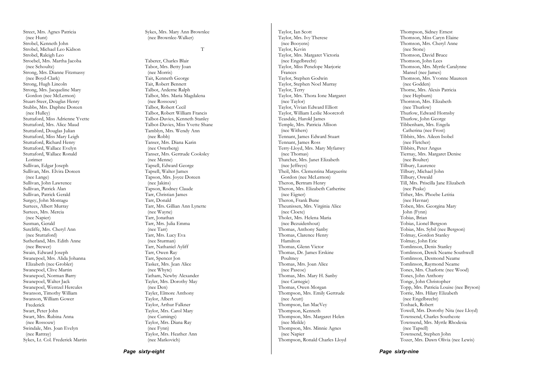Street, Mrs. Agnes Patricia (nee Hunt) Strobel, Kenneth John Strobel, Michael Leo Kidson Strobel, Raleigh Leo Stroebel, Mrs. Martha Jacoba (nee Schoultz) Strong, Mrs. Dianne Fitzmassy (nee Boyd-Clark) Strong, Hugh Lincoln Strong, Mrs. Jacqueline Mary Gordon (nee McLernon) Stuart-Steer, Douglas Henry Stubbs, Mrs. Daphne Doreen (nee Hulley) Stuttaford, Miss Adrienne Yvette Stuttaford, Mrs. Alice Maud Stuttaford, Douglas Julian Stuttaford, Miss Mary Leigh Stuttaford, Richard Henry Stuttaford, Wallace Evelyn Stuttaford, Wallace Ronald Lorimer Sullivan, Edgar Joseph Sullivan, Mrs. Elvira Doreen (nee Lange) Sullivan, John Lawrence Sullivan, Patrick Alan Sullivan, Patrick Gerald Surgey, John Montagu Surtees, Albert Murray Surtees, Mrs. Mercia (nee Napier) Susman, Gerald Sutcliffe, Mrs. Cheryl Ann (nee Stuttaford) Sutherland, Mrs. Edith Anne (nee Brewer) Swain, Edward Joseph Swanepoel, Mrs. Alida Johanna Elizabeth (nee Grobler) Swanepoel, Clive Martin Swanepoel, Norman Barry Swanepoel, Walter Jack Swanepoel, Wentzel Hercules Swanson, Timothy William Swanson, William Gower Frederick Swart, Peter John Swart, Mrs. Rubina Anna (nee Rossouw) Swindale, Mrs. Joan Evelyn (nee Rattray) Sykes, Lt. Col. Frederick Martin

Sykes, Mrs. Mary Ann Brownlee (nee Brownlee-Walker)

#### T

Taberer, Charles Blair Tabor, Mrs. Betty Joan (nee Morris) Tait, Kenneth George Tait, Robert Bennett Talbot, Arderne Ralph Talbot, Mrs. Maria Magdalena (nee Rossouw) Talbot, Robert Cecil Talbot, Robert William Francis Talbot-Davies, Kenneth Stanley Talbot-Davies, Miss Yvette Shane Tamblyn, Mrs. Wendy Ann (nee Robb) Tanser, Mrs. Diana Karin (nee Osterberg) Tanser, Mrs. Gertrude Cooksley (nee Menne) Tapsell, Edward George Tapsell, Walter James Tapson, Mrs. Joyce Doreen (nee Jakins) Tapson, Rodney Claude Tarr, Christian James Tarr, Donald Tarr, Mrs. Gillian Ann Lynette (nee Wayne) Tarr, Jonathan Tarr, Mrs. Julia Emma (nee Tarr) Tarr, Mrs. Lucy Eva (nee Sturman) Tarr, Nathaniel Ayliff Tarr, Owen Ray Tarr, Spencer Jon Tasker, Mrs. Jean Alice (nee Whyte) Tatham, Newby Alexander Tayler, Mrs. Dorothy May (nee Den) Tayler, Elmore Anthony Taylor, Albert Taylor, Arthur Falkner Taylor, Mrs. Carol Mary (nee Cumings) Taylor, Mrs. Diana Ray (nee Fynn) Taylor, Mrs. Heather Ann (nee Matkovich)

Taylor, Ian Scott Taylor, Mrs. Ivy Therese (nee Booyens) Taylor, Kevin Taylor, Mrs. Margaret Victoria (nee Engelbrecht) Taylor, Miss Penelope Marjorie Frances Taylor, Stephen Godwin Taylor, Stephen Noel Murray Taylor, Terry Taylor, Mrs. Thora Ione Margaret (nee Taylor) Taylor, Vivian Edward Elliott Taylor, William Leslie Moorcroft Teasdale, Harold James Temple, Mrs. Patricia Allison (nee Withers) Tennant, James Edward Stuart Tennant, James Ross Terry-Lloyd, Mrs. Mary Myfanwy (nee Thomas) Thatcher, Mrs. Janet Elizabeth (nee Jeffreys) Theil, Mrs. Clementina Marguerite Gordon (nee McLernon) Theron, Bertram Henry Theron, Mrs. Elizabeth Catherine (nee Eigner) Theron, Frank Bune Theunissen, Mrs. Virginia Alice (nee Cloete) Tholet, Mrs. Helena Maria (nee Bezuidenhout) Thomas, Anthony Sanby Thomas, Clarence Henry Hamilton Thomas, Glenn Victor Thomas, Dr. James Erskine Poultney Thomas, Mrs. Joan Alice (nee Pascoe) Thomas, Mrs. Mary H. Sanby (nee Carnegie) Thomas, Owen Morgan Thompson, Mrs. Emily Gertrude (nee Acutt) Thompson, Ian MacVey Thompson, Kenneth Thompson, Mrs. Margaret Helen (nee Meikle) Thompson, Mrs. Minnie Agnes (nee Napier Thompson, Ronald Charles Lloyd

Thompson, Sidney Ernest Thomson, Miss Caryn Elaine Thomson, Mrs. Cheryl Anne (nee Stone) Thomson, David Bruce Thomson, John Lees Thomson, Mrs. Myrtle Caralynne Mansel (nee James) Thomson, Mrs. Yvonne Maureen (nee Godden) Thorne, Mrs. Alexis Patricia (nee Hepburn) Thornton, Mrs. Elizabeth (nee Thurlow) Thurlow, Edward Hornsby Thurlow, John George Tibbenham, Mrs. Engela Catherina (nee Frost) Tibbits, Mrs. Aileen Isobel (nee Fletcher) Tibbits, Peter Angus Tiernay, Mrs. Margaret Denise (nee Boulter) Tilbury, Laurence Tilbury, Michael John Tilbury, Oswald Till, Mrs. Priscilla Jane Elizabeth (nee Peake) Tither, Mrs. Phoebe Letitia (nee Havnar) Toben, Mrs. Georgina Mary John (Fynn) Tobias, Brian Tobias, Lionel Bergson Tobias, Mrs. Sybil (nee Bergson) Tolmay, Gordon Stanley Tolmay, John Eric Tomlinson, Denis Stanley Tomlinson, Derek Neame Southwell Tomlinson, Desmond Neame Tomlinson, Raymond Neame Tones, Mrs. Charlotte (nee Wood) Tones, John Anthony Tonge, John Christopher Topp, Mrs. Patricia Louise (nee Bryson) Torrie, Mrs. Hilary Elizabeth (nee Engelbrecht) Toshack, Robert Towell, Mrs. Dorothy Nita (nee Lloyd) Townsend, Charles Southcote Townsend, Mrs. Myrtle Rhodesia (nee Tapsell) Townsend, Stephen John Tozer, Mrs. Dawn Olivia (nee Lewis)

*Page sixty-eight*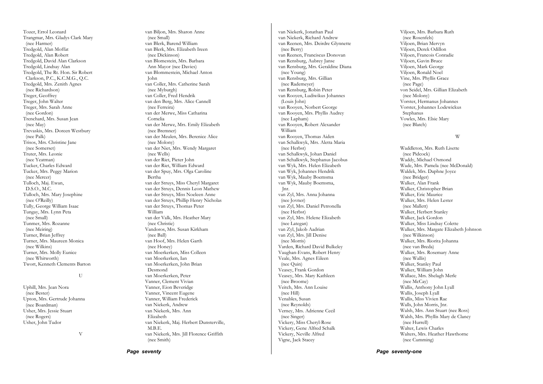Tozer, Errol Leonard Trangmar, Mrs. Gladys Clark Mary (nee Harmer) Tredgold, Alan Moffat Tredgold, Alan Robert Tredgold, David Alan Clarkson Tredgold, Lindsay Alan Tredgold, The Rt. Hon. Sir Robert Clarkson, P.C., K.C.M.G., Q.C. Tredgold, Mrs. Zenith Agnes (nee Richardson) Treger, Geoffrey Treger, John Walter Treger, Mrs. Sarah Anne (nee Gordon) Trenchard, Mrs. Susan Jean (nee May) Trevaskis, Mrs. Doreen Westbury (nee Palk) Trisos, Mrs. Christine Jane (nee Somerset) Truter, Mrs. Leonie (nee Yeatman) Tucker, Charles Edward Tucker, Mrs. Peggy Marion (nee Mercer) Tulloch, Maj. Ewan, D.S.O., M.C. Tulloch, Mrs. Mary Josephine (nee O'Reilly) Tully, George William Isaac Tungay, Mrs. Lynn Peta (nee Small) Tunmer, Mrs. Rozanne (nee Meiring) Turner, Brian Jeffrey Turner, Mrs. Maureen Monica (nee Wilkins) Turner, Mrs. Molly Eunice (nee Whitworth) Twort, Kenneth Clements Barton

#### U

Uphill, Mrs. Jean Nora (nee Bester) Upton, Mrs. Gertrude Johanna (nee Boardman) Usher, Mrs. Jessie Stuart (nee Rogers) Usher, John Tudor

V

van Biljon, Mrs. Sharon Anne (nee Small) van Blerk, Barend William van Blerk, Mrs. Elizabeth Ireen (nee Dickinson) van Blomestein, Mrs. Barbara Ann Mayor (nee Davies) van Blommestein, Michael Anton John van Coller, Mrs. Catherine Sarah (nee Myburgh) van Coller, Fred Hendrik van den Berg, Mrs. Alice Cannell (nee Ferreira) van der Merwe, Miss Catharina Cornelia van der Merwe, Mrs. Emily Elizabeth (nee Bremner) van der Meulen, Mrs. Berenice Alice (nee Molony) van der Niet, Mrs. Wendy Margaret (nee Wells) van der Riet, Pieter John van der Riet, William Edward van der Spuy, Mrs. Olga Caroline Bertha van der Struys, Miss Cheryl Margaret van der Struys, Dennis Leon Mathew van der Struys, Miss Noeleen Anne van der Struys, Phillip Henry Nicholas van der Struys, Thomas Peter William van der Valk, Mrs. Heather Mary (nee Christie) Vandoros, Mrs. Susan Kirkham (nee Ball) van Hoof, Mrs. Helen Garth (nee Honey) van Moerkerken, Miss Colleen van Moerkerken, Ian van Moerkerken, John Brian Desmond van Moerkerken, Peter Vanner, Clement Vivian Vanner, Eion Beveridge Vanner, Vincent Eugene Vanner, William Frederick van Niekerk, Andrew van Niekerk, Mrs. Ann Elizabeth van Niekerk, Maj. Herbert Dunsterville, M.B.E. van Niekerk, Mrs. Jill Florence Griffith (nee Smith)

van Niekerk, Jonathan Paul van Niekerk, Richard Andrew van Reenen, Mrs. Deirdre Glynnette (nee Berry) van Reenen, Franciscus Donovan van Rensburg, Aubrey Janse van Rensburg, Mrs. Geraldine Diana (nee Young) van Rensburg, Mrs. Gillian (nee Rademeyer) van Rensburg, Robin Peter van Rooyen, Ludiwikus Johannes (Louis John) van Rooyen, Norbert George van Rooyen, Mrs. Phyllis Audrey (nee Lapham) van Rooyen, Robert Alexander William van Rooyen, Thomas Aiden van Schalkwyk, Mrs. Aletta Maria (nee Herbst) van Schalkwyk, Johan Daniel van Schalkwyk, Stephanus Jacobus van Wyk, Mrs. Helen Elizabeth van Wyk, Johannes Hendrik van Wyk, Mauby Boemsma van Wyk, Mauby Boemsma, Jnr. van Zyl, Mrs. Anna Johanna (nee Jovner) van Zyl, Mrs. Daniel Petronella (nee Herbst) van Zyl, Mrs. Helene Elizabeth (nee Lategan) van Zyl, Jakob Aadrian van Zyl, Mrs. Jill Denise (nee Morris) Varden, Richard David Bulkeley Vaughan-Evans, Robert Henry Veale, Mrs. Agnes Eileen (nee Quin) Veasey, Frank Gordon Veasey, Mrs. Mary Kathleen (nee Broome) Veitch, Mrs. Ann Louise (nee Hill) Venables, Susan (nee Reynolds) Verney, Mrs. Adrienne Cecil (nee Singer) Vickery, Miss Cheryl-Rose Vickery, Gene Alfred Schalk Vickery, Neville Alfred Vigne, Jack Stacey

Viljoen, Mrs. Barbara Ruth (nee Rosenfels) Viljoen, Brian Mervyn Viljoen, Derek Odillon Viljoen, Francois Conradie Viljoen, Gavin Bruce Viljoen, Mark George Viljoen, Ronald Noel Vine, Mrs. Phyllis Grace (nee Page) von Seidel, Mrs. Gillian Elizabeth (nee Molony) Vorster, Hermanus Johannes Vorster, Johannes Lodewickus Stephanus Vowles, Mrs. Elsie Mary (nee Blatch)

#### W

Waddleton, Mrs. Ruth Lisette (nee Pidcock) Waddy, Michael Osmond Wade, Mrs. Pamela (nee McDonald) Waldek, Mrs. Daphne Joyce (nee Bridger) Walker, Alan Frank Walker, Christopher Brian Walker, Eric Maurice Walker, Mrs. Helen Lester (nee Mallett) Walker, Herbert Stanley Walker, Jack Gordon Walker, Miss Lindsay Colette Walker, Mrs. Margate Elizabeth Johnson (nee Wilkinson) Walker, Mrs. Riorita Johanna (nee van Breda) Walker, Mrs. Rosemary Anne (nee Wallis) Walker, Stanley Paul Walker, William John Wallace, Mrs. Shelagh Merle (nee McCay) Wallis, Anthony John Lyall Wallis, Joseph Lyall Wallis, Miss Vivien Rae Walls, John Morris, Jnr. Walsh, Mrs. Ann Stuart (nee Ross) Walsh, Mrs. Phyllis Mary de Clancy (nee Hurrell) Walter, Lewis Charles Walters, Mrs. Heather Hawthorne (nee Cumming)

*Page seventy* 

*Page seventy-one*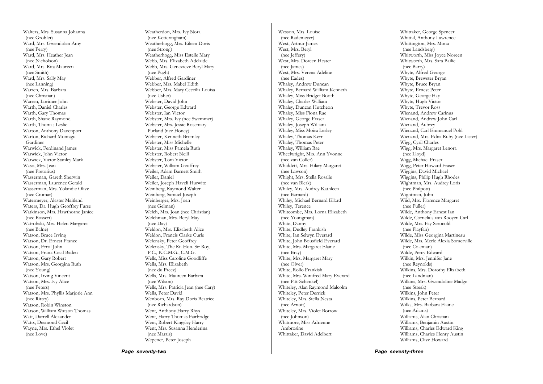Walters, Mrs. Susanna Johanna (nee Grobler) Ward, Mrs. Gwendolen Amy (nee Perry) Ward, Mrs. Heather Jean (nee Nicholson) Ward, Mrs. Rita Maureen (nee Smith) Ward, Mrs. Sally May (nee Lanning) Warren, Mrs. Barbara (nee Christian) Warren, Lorimer John Warth, Daniel Charles Warth, Gary Thomas Warth, Shane Raymond Warth, Thomas Leslie Warton, Anthony Davenport Warton, Richard Montagu Gardiner Warwick, Ferdinand James Warwick, John Victor Warwick, Victor Stanley Mark Waso, Mrs. Jean (nee Pretorius) Wasserman, Gareth Sherwin Wasserman, Laurence Gerald Wasserman, Mrs. Yolandie Olive (nee Cromar) Watermeyer, Alaster Maitland Waters, Dr. Hugh Geoffrey Furse Watkinson, Mrs. Hawthorne Janice (nee Bossert) Watrobski, Mrs. Helen Margaret (nee Balne) Watson, Bruce Irving Watson, Dr. Ernest France Watson, Errol John Watson, Frank Cecil Baden Watson, Gary Robert Watson, Mrs. Georgina Ruth (nee Young) Watson, Irving Vincent Watson, Mrs. Ivy Alice (nee Peters) Watson, Mrs. Phyllis Marjorie Ann (nee Rittey) Watson, Robin Winston Watson, William Watson Thomas Watt, Darrell Alexander Watts, Desmond Cecil Wayne, Mrs. Ethel Violet (nee Love)

Weatherdon, Mrs. Ivy Nora (nee Ketteringham) Weatherhogg, Mrs. Eileen Doris (nee Strong) Weatherhogg, Miss Estelle Mary Webb, Mrs. Elizabeth Adelaide Webb, Mrs. Genevieve Beryl Mary (nee Pugh) Webber, Alfred Gardiner Webber, Mrs. Mabel Edith Webber, Mrs. Mary Ceceilia Louisa (nee Usher) Webster, David John Webster, George Edward Webster, Ian Victor Webster, Mrs. Ivy (nee Swemmer) Webster, Mrs. Jessie Rosemary Purland (nee Honey) Webster, Kenneth Bromley Webster, Miss Michelle Webster, Miss Pamela Ruth Webster, Robert Neill Webster, Tom Victor Webster, William Geoffrey Weiler, Adam Barnett Smith Weiler, Daniel Weiler, Joseph Haveli Hurwitz Weinberg, Raymond Walter Weinberg, Samuel Joseph Weinberger, Mrs. Joan (nee Gelman) Welch, Mrs. Joan (nee Christian) Welchman, Mrs. Beryl May (nee Day) Weldon, Mrs. Elizabeth Alice Weldon, Francis Clarke Curle Welensky, Peter Geoffrey Welensky, The Rt. Hon. Sir Roy, P.C., K.C.M.G., C.M.G. Wells, Miss Caroline Goodliffe Wells, Mrs. Elizabeth (nee du Preez) Wells, Mrs. Maureen Barbara (nee Wilson) Wells, Mrs. Patricia Jean (nee Cary) Wells, Peter David Wenborn, Mrs. Ray Doris Beatrice (nee Richardson) Went, Anthony Harry Rhys Went, Harry Thomas Fairbridge Went, Robert Kingsley Harry Went, Mrs. Susanna Henderina (nee Marais) Wepener, Peter Joseph

Wesson, Mrs. Louise (nee Rademeyer) West, Arthur James West, Mrs. Beryl (nee Jeffery) West, Mrs. Doreen Hester (nee James) West, Mrs. Verena Adeline (nee Eades) Whaley, Andrew Duncan Whaley, Bernard William Kenneth Whaley, Miss Bridget Booth Whaley, Charles William Whaley, Duncan Hutcheon Whaley, Miss Fiona Rae Whaley, George Fraser Whaley, Joseph William Whaley, Miss Moira Lesley Whaley, Thomas Kerr Whaley, Thomas Peter Whaley, William Rae Wheelwright, Mrs. Ann Yvonne (nee van Coller) Whiddett, Mrs. Hilary Margaret (nee Lawson) Whight, Mrs. Stella Rosalie (nee van Blerk) Whiley, Mrs. Audrey Kathleen (nee Barnard) Whiley, Michael Bernard Ellard Whiley, Terence Whitcombe, Mrs. Lorna Elizabeth (nee Youngman) White, Danny White, Dudley Frankish White, Ian Selwyn Everard White, John Bousfield Everard White, Mrs. Margaret Elaine (nee Bray) White, Mrs. Margaret Mary (nee Olver) White, Rollo Frankish White, Mrs. Winifred Mary Everard (nee Pitt-Schenkel) Whiteley, Alan Raymond Malcolm Whiteley, Peter Derrick Whiteley, Mrs. Stella Nesta (nee Arnott) Whiteley, Mrs. Violet Borrow (nee Johnson) Whitmore, Miss Adrienne Ambrosine Whittaker, David Adelbert

Whittaker, George Spencer Whittal, Anthony Lawrence Whittington, Mrs. Mona (nee Landsberg) Whitworth, Miss Joyce Noreen Whitworth, Mrs. Sara Bailie (nee Barry) Whyte, Alfred George Whyte, Brewster Bryan Whyte, Bruce Bryan Whyte, Ernest Peter Whyte, George Hay Whyte, Hugh Victor Whyte, Trevor Ross Wienand, Andrew Carinus Wienand, Andrew John Carl Wienand, Aubrey Wienand, Carl Emmanuel Pohl Wienand, Mrs. Edna Ruby (nee Lister) Wigg, Cyril Charles Wigg, Mrs. Margaret Lenora (nee Lloyd) Wigg, Michael Fraser Wigg, Peter Howard Fraser Wiggins, David Michael Wiggins, Philip Hugh Rhodes Wightman, Mrs. Audrey Loris (nee Philpott) Wightman, John Wiid, Mrs. Florence Margaret (nee Fuller) Wilde, Anthony Ernest Ian Wilde, Cornelius van Rooyen Carl Wilde, Mrs. Fay Serocold (nee Playfair) Wilde, Miss Georgina Martineau Wilde, Mrs. Merle Alexia Somerville (nee Coleman) Wilde, Percy Edward Wilkin, Mrs. Jennifer Jane (nee Reynolds) Wilkins, Mrs. Dorothy Elizabeth (nee Landman) Wilkins, Mrs. Gwendoline Madge (nee Streak) Wilkins, John Peter Wilkins, Peter Bernard Wilks, Mrs. Barbara Elaine (nee Adams) Williams, Alan Christian Williams, Benjamin Austin Williams, Charles Edward King Williams, Charles Henry Austin Williams, Clive Howard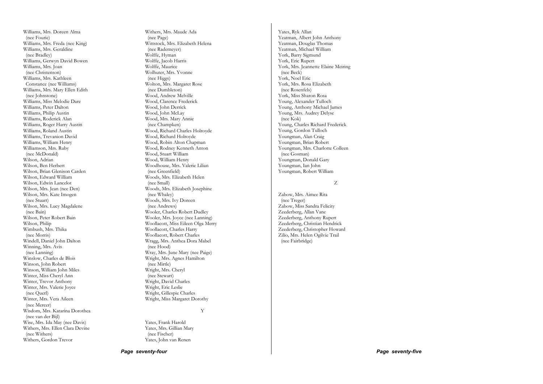Williams, Mrs. Doreen Alma (nee Fourie) Williams, Mrs. Freda (nee King) Williams, Mrs. Geraldine (nee Bradley) Williams, Gerwyn David Bowen Williams, Mrs. Joan (nee Christenson) Williams, Mrs. Kathleen Constance (nee Williams) Williams, Mrs. Mary Ellen Edith (nee Johnstone) Williams, Miss Melodie Dare Williams, Peter Dalton Williams, Philip Austin Williams, Roderick Alan Williams, Roger Harry Austin Williams, Roland Austin Williams, Trevanion David Williams, William Henry Williamson, Mrs. Ruby (nee McDonald) Wilson, Adrian Wilson, Ben Herbert Wilson, Brian Glenison Carden Wilson, Edward William Wilson, Edwin Lancelot Wilson, Mrs. Jean (nee Den) Wilson, Mrs. Kate Imogen (nee Stuart) Wilson, Mrs. Lucy Magdalene (nee Bain) Wilson, Peter Robert Bain Wilson, Philip Wimbush, Mrs. Thika (nee Morris) Windell, Daniel John Dalton Winning, Mrs. Avis (nee Lanning) Winslow, Charles de Blois Winson, John Robert Winson, William John Miles Winter, Miss Cheryl Ann Winter, Trevor Anthony Winter, Mrs. Valerie Joyce (nee Querl) Winter, Mrs. Vera Aileen (nee Mercer) Wisdom, Mrs. Katarina Dorothea (nee van der Bijl) Wise, Mrs. Ida May (nee Davis) Withers, Mrs. Ellen Clara Devine (nee Withers) Withers, Gordon Trevor

Withers, Mrs. Maude Ada (nee Page) Wittstock, Mrs. Elizabeth Helena (nee Rademeyer) Wolffe, Hyman Wolffe, Jacob Harris Wolffe, Maurice Wolhuter, Mrs. Yvonne (nee Higgs) Wolton, Mrs. Margaret Rose (nee Dumbleton) Wood, Andrew Melville Wood, Clarence Frederick Wood, John Derrick Wood, John McLay Wood, Mrs. Mary Annie (nee Champken) Wood, Richard Charles Holroyde Wood, Richard Holroyde Wood, Robin Alton Chapman Wood, Rodney Kenneth Anton Wood, Stuart William Wood, William Henry Woodhouse, Mrs. Valerie Lilian (nee Greenfield) Woods, Mrs. Elizabeth Helen (nee Small) Woods, Mrs. Elizabeth Josephine (nee Whaley) Woods, Mrs. Ivy Doreen (nee Andrews) Wooler, Charles Robert Dudley Wooler, Mrs. Joyce (nee Lanning) Woollacott, Miss Eileen Olga Merry Woollacott, Charles Harry Woollacott, Robert Charles Wragg, Mrs. Anthea Dora Mabel (nee Hood) Wray, Mrs. June Mary (nee Paige) Wright, Mrs. Agnes Hamilton (nee Mirtle) Wright, Mrs. Cheryl (nee Stewart) Wright, David Charles Wright, Eric Leslie Wright, Gillespie Charles Wright, Miss Margaret Dorothy

Y

Yates, Frank Harold Yates, Mrs. Gillian Mary (nee Fischer) Yates, John van Renen

Yates, Ryk Allan Yeatman, Albert John Anthony Yeatman, Douglas Thomas Yeatman, Michael William York, Barry Sigmund York, Eric Rupert York, Mrs. Jeannette Elaine Meiring (nee Beck) York, Noel Eric York, Mrs. Rosa Elizabeth (nee Rosenfels) York, Miss Sharon Rosa Young, Alexander Tulloch Young, Anthony Michael James Young, Mrs. Audrey Delyse (nee Kok) Young, Charles Richard Frederick Young, Gordon Tulloch Youngman, Alan Craig Youngman, Brian Robert Youngman, Mrs. Charlotte Colleen (nee Gosman) Youngman, Donald Gary Youngman, Ian John Youngman, Robert William

#### Z

Zabow, Mrs. Aimee Rita (nee Treger) Zabow, Miss Sandra Felicity Zeederberg, Allan Vane Zeederberg, Anthony Rupert Zeederberg, Christian Hendrick Zeederberg, Christopher Howard Zilio, Mrs. Helen Ogilvie Trail (nee Fairbridge)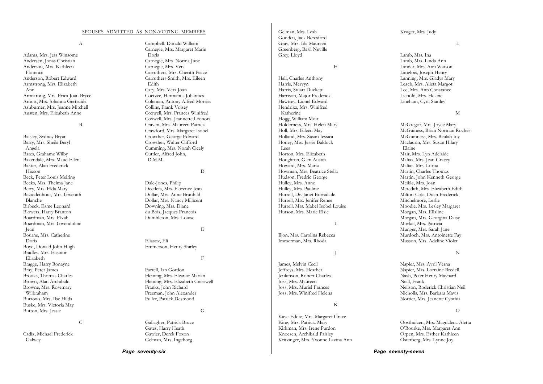A

Adams, Mrs. Jess Winsome Andersen, Jonas Christian Anderson, Mrs. Kathleen Florence Anderson, Robert Edward Armstrong, Mrs. Elizabeth Ann Armstrong, Mrs. Erica Joan Bryce Arnott, Mrs. Johanna Gertruida Ashburner, Mrs. Jeanne Mitchell Austen, Mrs. Elizabeth Anne

B

Baisley, Sydney Bryan Barry, Mrs. Sheila Beryl Angela Bates, Grahame Wilby Baxendale, Mrs. Maud Ellen Baxter, Alan Frederick Hixson Beck, Peter Louis Meiring Becks, Mrs. Thelma Jane Berry, Mrs. Elda Mary Bezuidenhout, Mrs. Gwenith Blanche Birbeck, Esme Leonard Blowers, Harry Branton Boardman, Mrs. Elvah Boardman, Mrs. Gwendoline Jean Bourne, Mrs. Catherine Doris Boyd, Donald John Hugh Bradley, Mrs. Eleanor Elizabeth Bragge, Harry Ronayne Bray, Peter James Brooks, Thomas Charles Brown, Alan Archibald Browne, Mrs. Rosemary Wilbraham Burrows, Mrs. Ilse Hilda Buske, Mrs. Victoria May Button, Mrs. Jessie

### C

Cadiz, Michael Frederick Galwey

Campbell, Donald William Carnegie, Mrs. Margaret Marie Doris Carnegie, Mrs. Norma June Carnegie, Mrs. Vera Carruthers, Mrs. Cherith Peace Carruthers-Smith, Mrs. Eileen Edith Cary, Mrs. Vera Joan Coetzee, Hermanus Johannes Coleman, Antony Alfred Morriss Collins, Frank Voisey Coxwell, Mrs. Frances Winifred Coxwell, Mrs. Jeannette Leonora Craven, Mrs. Maureen Patricia Crawford, Mrs. Margaret Isobel Crowther, George Edward

Crowther, Walter Clifford Cumming, Mrs. Norah Cicely Cuttler, Alfred John, D.M.M.

D

Dale-Jones, Philip Deetlefs, Mrs. Florence Jean Dollar, Mrs. Anne Brunhild Dollar, Mrs. Nancy Millicent Downing, Mrs. Diane du Bois, Jacques Francois Dumbleton, Mrs. Louise

E

F

Eliasov, Eli Emmerson, Henry Shirley

Farrell, Ian Gordon Fleming, Mrs. Eleanor Marian Fleming, Mrs. Elizabeth Cresswell Franks, John Richard Freeman, John Alexander Fuller, Patrick Desmond

G

Gallagher, Patrick Bruce Gates, Harry Heath Gawler, Derek Foxon Gelman, Mrs. Ingeborg

*Page seventy-six* 

Gelman, Mrs. Leah Godden, Jack Beresford Gray, Mrs. Ida Maureen Greenberg, Basil Neville Grey, Lloyd

H

Hall, Charles Anthony Harris, Mervyn Harris, Stuart Duckett Harrison, Major Frederick Hawtrey, Lionel Edward Hendrikz, Mrs. Winifred Katherine Hogg, William Moir Holderness, Mrs. Helen Mary Holl, Mrs. Eileen May Holland, Mrs. Susan Jessica Honey, Mrs. Jessie Baldock Lees Horton, Mrs. Elizabeth Houghton, Glen Austin Howard, Mrs. Maria Howman, Mrs. Beatrice Stella Hudson, Fredric George Hulley, Mrs. Anne Hulley, Mrs. Pauline Hurrell, Dr. Janet Borradaile Hurrell, Mrs. Jenifer Renee Hurrell, Mrs. Mabel Isobel Louise Hutson, Mrs. Marie Elsie

I

J

Iljon, Mrs. Carolina Rebecca Immerman, Mrs. Rhoda

James, Melvin Cecil Jeffreys, Mrs. Heather Jenkinson, Robert Charles Joss, Mrs. Maureen Joss, Mrs. Muriel Frances Joss, Mrs. Winifred Helena

#### K

Kaye-Eddie, Mrs. Margaret Grace King, Mrs. Patricia Mary Kirkman, Mrs. Irene Purdon Knoesen, Archibald Paisley Kritzinger, Mrs. Yvonne Lavina Ann Kruger, Mrs. Judy

L

Lamb, Mrs. Ina Lamb, Mrs. Linda Ann Lander, Mrs. Ann Watson Langlois, Joseph Henry Lanning, Mrs. Gladys Mary Leach, Mrs. Alieta Margot Lee, Mrs. Ann Constance Liebold, Mrs. Helene Lineham, Cyril Stanley

M

McGregor, Mrs. Joyce Mary McGuiness, Brian Norman Roches McGuinness, Mrs. Beulah Joy Maclaurin, Mrs. Susan Hilary Elaine Mair, Mrs. Lyn Adelaide Maltas, Mrs. Jean Gracey Maltas, Mrs. Lorna Martin, Charles Thomas Martin, John Kenneth George Meikle, Mrs. Joan Meredith, Mrs. Elizabeth Edith Milton-Cole, Duan Frederick Mitchelmore, Leslie Moodie, Mrs. Lesley Margaret Morgan, Mrs. Ellaline Morgan, Mrs. Georgina Daisy Morkel, Mrs. Patricia Munger, Mrs. Sarah Jane Murdoch, Mrs. Antoinette Fay Musson, Mrs. Adeline Violet

#### N

Napier, Mrs. Avril Verna Napier, Mrs. Lorraine Bredell Nash, Peter Henry Maynard Neill, Frank Neilson, Roderick Christian Neil Nicholls, Mrs. Barbara Mavis Nortier, Mrs. Jeanette Cynthia

#### $\Omega$

Oosthuizen, Mrs. Magdalena Aletta O'Rourke, Mrs. Margaret Ann Orpen, Mrs. Esther Kathleen Osterberg, Mrs. Lynne Joy

*Page seventy-seven*